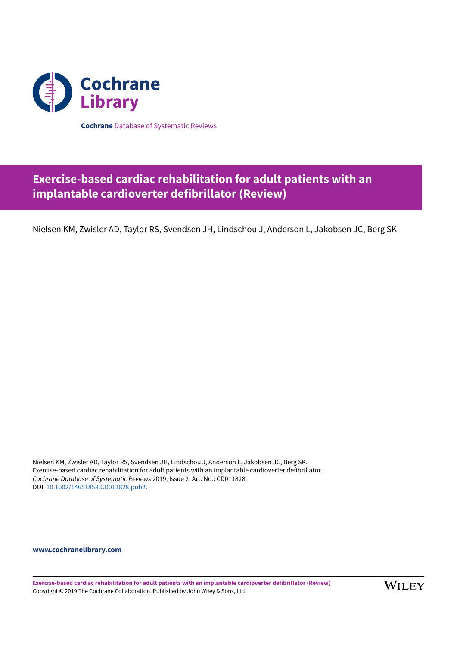

**Cochrane** Database of Systematic Reviews

# **Exercise-based cardiac rehabilitation for adult patients with an implantable cardioverter defibrillator (Review)**

Nielsen KM, Zwisler AD, Taylor RS, Svendsen JH, Lindschou J, Anderson L, Jakobsen JC, Berg SK

Nielsen KM, Zwisler AD, Taylor RS, Svendsen JH, Lindschou J, Anderson L, Jakobsen JC, Berg SK. Exercise-based cardiac rehabilitation for adult patients with an implantable cardioverter defibrillator. *Cochrane Database of Systematic Reviews* 2019, Issue 2. Art. No.: CD011828. DOI: [10.1002/14651858.CD011828.pub2.](https://doi.org/10.1002%2F14651858.CD011828.pub2)

**[www.cochranelibrary.com](https://www.cochranelibrary.com)**

**Exercise-based cardiac rehabilitation for adult patients with an implantable cardioverter defibrillator (Review)** Copyright © 2019 The Cochrane Collaboration. Published by John Wiley & Sons, Ltd.

**WILEY**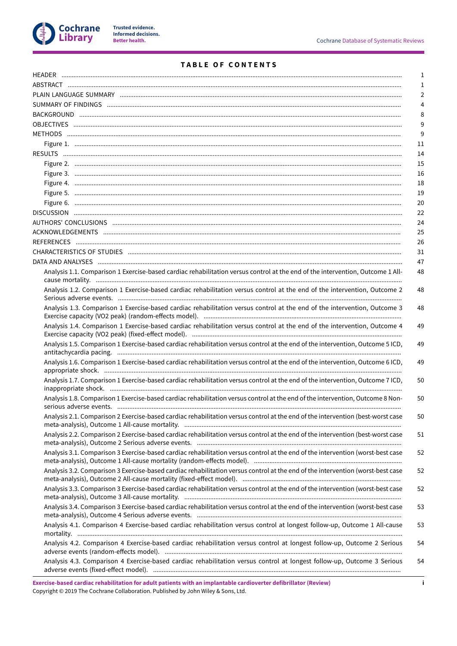

# **T A B L E O F C O N T E N T S**

|                                                                                                                                 | $\mathbf{1}$   |
|---------------------------------------------------------------------------------------------------------------------------------|----------------|
|                                                                                                                                 | 1              |
|                                                                                                                                 | $\overline{2}$ |
|                                                                                                                                 | $\overline{4}$ |
|                                                                                                                                 | 8              |
|                                                                                                                                 | 9              |
|                                                                                                                                 | 9              |
|                                                                                                                                 | 11             |
|                                                                                                                                 | 14             |
|                                                                                                                                 | 15             |
|                                                                                                                                 | 16             |
|                                                                                                                                 | 18             |
|                                                                                                                                 | 19             |
|                                                                                                                                 | 20             |
|                                                                                                                                 | 22             |
|                                                                                                                                 | 24             |
|                                                                                                                                 | 25             |
|                                                                                                                                 | 26             |
|                                                                                                                                 | 31             |
|                                                                                                                                 | 47             |
| Analysis 1.1. Comparison 1 Exercise-based cardiac rehabilitation versus control at the end of the intervention, Outcome 1 All-  | 48             |
| Analysis 1.2. Comparison 1 Exercise-based cardiac rehabilitation versus control at the end of the intervention, Outcome 2       | 48             |
|                                                                                                                                 |                |
| Analysis 1.3. Comparison 1 Exercise-based cardiac rehabilitation versus control at the end of the intervention, Outcome 3       | 48             |
| Analysis 1.4. Comparison 1 Exercise-based cardiac rehabilitation versus control at the end of the intervention, Outcome 4       | 49             |
| Analysis 1.5. Comparison 1 Exercise-based cardiac rehabilitation versus control at the end of the intervention, Outcome 5 ICD,  | 49             |
| Analysis 1.6. Comparison 1 Exercise-based cardiac rehabilitation versus control at the end of the intervention, Outcome 6 ICD,  | 49             |
| Analysis 1.7. Comparison 1 Exercise-based cardiac rehabilitation versus control at the end of the intervention, Outcome 7 ICD,  | 50             |
| Analysis 1.8. Comparison 1 Exercise-based cardiac rehabilitation versus control at the end of the intervention, Outcome 8 Non-  | 50             |
| Analysis 2.1. Comparison 2 Exercise-based cardiac rehabilitation versus control at the end of the intervention (best-worst case | 50             |
|                                                                                                                                 |                |
| Analysis 2.2. Comparison 2 Exercise-based cardiac rehabilitation versus control at the end of the intervention (best-worst case | 51             |
| Analysis 3.1. Comparison 3 Exercise-based cardiac rehabilitation versus control at the end of the intervention (worst-best case | 52             |
| Analysis 3.2. Comparison 3 Exercise-based cardiac rehabilitation versus control at the end of the intervention (worst-best case | 52             |
| Analysis 3.3. Comparison 3 Exercise-based cardiac rehabilitation versus control at the end of the intervention (worst-best case | 52             |
| Analysis 3.4. Comparison 3 Exercise-based cardiac rehabilitation versus control at the end of the intervention (worst-best case | 53             |
| Analysis 4.1. Comparison 4 Exercise-based cardiac rehabilitation versus control at longest follow-up, Outcome 1 All-cause       | 53             |
| Analysis 4.2. Comparison 4 Exercise-based cardiac rehabilitation versus control at longest follow-up, Outcome 2 Serious         | 54             |
| Analysis 4.3. Comparison 4 Exercise-based cardiac rehabilitation versus control at longest follow-up, Outcome 3 Serious         | 54             |
|                                                                                                                                 |                |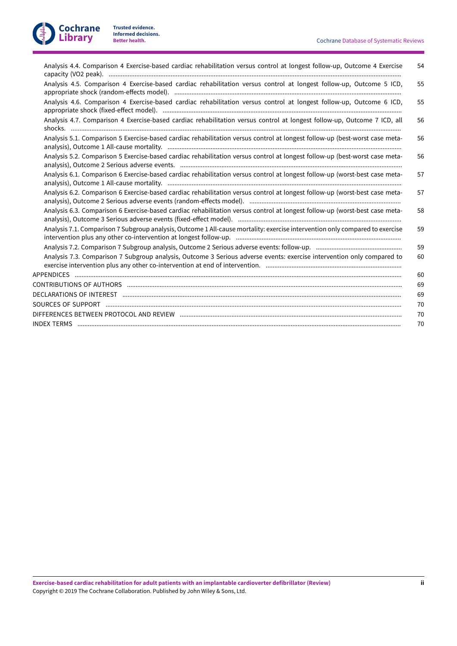

| Analysis 4.4. Comparison 4 Exercise-based cardiac rehabilitation versus control at longest follow-up, Outcome 4 Exercise     | 54 |
|------------------------------------------------------------------------------------------------------------------------------|----|
| Analysis 4.5. Comparison 4 Exercise-based cardiac rehabilitation versus control at longest follow-up, Outcome 5 ICD,         | 55 |
| Analysis 4.6. Comparison 4 Exercise-based cardiac rehabilitation versus control at longest follow-up, Outcome 6 ICD,         | 55 |
| Analysis 4.7. Comparison 4 Exercise-based cardiac rehabilitation versus control at longest follow-up, Outcome 7 ICD, all     | 56 |
| Analysis 5.1. Comparison 5 Exercise-based cardiac rehabilitation versus control at longest follow-up (best-worst case meta-  | 56 |
| Analysis 5.2. Comparison 5 Exercise-based cardiac rehabilitation versus control at longest follow-up (best-worst case meta-  | 56 |
| Analysis 6.1. Comparison 6 Exercise-based cardiac rehabilitation versus control at longest follow-up (worst-best case meta-  | 57 |
| Analysis 6.2. Comparison 6 Exercise-based cardiac rehabilitation versus control at longest follow-up (worst-best case meta-  | 57 |
| Analysis 6.3. Comparison 6 Exercise-based cardiac rehabilitation versus control at longest follow-up (worst-best case meta-  | 58 |
| Analysis 7.1. Comparison 7 Subgroup analysis, Outcome 1 All-cause mortality: exercise intervention only compared to exercise | 59 |
|                                                                                                                              | 59 |
| Analysis 7.3. Comparison 7 Subgroup analysis, Outcome 3 Serious adverse events: exercise intervention only compared to       | 60 |
|                                                                                                                              | 60 |
|                                                                                                                              | 69 |
|                                                                                                                              | 69 |
|                                                                                                                              | 70 |
|                                                                                                                              | 70 |
|                                                                                                                              | 70 |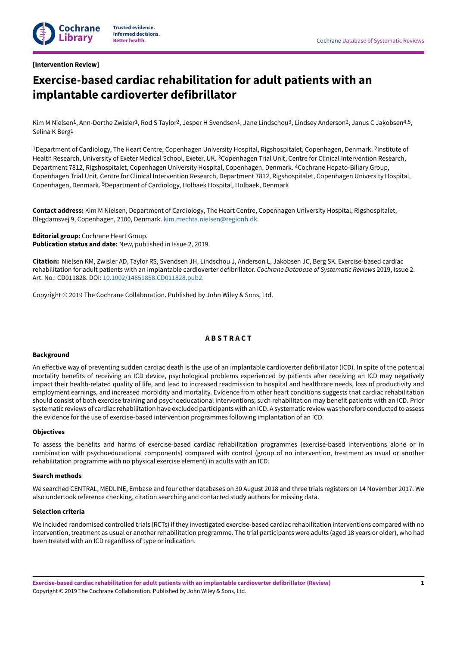

### <span id="page-3-0"></span>**[Intervention Review]**

# **Exercise-based cardiac rehabilitation for adult patients with an implantable cardioverter defibrillator**

Kim M Nielsen<sup>1</sup>, Ann-Dorthe Zwisler<sup>1</sup>, Rod S Taylor<sup>2</sup>, Jesper H Svendsen<sup>1</sup>, Jane Lindschou<sup>3</sup>, Lindsey Anderson<sup>2</sup>, Janus C Jakobsen<sup>4,5</sup>, Selina K Berg1

 $^{1}$ Department of Cardiology, The Heart Centre, Copenhagen University Hospital, Rigshospitalet, Copenhagen, Denmark. <sup>2</sup>Institute of Health Research, University of Exeter Medical School, Exeter, UK. <sup>3</sup>Copenhagen Trial Unit, Centre for Clinical Intervention Research, Department 7812, Rigshospitalet, Copenhagen University Hospital, Copenhagen, Denmark. 4Cochrane Hepato-Biliary Group, Copenhagen Trial Unit, Centre for Clinical Intervention Research, Department 7812, Rigshospitalet, Copenhagen University Hospital, Copenhagen, Denmark. <sup>5</sup>Department of Cardiology, Holbaek Hospital, Holbaek, Denmark

**Contact address:** Kim M Nielsen, Department of Cardiology, The Heart Centre, Copenhagen University Hospital, Rigshospitalet, Blegdamsvej 9, Copenhagen, 2100, Denmark. [kim.mechta.nielsen@regionh.dk](mailto:kim.mechta.nielsen@regionh.dk).

# **Editorial group:** Cochrane Heart Group. **Publication status and date:** New, published in Issue 2, 2019.

**Citation:** Nielsen KM, Zwisler AD, Taylor RS, Svendsen JH, Lindschou J, Anderson L, Jakobsen JC, Berg SK. Exercise-based cardiac rehabilitation for adult patients with an implantable cardioverter defibrillator. *Cochrane Database of Systematic Reviews* 2019, Issue 2. Art. No.: CD011828. DOI: [10.1002/14651858.CD011828.pub2](https://doi.org/10.1002%2F14651858.CD011828.pub2).

Copyright © 2019 The Cochrane Collaboration. Published by John Wiley & Sons, Ltd.

# **A B S T R A C T**

# <span id="page-3-1"></span>**Background**

An effective way of preventing sudden cardiac death is the use of an implantable cardioverter defibrillator (ICD). In spite of the potential mortality benefits of receiving an ICD device, psychological problems experienced by patients after receiving an ICD may negatively impact their health-related quality of life, and lead to increased readmission to hospital and healthcare needs, loss of productivity and employment earnings, and increased morbidity and mortality. Evidence from other heart conditions suggests that cardiac rehabilitation should consist of both exercise training and psychoeducational interventions; such rehabilitation may benefit patients with an ICD. Prior systematic reviews of cardiac rehabilitation have excluded participants with an ICD. A systematic review was therefore conducted to assess the evidence for the use of exercise-based intervention programmes following implantation of an ICD.

### **Objectives**

To assess the benefits and harms of exercise-based cardiac rehabilitation programmes (exercise-based interventions alone or in combination with psychoeducational components) compared with control (group of no intervention, treatment as usual or another rehabilitation programme with no physical exercise element) in adults with an ICD.

### **Search methods**

We searched CENTRAL, MEDLINE, Embase and four other databases on 30 August 2018 and three trials registers on 14 November 2017. We also undertook reference checking, citation searching and contacted study authors for missing data.

### **Selection criteria**

We included randomised controlled trials (RCTs) if they investigated exercise-based cardiac rehabilitation interventions compared with no intervention, treatment as usual or another rehabilitation programme. The trial participants were adults (aged 18 years or older), who had been treated with an ICD regardless of type or indication.

**Exercise-based cardiac rehabilitation for adult patients with an implantable cardioverter defibrillator (Review)** Copyright © 2019 The Cochrane Collaboration. Published by John Wiley & Sons, Ltd.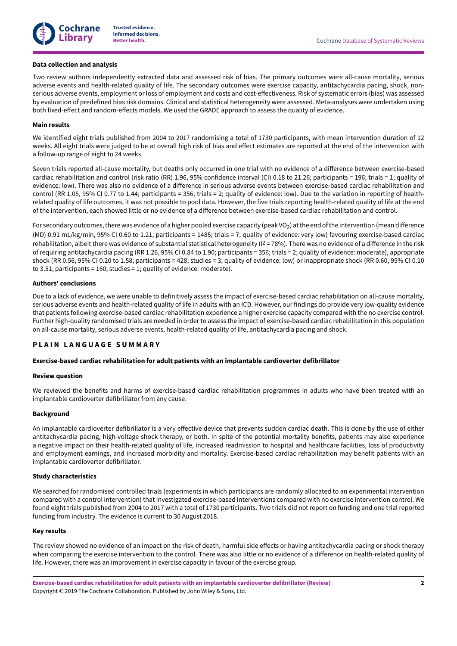

### **Data collection and analysis**

Two review authors independently extracted data and assessed risk of bias. The primary outcomes were all-cause mortality, serious adverse events and health-related quality of life. The secondary outcomes were exercise capacity, antitachycardia pacing, shock, nonserious adverse events, employment or loss of employment and costs and cost-effectiveness. Risk of systematic errors (bias) was assessed by evaluation of predefined bias risk domains. Clinical and statistical heterogeneity were assessed. Meta-analyses were undertaken using both fixed-effect and random-effects models. We used the GRADE approach to assess the quality of evidence.

### **Main results**

We identified eight trials published from 2004 to 2017 randomising a total of 1730 participants, with mean intervention duration of 12 weeks. All eight trials were judged to be at overall high risk of bias and effect estimates are reported at the end of the intervention with a follow-up range of eight to 24 weeks.

Seven trials reported all-cause mortality, but deaths only occurred in one trial with no evidence of a difference between exercise-based cardiac rehabilitation and control (risk ratio (RR) 1.96, 95% confidence interval (CI) 0.18 to 21.26; participants = 196; trials = 1; quality of evidence: low). There was also no evidence of a difference in serious adverse events between exercise-based cardiac rehabilitation and control (RR 1.05, 95% CI 0.77 to 1.44; participants = 356; trials = 2; quality of evidence: low). Due to the variation in reporting of healthrelated quality of life outcomes, it was not possible to pool data. However, the five trials reporting health-related quality of life at the end of the intervention, each showed little or no evidence of a difference between exercise-based cardiac rehabilitation and control.

For secondary outcomes, there was evidence of a higher pooled exercise capacity (peak VO<sub>2</sub>) at the end of the intervention (mean difference (MD) 0.91 mL/kg/min, 95% CI 0.60 to 1.21; participants = 1485; trials = 7; quality of evidence: very low) favouring exercise-based cardiac rehabilitation, albeit there was evidence of substantial statistical heterogeneity (I<sup>2</sup> = 78%). There was no evidence of a difference in the risk of requiring antitachycardia pacing (RR 1.26, 95% CI 0.84 to 1.90; participants = 356; trials = 2; quality of evidence: moderate), appropriate shock (RR 0.56, 95% CI 0.20 to 1.58; participants = 428; studies = 3; quality of evidence: low) or inappropriate shock (RR 0.60, 95% CI 0.10 to 3.51; participants = 160; studies = 1; quality of evidence: moderate).

### **Authors' conclusions**

Due to a lack of evidence, we were unable to definitively assess the impact of exercise-based cardiac rehabilitation on all-cause mortality, serious adverse events and health-related quality of life in adults with an ICD. However, our findings do provide very low-quality evidence that patients following exercise-based cardiac rehabilitation experience a higher exercise capacity compared with the no exercise control. Further high-quality randomised trials are needed in order to assess the impact of exercise-based cardiac rehabilitation in this population on all-cause mortality, serious adverse events, health-related quality of life, antitachycardia pacing and shock.

# <span id="page-4-0"></span>**P L A I N L A N G U A G E S U M M A R Y**

### **Exercise-based cardiac rehabilitation for adult patients with an implantable cardioverter defibrillator**

#### **Review question**

We reviewed the benefits and harms of exercise-based cardiac rehabilitation programmes in adults who have been treated with an implantable cardioverter defibrillator from any cause.

#### **Background**

An implantable cardioverter defibrillator is a very effective device that prevents sudden cardiac death. This is done by the use of either antitachycardia pacing, high-voltage shock therapy, or both. In spite of the potential mortality benefits, patients may also experience a negative impact on their health-related quality of life, increased readmission to hospital and healthcare facilities, loss of productivity and employment earnings, and increased morbidity and mortality. Exercise-based cardiac rehabilitation may benefit patients with an implantable cardioverter defibrillator.

### **Study characteristics**

We searched for randomised controlled trials (experiments in which participants are randomly allocated to an experimental intervention compared with a control intervention) that investigated exercise-based interventions compared with no exercise intervention control. We found eight trials published from 2004 to 2017 with a total of 1730 participants. Two trials did not report on funding and one trial reported funding from industry. The evidence is current to 30 August 2018.

### **Key results**

The review showed no evidence of an impact on the risk of death, harmful side effects or having antitachycardia pacing or shock therapy when comparing the exercise intervention to the control. There was also little or no evidence of a difference on health-related quality of life. However, there was an improvement in exercise capacity in favour of the exercise group.

**Exercise-based cardiac rehabilitation for adult patients with an implantable cardioverter defibrillator (Review)** Copyright © 2019 The Cochrane Collaboration. Published by John Wiley & Sons, Ltd.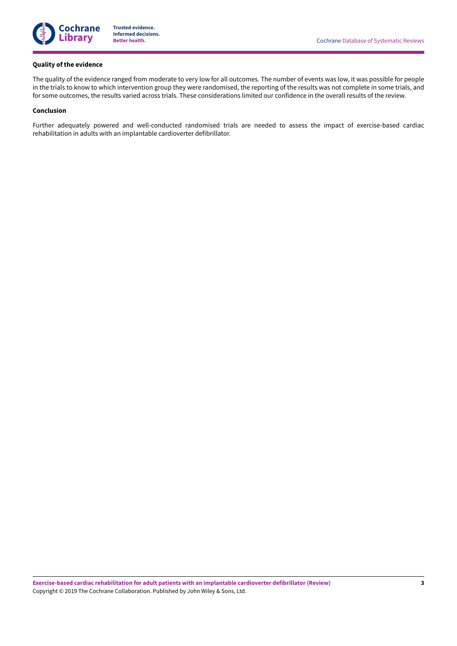

### **Quality of the evidence**

The quality of the evidence ranged from moderate to very low for all outcomes. The number of events was low, it was possible for people in the trials to know to which intervention group they were randomised, the reporting of the results was not complete in some trials, and for some outcomes, the results varied across trials. These considerations limited our confidence in the overall results of the review.

# **Conclusion**

Further adequately powered and well-conducted randomised trials are needed to assess the impact of exercise-based cardiac rehabilitation in adults with an implantable cardioverter defibrillator.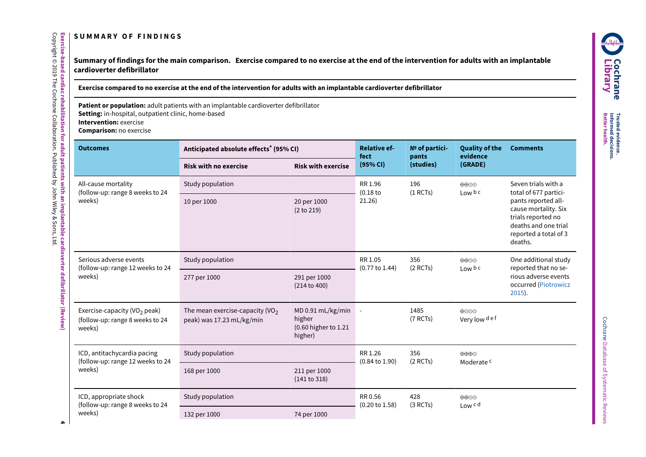# **S U M M A R Y O F F I N D I N G S**

# Summary of findings for the main comparison. Exercise compared to no exercise at the end of the intervention for adults with an implantable **cardioverter defibrillator**

Exercise compared to no exercise at the end of the intervention for adults with an implantable cardioverter defibrillator

**Patient or population:** adult patients with an implantable cardioverter defibrillator

**Setting:** in-hospital, outpatient clinic, home-based

**Intervention:** exercise

**Comparison:** no exercise

**Exercise-based**

Copyright © 2019

The

Cochrane

Collaboration.

Published

হ John

Wiley & Sons,

ltd.<br>E

**cardiac**

**rehabilitation**

**for adult**

**patients**

**with an**

<span id="page-6-0"></span>**implantable**

<span id="page-6-1"></span>**cardioverter**

**defibrillator**

**(Review)**

| <b>Outcomes</b>                                                                       |                                                                 | Anticipated absolute effects <sup>*</sup> (95% CI)             |                                      |                    | <b>Quality of the</b><br>evidence          | <b>Comments</b>                                                                                                               |
|---------------------------------------------------------------------------------------|-----------------------------------------------------------------|----------------------------------------------------------------|--------------------------------------|--------------------|--------------------------------------------|-------------------------------------------------------------------------------------------------------------------------------|
|                                                                                       | <b>Risk with no exercise</b>                                    | <b>Risk with exercise</b>                                      | fect<br>(95% CI)                     | pants<br>(studies) | (GRADE)                                    |                                                                                                                               |
| All-cause mortality<br>(follow-up: range 8 weeks to 24                                | Study population                                                |                                                                | RR 1.96<br>(0.18)                    | 196<br>(1 RCTs)    | $\oplus \oplus \ominus \ominus$<br>Low b c | Seven trials with a<br>total of 677 partici-                                                                                  |
| weeks)                                                                                | 10 per 1000                                                     | 20 per 1000<br>(2 to 219)                                      |                                      |                    |                                            | pants reported all-<br>cause mortality. Six<br>trials reported no<br>deaths and one trial<br>reported a total of 3<br>deaths. |
| Serious adverse events<br>(follow-up: range 12 weeks to 24                            | Study population                                                |                                                                | RR 1.05<br>$(0.77 \text{ to } 1.44)$ | 356<br>$(2$ RCTs)  | ⊕⊕⊝<br>Low b c                             | One additional study<br>reported that no se-                                                                                  |
| weeks)                                                                                | 277 per 1000                                                    | 291 per 1000<br>(214 to 400)                                   |                                      |                    |                                            | rious adverse events<br>occurred (Piotrowicz<br>$2015$ ).                                                                     |
| Exercise-capacity (VO <sub>2</sub> peak)<br>(follow-up: range 8 weeks to 24<br>weeks) | The mean exercise-capacity ( $VO2$<br>peak) was 17.23 mL/kg/min | MD 0.91 mL/kg/min<br>higher<br>(0.60 higher to 1.21<br>higher) |                                      | 1485<br>(7 RCTs)   | ⊕⊝⊝⊕<br>Very low def                       |                                                                                                                               |
| ICD, antitachycardia pacing<br>(follow-up: range 12 weeks to 24                       | Study population                                                |                                                                | RR 1.26<br>$(0.84 \text{ to } 1.90)$ | 356<br>$(2$ RCTs)  | $\oplus \oplus \oplus$<br>Moderate c       |                                                                                                                               |
| weeks)                                                                                | 168 per 1000                                                    | 211 per 1000<br>(141 to 318)                                   |                                      |                    |                                            |                                                                                                                               |
| ICD, appropriate shock<br>(follow-up: range 8 weeks to 24                             | Study population                                                |                                                                |                                      | 428<br>(3 RCTs)    | ⊕⊕⊝<br>Low $cd$                            |                                                                                                                               |
| weeks)                                                                                | 132 per 1000                                                    | 74 per 1000                                                    | $(0.20 \text{ to } 1.58)$            |                    |                                            |                                                                                                                               |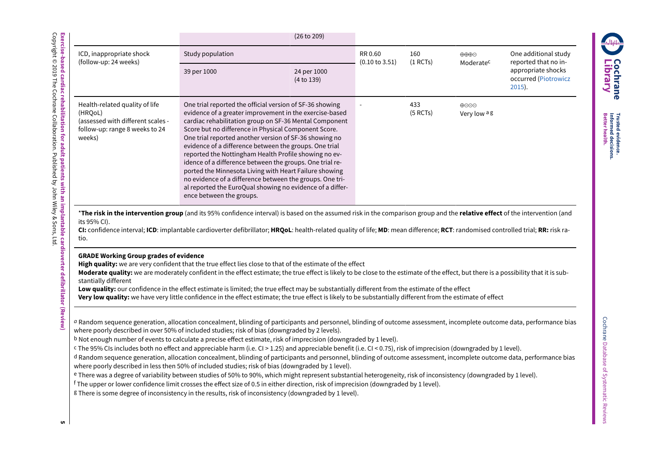|                                                                                                                                                                                                                                                                                                                                                                                         | (26 to 209)                                                                                                                                                                                                                                                                                                                                                                                                                                                                                                                                                                                                                                                                                   |                                      |                   |                                |                                                         |  |
|-----------------------------------------------------------------------------------------------------------------------------------------------------------------------------------------------------------------------------------------------------------------------------------------------------------------------------------------------------------------------------------------|-----------------------------------------------------------------------------------------------------------------------------------------------------------------------------------------------------------------------------------------------------------------------------------------------------------------------------------------------------------------------------------------------------------------------------------------------------------------------------------------------------------------------------------------------------------------------------------------------------------------------------------------------------------------------------------------------|--------------------------------------|-------------------|--------------------------------|---------------------------------------------------------|--|
| ICD, inappropriate shock<br>(follow-up: 24 weeks)                                                                                                                                                                                                                                                                                                                                       | Study population                                                                                                                                                                                                                                                                                                                                                                                                                                                                                                                                                                                                                                                                              | RR 0.60<br>$(0.10 \text{ to } 3.51)$ | 160<br>$(1$ RCTs) | $\oplus \oplus \oplus \ominus$ | One additional study<br>reported that no in-            |  |
|                                                                                                                                                                                                                                                                                                                                                                                         | 39 per 1000<br>24 per 1000<br>(4 to 139)                                                                                                                                                                                                                                                                                                                                                                                                                                                                                                                                                                                                                                                      |                                      |                   | Moderate <sup>c</sup>          | appropriate shocks<br>occurred (Piotrowicz<br>$2015$ ). |  |
| Health-related quality of life<br>(HRQoL)<br>(assessed with different scales -<br>follow-up: range 8 weeks to 24<br>weeks)                                                                                                                                                                                                                                                              | One trial reported the official version of SF-36 showing<br>evidence of a greater improvement in the exercise-based<br>cardiac rehabilitation group on SF-36 Mental Component<br>Score but no difference in Physical Component Score.<br>One trial reported another version of SF-36 showing no<br>evidence of a difference between the groups. One trial<br>reported the Nottingham Health Profile showing no ev-<br>idence of a difference between the groups. One trial re-<br>ported the Minnesota Living with Heart Failure showing<br>no evidence of a difference between the groups. One tri-<br>al reported the EuroQual showing no evidence of a differ-<br>ence between the groups. |                                      | 433<br>(5 RCTs)   | ⊕⊝⊝⊝<br>Very low a g           |                                                         |  |
| *The risk in the intervention group (and its 95% confidence interval) is based on the assumed risk in the comparison group and the relative effect of the intervention (and<br>its 95% CI).<br>CI: confidence interval; ICD: implantable cardioverter defibrillator; HRQoL: health-related quality of life; MD: mean difference; RCT: randomised controlled trial; RR: risk ra-<br>tio. |                                                                                                                                                                                                                                                                                                                                                                                                                                                                                                                                                                                                                                                                                               |                                      |                   |                                |                                                         |  |
| <b>GRADE Working Group grades of evidence</b><br>stantially different                                                                                                                                                                                                                                                                                                                   | High quality: we are very confident that the true effect lies close to that of the estimate of the effect<br>Moderate quality: we are moderately confident in the effect estimate; the true effect is likely to be close to the estimate of the effect, but there is a possibility that it is sub-<br>Low quality: our confidence in the effect estimate is limited; the true effect may be substantially different from the estimate of the effect<br>Very low quality: we have very little confidence in the effect estimate; the true effect is likely to be substantially different from the estimate of effect                                                                           |                                      |                   |                                |                                                         |  |

Cochrane

Database

q

Systematic

Reviews

**C o c hra n e Lib r a r y**

**Trusted Better**

**Informed**

**decisions. health.**

**evidence.**

*a* Random sequence generation, allocation concealment, blinding of participants and personnel, blinding of outcome assessment, incomplete outcome data, performance bias where poorly described in over 50% of included studies; risk of bias (downgraded by 2 levels).

b Not enough number of events to calculate a precise effect estimate, risk of imprecision (downgraded by 1 level).

<sup>c</sup> The 95% CIs includes both no effect and appreciable harm (i.e. CI > 1.25) and appreciable benefit (i.e. CI < 0.75), risk of imprecision (downgraded by 1 level).

d Random sequence generation, allocation concealment, blinding of participants and personnel, blinding of outcome assessment, incomplete outcome data, performance bias where poorly described in less then 50% of included studies; risk of bias (downgraded by 1 level).

e There was a degree of variability between studies of 50% to 90%, which might represent substantial heterogeneity, risk of inconsistency (downgraded by 1 level).

f The upper or lower confidence limit crosses the effect size of 0.5 in either direction, risk of imprecision (downgraded by 1 level).

g There is some degree of inconsistency in the results, risk of inconsistency (downgraded by 1 level).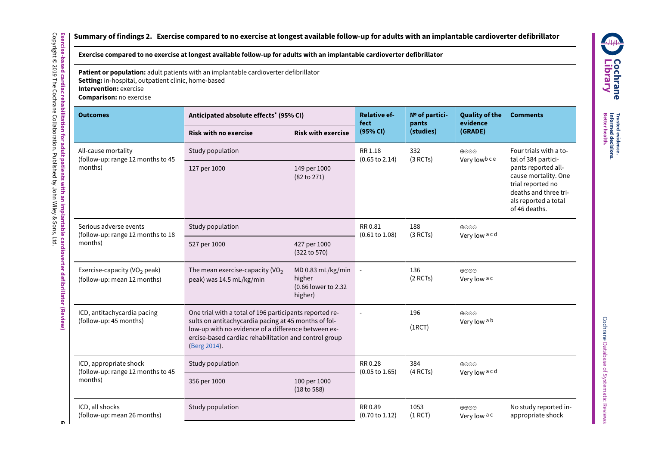# Summary of findings 2. Exercise compared to no exercise at longest available follow-up for adults with an implantable cardioverter defibrillator

# Exercise compared to no exercise at longest available follow-up for adults with an implantable cardioverter defibrillator

**Patient or population:** adult patients with an implantable cardioverter defibrillator

**Setting:** in-hospital, outpatient clinic, home-based

**Intervention:** exercise

**Exercise-based**

Copyright © 2019

The

Cochrane

Collaboration.

Published

হ John

Wiley & Sons,

ltd.<br>E

**cardiac**

**rehabilitation**

**for adult**

**patients**

**with an**

<span id="page-8-0"></span>**implantable**

**cardioverter**

**defibrillator**

**(Review)**

**Comparison:** no exercise

| <b>Outcomes</b>                                                         | Anticipated absolute effects <sup>*</sup> (95% CI)<br><b>Risk with no exercise</b><br><b>Risk with exercise</b> |                                                                                                              | <b>Relative ef-</b><br>fect          | Nº of partici-<br>pants | <b>Quality of the</b><br>evidence                 | <b>Comments</b>                                                                                                                    |
|-------------------------------------------------------------------------|-----------------------------------------------------------------------------------------------------------------|--------------------------------------------------------------------------------------------------------------|--------------------------------------|-------------------------|---------------------------------------------------|------------------------------------------------------------------------------------------------------------------------------------|
|                                                                         |                                                                                                                 |                                                                                                              | (95% CI)                             | (studies)               | (GRADE)                                           |                                                                                                                                    |
| All-cause mortality<br>(follow-up: range 12 months to 45                | Study population                                                                                                |                                                                                                              | RR 1.18<br>$(0.65 \text{ to } 2.14)$ | 332<br>(3 RCTs)         | $\oplus$ $\ominus$ $\ominus$<br>Very lowb ce      | Four trials with a to-<br>tal of 384 partici-                                                                                      |
| months)                                                                 | 127 per 1000<br>149 per 1000<br>(82 to 271)                                                                     |                                                                                                              |                                      |                         |                                                   | pants reported all-<br>cause mortality. One<br>trial reported no<br>deaths and three tri-<br>als reported a total<br>of 46 deaths. |
| Serious adverse events<br>(follow-up: range 12 months to 18             | Study population                                                                                                |                                                                                                              | RR 0.81<br>$(0.61 \text{ to } 1.08)$ | 188<br>(3 RCTs)         | ⊕⊝⊝⊕<br>Very low a c d                            |                                                                                                                                    |
| months)                                                                 | 527 per 1000                                                                                                    | 427 per 1000<br>(322 to 570)                                                                                 |                                      |                         |                                                   |                                                                                                                                    |
| Exercise-capacity (VO <sub>2</sub> peak)<br>(follow-up: mean 12 months) | The mean exercise-capacity (VO <sub>2</sub><br>peak) was 14.5 mL/kg/min                                         | MD 0.83 mL/kg/min<br>higher<br>(0.66 lower to 2.32<br>higher)                                                |                                      | 136<br>$(2$ RCTs)       | ⊕⊝⊝⊕<br>Very low a c                              |                                                                                                                                    |
| ICD, antitachycardia pacing<br>(follow-up: 45 months)                   | One trial with a total of 196 participants reported re-<br>sults on antitachycardia pacing at 45 months of fol- |                                                                                                              |                                      | 196                     | $\bigoplus$ $\bigodot$ $\bigodot$<br>Very low a b |                                                                                                                                    |
|                                                                         | (Berg 2014).                                                                                                    | low-up with no evidence of a difference between ex-<br>ercise-based cardiac rehabilitation and control group |                                      | (1RCT)                  |                                                   |                                                                                                                                    |
| ICD, appropriate shock<br>(follow-up: range 12 months to 45             | Study population<br>356 per 1000<br>100 per 1000<br>(18 to 588)                                                 |                                                                                                              | RR 0.28<br>$(0.05 \text{ to } 1.65)$ | 384<br>(4 RCTs)         | $\oplus \ominus \ominus$<br>Very low a c d        |                                                                                                                                    |
| months)                                                                 |                                                                                                                 |                                                                                                              |                                      |                         |                                                   |                                                                                                                                    |
| ICD, all shocks<br>(follow-up: mean 26 months)                          | Study population                                                                                                |                                                                                                              | RR 0.89<br>$(0.70 \text{ to } 1.12)$ | 1053<br>$(1$ RCT)       | $\oplus \oplus \oplus$<br>Very low a c            | No study reported in-<br>appropriate shock                                                                                         |

**AUTOR C o c hra n e Lib r a r y**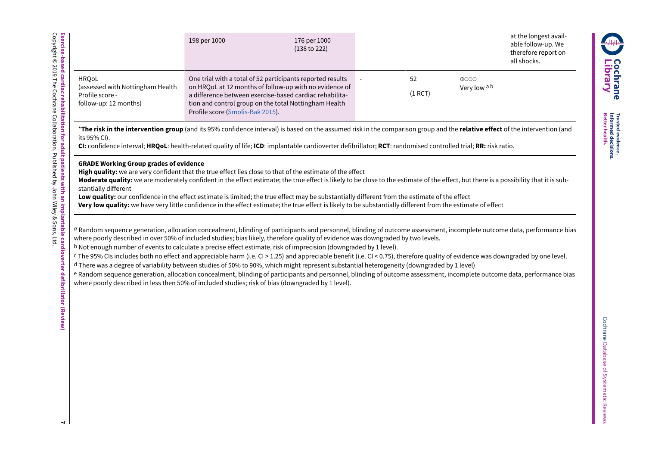|                                                                                              | 198 per 1000<br>176 per 1000<br>(138 to 222)                                                                                                                                                                                                                                 |                                                                  | at the longest avail-<br>able follow-up. We<br>therefore report on<br>all shocks. |
|----------------------------------------------------------------------------------------------|------------------------------------------------------------------------------------------------------------------------------------------------------------------------------------------------------------------------------------------------------------------------------|------------------------------------------------------------------|-----------------------------------------------------------------------------------|
| <b>HROoL</b><br>(assessed with Nottingham Health<br>Profile score -<br>follow-up: 12 months) | One trial with a total of 52 participants reported results<br>on HRQoL at 12 months of follow-up with no evidence of<br>a difference between exercise-based cardiac rehabilita-<br>tion and control group on the total Nottingham Health<br>Profile score (Smolis-Bak 2015). | 52<br>$\bigoplus \bigoplus \bigoplus$<br>Very low a b<br>(1 RCT) |                                                                                   |

\***The risk in the intervention group** (and its 95% confidence interval) is based on the assumed risk in the comparison group and the **relative effect** of the intervention (and its 95% CI).

**CI:** confidence interval; **HRQoL**: health-related quality of life; **ICD**: implantable cardioverter defibrillator; **RCT**: randomised controlled trial; **RR:** risk ratio.

# **GRADE Working Group grades of evidence**

**High quality:** we are very confident that the true effect lies close to that of the estimate of the effect

**Moderate quality:** we are moderately confident in the effect estimate; the true effect is likely to be close to the estimate of the effect, but there is a possibility that it is substantially different

**Low quality:** our confidence in the effect estimate is limited; the true effect may be substantially different from the estimate of the effect

**Very low quality:** we have very little confidence in the effect estimate; the true effect is likely to be substantially different from the estimate of effect

*a* Random sequence generation, allocation concealment, blinding of participants and personnel, blinding of outcome assessment, incomplete outcome data, performance bias where poorly described in over 50% of included studies; bias likely, therefore quality of evidence was downgraded by two levels.

 $b$  Not enough number of events to calculate a precise effect estimate, risk of imprecision (downgraded by 1 level).

 $c$  The 95% CIs includes both no effect and appreciable harm (i.e. CI > 1.25) and appreciable benefit (i.e. CI < 0.75), therefore quality of evidence was downgraded by one level.

d There was a degree of variability between studies of 50% to 90%, which might represent substantial heterogeneity (downgraded by 1 level)

e Random sequence generation, allocation concealment, blinding of participants and personnel, blinding of outcome assessment, incomplete outcome data, performance bias where poorly described in less then 50% of included studies; risk of bias (downgraded by 1 level).

**C**

**Lib r a r y**

**o c hra n e**

**Trusted Better**

**Informed**

**decisions. health.**

**evidence.**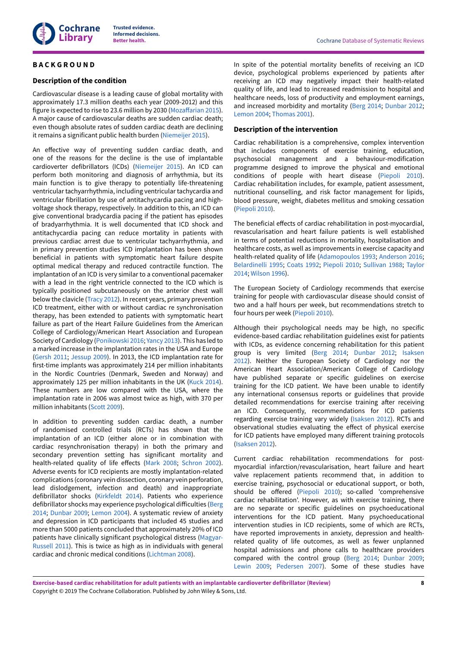

# <span id="page-10-0"></span>**B A C K G R O U N D**

# **Description of the condition**

Cardiovascular disease is a leading cause of global mortality with approximately 17.3 million deaths each year (2009-2012) and this figure is expected to rise to 23.6 million by 2030 (Mozaffarian 2015). A major cause of cardiovascular deaths are sudden cardiac death; even though absolute rates of sudden cardiac death are declining it remains a significant public health burden ([Niemeijer 2015\)](#page-31-1).

An effective way of preventing sudden cardiac death, and one of the reasons for the decline is the use of implantable cardioverter defibrillators (ICDs) ([Niemeijer 2015](#page-31-1)). An ICD can perform both monitoring and diagnosis of arrhythmia, but its main function is to give therapy to potentially life-threatening ventricular tachyarrhythmia, including ventricular tachycardia and ventricular fibrillation by use of antitachycardia pacing and highvoltage shock therapy, respectively. In addition to this, an ICD can give conventional bradycardia pacing if the patient has episodes of bradyarrhythmia. It is well documented that ICD shock and antitachycardia pacing can reduce mortality in patients with previous cardiac arrest due to ventricular tachyarrhythmia, and in primary prevention studies ICD implantation has been shown beneficial in patients with symptomatic heart failure despite optimal medical therapy and reduced contractile function. The implantation of an ICD is very similar to a conventional pacemaker with a lead in the right ventricle connected to the ICD which is typically positioned subcutaneously on the anterior chest wall below the clavicle ([Tracy](#page-32-0) 2012). In recent years, primary prevention ICD treatment, either with or without cardiac re synchronisation therapy, has been extended to patients with symptomatic heart failure as part of the Heart Failure Guidelines from the American College of Cardiology/American Heart Association and European Society of Cardiology [\(Ponikowski](#page-32-1) 2016; [Yancy](#page-33-1) 2013). This has led to a marked increase in the implantation rates in the USA and Europe [\(Gersh](#page-30-0) 2011; [Jessup 2009](#page-31-2)). In 2013, the ICD implantation rate for first-time implants was approximately 214 per million inhabitants in the Nordic Countries (Denmark, Sweden and Norway) and approximately 125 per million inhabitants in the UK [\(Kuck](#page-31-3) 2014). These numbers are low compared with the USA, where the implantation rate in 2006 was almost twice as high, with 370 per million inhabitants ([Scott](#page-32-2) 2009).

In addition to preventing sudden cardiac death, a number of randomised controlled trials (RCTs) has shown that the implantation of an ICD (either alone or in combination with cardiac resynchronisation therapy) in both the primary and secondary prevention setting has significant mortality and health-related quality of life effects ([Mark 2008](#page-31-4); [Schron](#page-32-3) 2002). Adverse events for ICD recipients are mostly implantation-related complications (coronary vein dissection, coronary vein perforation, lead dislodgement, infection and death) and inappropriate defibrillator shocks [\(Kirkfeldt](#page-31-5) 2014). Patients who experience defibrillator shocks may experience psychological difficulties [\(Berg](#page-28-4) [2014](#page-28-4); [Dunbar](#page-28-5) 2009; [Lemon](#page-31-6) 2004). A systematic review of anxiety and depression in ICD participants that included 45 studies and more than 5000 patients concluded that approximately 20% of ICD patients have clinically significant psychological distress ([Magyar-](#page-31-7)[Russell 2011\)](#page-31-7). This is twice as high as in individuals with general cardiac and chronic medical conditions [\(Lichtman 2008](#page-31-8)).

In spite of the potential mortality benefits of receiving an ICD device, psychological problems experienced by patients after receiving an ICD may negatively impact their health-related quality of life, and lead to increased readmission to hospital and healthcare needs, loss of productivity and employment earnings, and increased morbidity and mortality (Berg [2014;](#page-28-4) [Dunbar](#page-30-1) 2012; [Lemon](#page-31-6) 2004; [Thomas 2001\)](#page-32-4).

### **Description of the intervention**

Cardiac rehabilitation is a comprehensive, complex intervention that includes components of exercise training, education, psychosocial management and a behaviour-modification programme designed to improve the physical and emotional conditions of people with heart disease [\(Piepoli 2010\)](#page-31-9). Cardiac rehabilitation includes, for example, patient assessment, nutritional counselling, and risk factor management for lipids, blood pressure, weight, diabetes mellitus and smoking cessation [\(Piepoli 2010](#page-31-9)).

The beneficial effects of cardiac rehabilitation in post-myocardial, revascularisation and heart failure patients is well established in terms of potential reductions in mortality, hospitalisation and healthcare costs, as well as improvements in exercise capacity and health-related quality of life [\(Adamopoulos 1993](#page-29-0); [Anderson](#page-29-1) 2016; [Belardinelli](#page-29-2) 1995; [Coats](#page-30-2) 1992; [Piepoli 2010](#page-31-9); [Sullivan](#page-32-5) 1988; [Taylor](#page-32-6) [2014;](#page-32-6) [Wilson 1996\)](#page-33-2).

The European Society of Cardiology recommends that exercise training for people with cardiovascular disease should consist of two and a half hours per week, but recommendations stretch to four hours per week [\(Piepoli 2010\)](#page-31-9).

Although their psychological needs may be high, no specific evidence-based cardiac rehabilitation guidelines exist for patients with ICDs, as evidence concerning rehabilitation for this patient group is very limited (Berg [2014;](#page-28-4) [Dunbar](#page-30-1) 2012; [Isaksen](#page-31-10) [2012\)](#page-31-10). Neither the European Society of Cardiology nor the American Heart Association/American College of Cardiology have published separate or specific guidelines on exercise training for the ICD patient. We have been unable to identify any international consensus reports or guidelines that provide detailed recommendations for exercise training after receiving an ICD. Consequently, recommendations for ICD patients regarding exercise training vary widely ([Isaksen 2012\)](#page-31-10). RCTs and observational studies evaluating the effect of physical exercise for ICD patients have employed many different training protocols [\(Isaksen 2012](#page-31-10)).

Current cardiac rehabilitation recommendations for postmyocardial infarction/revascularisation, heart failure and heart valve replacement patients recommend that, in addition to exercise training, psychosocial or educational support, or both, should be offered ([Piepoli 2010\)](#page-31-9); so-called 'comprehensive cardiac rehabilitation'. However, as with exercise training, there are no separate or specific guidelines on psychoeducational interventions for the ICD patient. Many psychoeducational intervention studies in ICD recipients, some of which are RCTs, have reported improvements in anxiety, depression and healthrelated quality of life outcomes, as well as fewer unplanned hospital admissions and phone calls to healthcare providers compared with the control group (Berg [2014;](#page-28-4) [Dunbar](#page-28-5) 2009; [Lewin](#page-31-11) 2009; [Pedersen](#page-31-12) 2007). Some of these studies have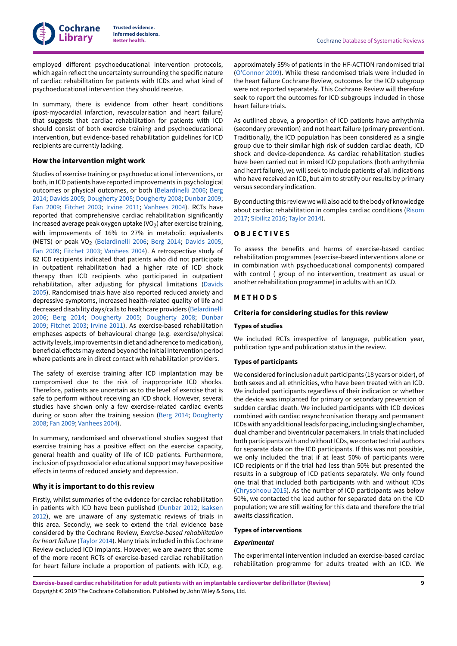

employed different psychoeducational intervention protocols, which again reflect the uncertainty surrounding the specific nature of cardiac rehabilitation for patients with ICDs and what kind of

psychoeducational intervention they should receive.

In summary, there is evidence from other heart conditions (post-myocardial infarction, revascularisation and heart failure) that suggests that cardiac rehabilitation for patients with ICD should consist of both exercise training and psychoeducational intervention, but evidence-based rehabilitation guidelines for ICD recipients are currently lacking.

### **How the intervention might work**

**Library**

Studies of exercise training or psychoeducational interventions, or both, in ICD patients have reported improvements in psychological outcomes or physical outcomes, or both [\(Belardinelli](#page-28-6) 2006; [Berg](#page-28-4) [2014](#page-28-4); [Davids 2005;](#page-30-3) [Dougherty 2005](#page-30-4); [Dougherty 2008;](#page-30-5) [Dunbar](#page-28-5) 2009; Fan [2009](#page-30-6); [Fitchet](#page-30-7) 2003; [Irvine](#page-30-8) 2011; [Vanhees](#page-29-3) 2004). RCTs have reported that comprehensive cardiac rehabilitation significantly increased average peak oxygen uptake (VO<sub>2</sub>) after exercise training, with improvements of 16% to 27% in metabolic equivalents (METS) or peak VO<sub>2</sub> [\(Belardinelli](#page-28-6) 2006; Berg [2014;](#page-28-4) [Davids 2005](#page-30-3); Fan [2009](#page-30-6); [Fitchet](#page-30-7) 2003; [Vanhees](#page-29-3) 2004). A retrospective study of 82 ICD recipients indicated that patients who did not participate in outpatient rehabilitation had a higher rate of ICD shock therapy than ICD recipients who participated in outpatient rehabilitation, after adjusting for physical limitations [\(Davids](#page-30-3) [2005](#page-30-3)). Randomised trials have also reported reduced anxiety and depressive symptoms, increased health-related quality of life and decreased disability days/calls to healthcare providers ([Belardinelli](#page-28-6) [2006](#page-28-6); Berg [2014](#page-28-4); [Dougherty 2005](#page-30-4); [Dougherty 2008](#page-30-5); [Dunbar](#page-28-5) [2009](#page-28-5); [Fitchet](#page-30-7) 2003; [Irvine](#page-30-8) 2011). As exercise-based rehabilitation emphases aspects of behavioural change (e.g. exercise/physical activity levels, improvements in diet and adherence to medication), beneficial effects may extend beyond the initial intervention period where patients are in direct contact with rehabilitation providers.

The safety of exercise training after ICD implantation may be compromised due to the risk of inappropriate ICD shocks. Therefore, patients are uncertain as to the level of exercise that is safe to perform without receiving an ICD shock. However, several studies have shown only a few exercise-related cardiac events during or soon after the training session (Berg [2014](#page-28-4); [Dougherty](#page-30-5) [2008](#page-30-5); Fan [2009;](#page-30-6) [Vanhees](#page-29-3) 2004).

In summary, randomised and observational studies suggest that exercise training has a positive effect on the exercise capacity, general health and quality of life of ICD patients. Furthermore, inclusion of psychosocial or educational support may have positive effects in terms of reduced anxiety and depression.

### **Why it is important to do this review**

Firstly, whilst summaries of the evidence for cardiac rehabilitation in patients with ICD have been published [\(Dunbar](#page-30-1) 2012; [Isaksen](#page-31-10) [2012](#page-31-10)), we are unaware of any systematic reviews of trials in this area. Secondly, we seek to extend the trial evidence base considered by the Cochrane Review, *Exercise-based rehabilitation for heart failure* ([Taylor](#page-32-6) 2014). Many trials included in this Cochrane Review excluded ICD implants. However, we are aware that some of the more recent RCTs of exercise-based cardiac rehabilitation for heart failure include a proportion of patients with ICD, e.g.

approximately 55% of patients in the HF-ACTION randomised trial [\(O'Connor 2009](#page-31-13)). While these randomised trials were included in the heart failure Cochrane Review, outcomes for the ICD subgroup were not reported separately. This Cochrane Review will therefore seek to report the outcomes for ICD subgroups included in those heart failure trials.

As outlined above, a proportion of ICD patients have arrhythmia (secondary prevention) and not heart failure (primary prevention). Traditionally, the ICD population has been considered as a single group due to their similar high risk of sudden cardiac death, ICD shock and device-dependence. As cardiac rehabilitation studies have been carried out in mixed ICD populations (both arrhythmia and heart failure), we will seek to include patients of all indications who have received an ICD, but aim to stratify our results by primary versus secondary indication.

By conducting this reviewwewill also add to the body of knowledge about cardiac rehabilitation in complex cardiac conditions [\(Risom](#page-32-7) [2017;](#page-32-7) [Sibilitz 2016;](#page-32-8) [Taylor](#page-32-6) 2014).

### <span id="page-11-0"></span>**O B J E C T I V E S**

To assess the benefits and harms of exercise-based cardiac rehabilitation programmes (exercise-based interventions alone or in combination with psychoeducational components) compared with control ( group of no intervention, treatment as usual or another rehabilitation programme) in adults with an ICD.

### <span id="page-11-1"></span>**M E T H O D S**

### **Criteria for considering studies for this review**

#### **Types of studies**

We included RCTs irrespective of language, publication year, publication type and publication status in the review.

### **Types of participants**

We considered forinclusion adult participants (18 years or older), of both sexes and all ethnicities, who have been treated with an ICD. We included participants regardless of their indication or whether the device was implanted for primary or secondary prevention of sudden cardiac death. We included participants with ICD devices combined with cardiac resynchronisation therapy and permanent ICDs with any additional leads for pacing, including single chamber, dual chamber and biventricular pacemakers. In trials that included both participants with and without ICDs, we contacted trial authors for separate data on the ICD participants. If this was not possible, we only included the trial if at least 50% of participants were ICD recipients or if the trial had less than 50% but presented the results in a subgroup of ICD patients separately. We only found one trial that included both participants with and without ICDs [\(Chrysohoou](#page-29-4) 2015). As the number of ICD participants was below 50%, we contacted the lead author for separated data on the ICD population; we are still waiting for this data and therefore the trial awaits classification.

#### **Types of interventions**

#### *Experimental*

The experimental intervention included an exercise-based cardiac rehabilitation programme for adults treated with an ICD. We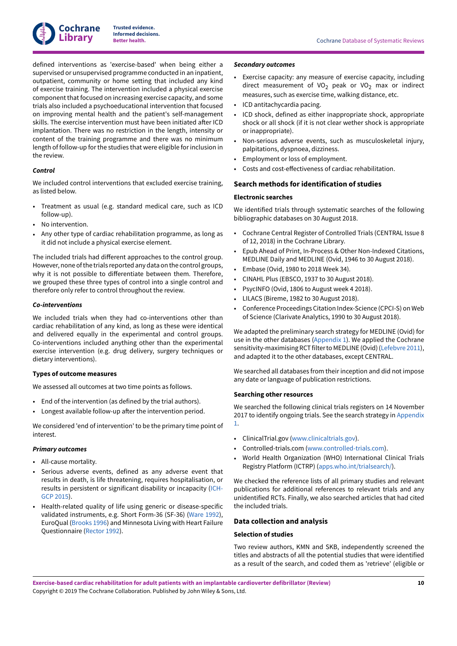defined interventions as 'exercise-based' when being either a supervised or unsupervised programme conducted in an inpatient, outpatient, community or home setting that included any kind of exercise training. The intervention included a physical exercise component that focused on increasing exercise capacity, and some trials also included a psychoeducational intervention that focused on improving mental health and the patient's self-management skills. The exercise intervention must have been initiated after ICD implantation. There was no restriction in the length, intensity or content of the training programme and there was no minimum length of follow-up for the studies that were eligible for inclusion in the review.

### *Control*

We included control interventions that excluded exercise training, as listed below.

- Treatment as usual (e.g. standard medical care, such as ICD follow-up).
- No intervention.
- Any other type of cardiac rehabilitation programme, as long as it did not include a physical exercise element.

The included trials had different approaches to the control group. However, none of the trials reported any data on the control groups, why it is not possible to differentiate between them. Therefore, we grouped these three types of control into a single control and therefore only refer to control throughout the review.

### *Co-interventions*

We included trials when they had co-interventions other than cardiac rehabilitation of any kind, as long as these were identical and delivered equally in the experimental and control groups. Co-interventions included anything other than the experimental exercise intervention (e.g. drug delivery, surgery techniques or dietary interventions).

# <span id="page-12-0"></span>**Types of outcome measures**

We assessed all outcomes at two time points as follows.

- End of the intervention (as defined by the trial authors).
- Longest available follow-up after the intervention period.

We considered 'end of intervention' to be the primary time point of interest.

### *Primary outcomes*

- All-cause mortality.
- Serious adverse events, defined as any adverse event that results in death, is life threatening, requires hospitalisation, or results in persistent or significant disability or incapacity [\(ICH-](#page-30-9)[GCP 2015](#page-30-9)).
- Health-related quality of life using generic or disease-specific validated instruments, e.g. Short Form-36 (SF-36) [\(Ware](#page-32-9) 1992), EuroQual [\(Brooks](#page-29-5) 1996) and Minnesota Living with Heart Failure Questionnaire ([Rector](#page-32-10) 1992).

#### *Secondary outcomes*

- Exercise capacity: any measure of exercise capacity, including direct measurement of VO<sub>2</sub> peak or VO<sub>2</sub> max or indirect measures, such as exercise time, walking distance, etc.
- ICD antitachycardia pacing.
- ICD shock, defined as either inappropriate shock, appropriate shock or all shock (if it is not clear wether shock is appropriate or inappropriate).
- Non-serious adverse events, such as musculoskeletal injury, palpitations, dyspnoea, dizziness.
- Employment or loss of employment.
- Costs and cost-effectiveness of cardiac rehabilitation.

### **Search methods for identification of studies**

### **Electronic searches**

We identified trials through systematic searches of the following bibliographic databases on 30 August 2018.

- Cochrane Central Register of Controlled Trials (CENTRAL Issue 8 of 12, 2018) in the Cochrane Library.
- Epub Ahead of Print, In-Process & Other Non-Indexed Citations, MEDLINE Daily and MEDLINE (Ovid, 1946 to 30 August 2018).
- Embase (Ovid, 1980 to 2018 Week 34).
- CINAHL Plus (EBSCO, 1937 to 30 August 2018).
- PsycINFO (Ovid, 1806 to August week 4 2018).
- LILACS (Bireme, 1982 to 30 August 2018).
- Conference Proceedings Citation Index-Science (CPCI-S) on Web of Science (Clarivate Analytics, 1990 to 30 August 2018).

We adapted the preliminary search strategy for MEDLINE (Ovid) for use in the other databases [\(Appendix 1](#page-62-2)). We applied the Cochrane sensitivity-maximising RCT filter to MEDLINE (Ovid) [\(Lefebvre](#page-31-14) 2011), and adapted it to the other databases, except CENTRAL.

We searched all databases from their inception and did not impose any date or language of publication restrictions.

### **Searching other resources**

We searched the following clinical trials registers on 14 November 2017 to identify ongoing trials. See the search strategy in [Appendix](#page-62-2) [1](#page-62-2).

- ClinicalTrial.gov [\(www.clinicaltrials.gov\)](http://www.clinicaltrials.gov).
- Controlled-trials.com ([www.controlled-trials.com\)](http://www.controlled-trials.com).
- World Health Organization (WHO) International Clinical Trials Registry Platform (ICTRP) [\(apps.who.int/trialsearch/\)](http://apps.who.int/trialsearch/).

We checked the reference lists of all primary studies and relevant publications for additional references to relevant trials and any unidentified RCTs. Finally, we also searched articles that had cited the included trials.

# **Data collection and analysis**

### **Selection of studies**

Two review authors, KMN and SKB, independently screened the titles and abstracts of all the potential studies that were identified as a result of the search, and coded them as 'retrieve' (eligible or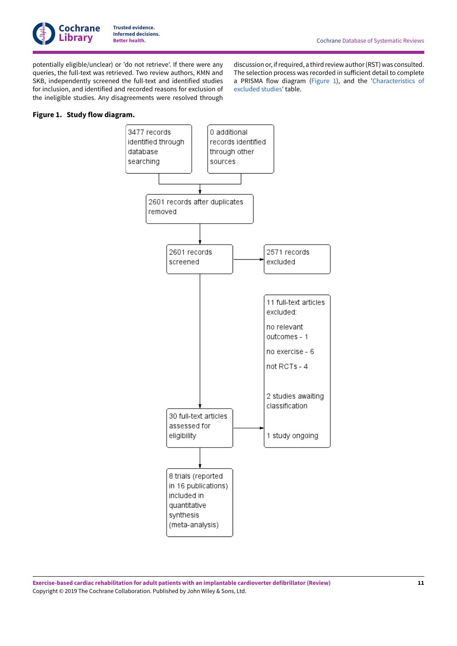potentially eligible/unclear) or 'do not retrieve'. If there were any queries, the full-text was retrieved. Two review authors, KMN and SKB, independently screened the full-text and identified studies for inclusion, and identified and recorded reasons for exclusion of the ineligible studies. Any disagreements were resolved through

discussion or, ifrequired, a third reviewauthor(RST)was consulted. The selection process was recorded in sufficient detail to complete a PRISMA flow diagram ([Figure](#page-13-0) 1), and the '[Characteristics](#page-47-0) of [excluded](#page-47-0) studies' table.

# <span id="page-13-0"></span>**Figure 1. Study flow diagram.**

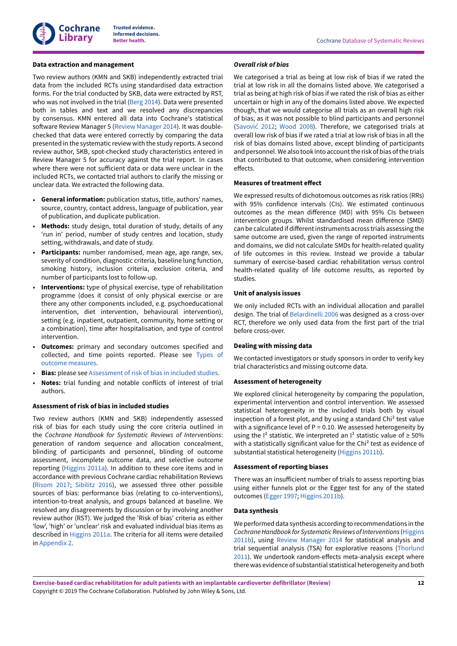### **Data extraction and management**

Two review authors (KMN and SKB) independently extracted trial data from the included RCTs using standardised data extraction forms. For the trial conducted by SKB, data were extracted by RST, who was not involved in the trial (Berg [2014](#page-28-4)). Data were presented both in tables and text and we resolved any discrepancies by consensus. KMN entered all data into Cochrane's statistical software Review [Manager](#page-32-11) 5 (Review Manager 2014). It was doublechecked that data were entered correctly by comparing the data presented in the systematic review with the study reports. A second review author, SKB, spot-checked study characteristics entered in Review Manager 5 for accuracy against the trial report. In cases where there were not sufficient data or data were unclear in the included RCTs, we contacted trial authors to clarify the missing or unclear data. We extracted the following data.

- **General information:** publication status, title, authors' names, source, country, contact address, language of publication, year of publication, and duplicate publication.
- **Methods:** study design, total duration of study, details of any 'run in' period, number of study centres and location, study setting, withdrawals, and date of study.
- **Participants:** number randomised, mean age, age range, sex, severity of condition, diagnostic criteria, baseline lung function, smoking history, inclusion criteria, exclusion criteria, and number of participants lost to follow-up.
- **Interventions:** type of physical exercise, type of rehabilitation programme (does it consist of only physical exercise or are there any other components included, e.g. psychoeducational intervention, diet intervention, behavioural intervention), setting (e.g. inpatient, outpatient, community, home setting or a combination), time after hospitalisation, and type of control intervention.
- **Outcomes:** primary and secondary outcomes specified and collected, and time points reported. Please see [Types](#page-12-0) of outcome [measures](#page-12-0).
- **Bias:** please see [Assessment](#page-14-0) of risk of bias in included studies.
- **Notes:** trial funding and notable conflicts of interest of trial authors.

### <span id="page-14-0"></span>**Assessment of risk of bias in included studies**

Two review authors (KMN and SKB) independently assessed risk of bias for each study using the core criteria outlined in the *Cochrane Handbook for Systematic Reviews of Interventions*: generation of random sequence and allocation concealment, blinding of participants and personnel, blinding of outcome assessment, incomplete outcome data, and selective outcome reporting [\(Higgins 2011a\)](#page-30-10). In addition to these core items and in accordance with previous Cochrane cardiac rehabilitation Reviews [\(Risom 2017](#page-32-7); [Sibilitz 2016](#page-32-8)), we assessed three other possible sources of bias: performance bias (relating to co-interventions), intention-to-treat analysis, and groups balanced at baseline. We resolved any disagreements by discussion or by involving another review author (RST). We judged the 'Risk of bias' criteria as either 'low', 'high' or 'unclear' risk and evaluated individual bias items as described in [Higgins 2011a](#page-30-10). The criteria for all items were detailed in [Appendix 2](#page-70-0).

# *Overall risk of bias*

We categorised a trial as being at low risk of bias if we rated the trial at low risk in all the domains listed above. We categorised a trial as being at high risk of bias if we rated the risk of bias as either uncertain or high in any of the domains listed above. We expected though, that we would categorise all trials as an overall high risk of bias, as it was not possible to blind participants and personnel [\(Savović](#page-32-12) 2012; [Wood 2008](#page-33-3)). Therefore, we categorised trials at overall low risk of bias if we rated a trial at low risk of bias in all the risk of bias domains listed above, except blinding of participants and personnel.We also took into accountthe risk of bias ofthe trials that contributed to that outcome, when considering intervention effects.

### **Measures of treatment effect**

We expressed results of dichotomous outcomes as risk ratios (RRs) with 95% confidence intervals (CIs). We estimated continuous outcomes as the mean difference (MD) with 95% CIs between intervention groups. Whilst standardised mean difference (SMD) can be calculated if different instruments across trials assessing the same outcome are used, given the range of reported instruments and domains, we did not calculate SMDs for health-related quality of life outcomes in this review. Instead we provide a tabular summary of exercise-based cardiac rehabilitation versus control health-related quality of life outcome results, as reported by studies.

### **Unit of analysis issues**

We only included RCTs with an individual allocation and parallel design. The trial of [Belardinelli](#page-28-6) 2006 was designed as a cross-over RCT, therefore we only used data from the first part of the trial before cross-over.

#### **Dealing with missing data**

We contacted investigators or study sponsors in order to verify key trial characteristics and missing outcome data.

### **Assessment of heterogeneity**

We explored clinical heterogeneity by comparing the population, experimental intervention and control intervention. We assessed statistical heterogeneity in the included trials both by visual inspection of a forest plot, and by using a standard  $Chi<sup>2</sup>$  test value with a significance level of  $P = 0.10$ . We assessed heterogeneity by using the  $1^2$  statistic. We interpreted an  $1^2$  statistic value of ≥ 50% with a statistically significant value for the Chi<sup>2</sup> test as evidence of substantial statistical heterogeneity ([Higgins 2011b](#page-30-11)).

#### **Assessment of reporting biases**

There was an insufficient number of trials to assess reporting bias using either funnels plot or the Egger test for any of the stated outcomes [\(Egger](#page-30-12) 1997; [Higgins 2011b](#page-30-11)).

### **Data synthesis**

We performed data synthesis according to recommendations in the *CochraneHandbook for SystematicReviews ofInterventions* ([Higgins](#page-30-11) [2011b\)](#page-30-11), using Review [Manager](#page-32-11) 2014 for statistical analysis and trial sequential analysis (TSA) for explorative reasons ([Thorlund](#page-32-13) [2011\)](#page-32-13). We undertook random-effects meta-analysis except where therewas evidence of substantial statistical heterogeneity and both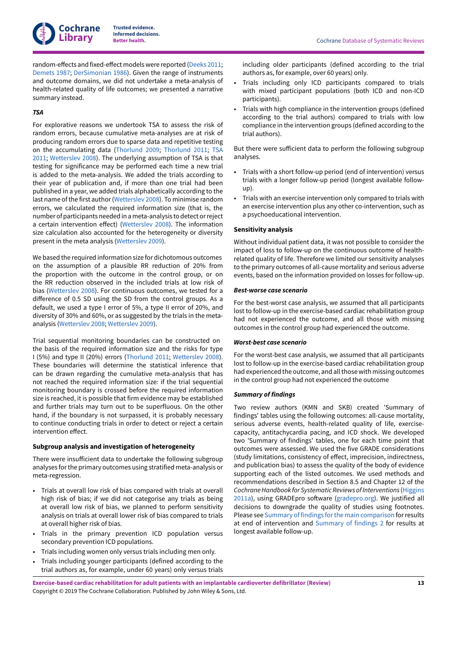

random-effects and fixed-effect models were reported [\(Deeks 2011](#page-30-13); [Demets](#page-30-14) 1987; [DerSimonian 1986\)](#page-30-15). Given the range of instruments and outcome domains, we did not undertake a meta-analysis of health-related quality of life outcomes; we presented a narrative summary instead.

### *TSA*

For explorative reasons we undertook TSA to assess the risk of random errors, because cumulative meta-analyses are at risk of producing random errors due to sparse data and repetitive testing on the accumulating data [\(Thorlund 2009;](#page-32-14) [Thorlund 2011](#page-32-13); [TSA](#page-32-15) [2011](#page-32-15); [Wetterslev](#page-32-16) 2008). The underlying assumption of TSA is that testing for significance may be performed each time a new trial is added to the meta-analysis. We added the trials according to their year of publication and, if more than one trial had been published in a year, we added trials alphabetically according to the last name of the first author ([Wetterslev](#page-32-16) 2008). To minimise random errors, we calculated the required information size (that is, the number of participants needed in a meta-analysis to detect or reject a certain intervention effect) [\(Wetterslev](#page-32-16) 2008). The information size calculation also accounted for the heterogeneity or diversity present in the meta analysis ([Wetterslev](#page-32-17) 2009).

We based the required information size for dichotomous outcomes on the assumption of a plausible RR reduction of 20% from the proportion with the outcome in the control group, or on the RR reduction observed in the included trials at low risk of bias [\(Wetterslev](#page-32-16) 2008). For continuous outcomes, we tested for a difference of 0.5 SD using the SD from the control groups. As a default, we used a type I error of 5%, a type II error of 20%, and diversity of 30% and 60%, or as suggested by the trials in the metaanalysis [\(Wetterslev](#page-32-16) 2008; [Wetterslev](#page-32-17) 2009).

Trial sequential monitoring boundaries can be constructed on the basis of the required information size and the risks for type I (5%) and type II (20%) errors ([Thorlund 2011](#page-32-13); [Wetterslev](#page-32-16) 2008). These boundaries will determine the statistical inference that can be drawn regarding the cumulative meta-analysis that has not reached the required information size: if the trial sequential monitoring boundary is crossed before the required information size is reached, it is possible that firm evidence may be established and further trials may turn out to be superfluous. On the other hand, if the boundary is not surpassed, it is probably necessary to continue conducting trials in order to detect or reject a certain intervention effect

# **Subgroup analysis and investigation of heterogeneity**

There were insufficient data to undertake the following subgroup analyses forthe primary outcomes using stratified meta-analysis or meta-regression.

- Trials at overall low risk of bias compared with trials at overall high risk of bias; if we did not categorise any trials as being at overall low risk of bias, we planned to perform sensitivity analysis on trials at overall lower risk of bias compared to trials at overall higher risk of bias.
- Trials in the primary prevention ICD population versus secondary prevention ICD populations.
- Trials including women only versus trials including men only.
- Trials including younger participants (defined according to the trial authors as, for example, under 60 years) only versus trials

including older participants (defined according to the trial authors as, for example, over 60 years) only.

- Trials including only ICD participants compared to trials with mixed participant populations (both ICD and non-ICD participants).
- Trials with high compliance in the intervention groups (defined according to the trial authors) compared to trials with low compliance in the intervention groups (defined according to the trial authors).

But there were sufficient data to perform the following subgroup analyses.

- Trials with a short follow-up period (end of intervention) versus trials with a longer follow-up period (longest available followup).
- Trials with an exercise intervention only compared to trials with an exercise intervention plus any other co-intervention, such as a psychoeducational intervention.

# **Sensitivity analysis**

Without individual patient data, it was not possible to consider the impact of loss to follow-up on the continuous outcome of healthrelated quality of life. Therefore we limited our sensitivity analyses to the primary outcomes of all-cause mortality and serious adverse events, based on the information provided on losses for follow-up.

### *Best-worse case scenario*

For the best-worst case analysis, we assumed that all participants lost to follow-up in the exercise-based cardiac rehabilitation group had not experienced the outcome, and all those with missing outcomes in the control group had experienced the outcome.

### *Worst-best case scenario*

For the worst-best case analysis, we assumed that all participants lost to follow-up in the exercise-based cardiac rehabilitation group had experienced the outcome, and all those with missing outcomes in the control group had not experienced the outcome

# *Summary of findings*

Two review authors (KMN and SKB) created 'Summary of findings' tables using the following outcomes: all-cause mortality, serious adverse events, health-related quality of life, exercisecapacity, antitachycardia pacing, and ICD shock. We developed two 'Summary of findings' tables, one for each time point that outcomes were assessed. We used the five GRADE considerations (study limitations, consistency of effect, imprecision, indirectness, and publication bias) to assess the quality of the body of evidence supporting each of the listed outcomes. We used methods and recommendations described in Section 8.5 and Chapter 12 of the *CochraneHandbook for SystematicReviews ofInterventions* ([Higgins](#page-30-10) [2011a](#page-30-10)), using GRADEpro software ([gradepro.org\)](https://gradepro.org/). We justified all decisions to downgrade the quality of studies using footnotes. Please see Summary of findings for the main [comparison](#page-6-1) for results at end of intervention and [Summary](#page-8-0) of findings 2 for results at longest available follow-up.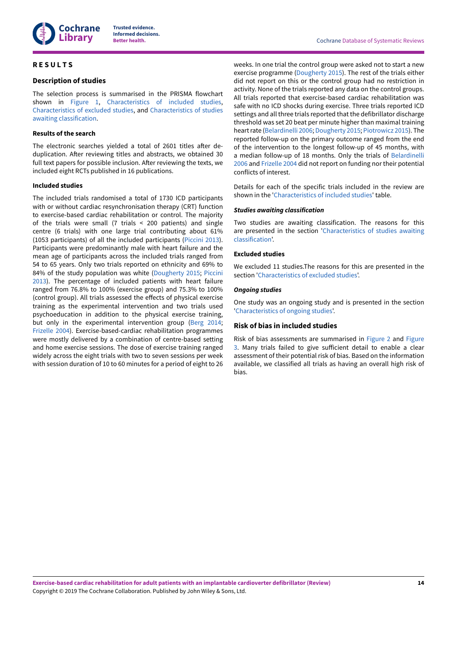

# <span id="page-16-0"></span>**R E S U L T S**

### **Description of studies**

The selection process is summarised in the PRISMA flowchart shown in [Figure](#page-13-0) 1, [Characteristics](#page-33-4) of included studies, [Characteristics](#page-47-0) of excluded studies, and [Characteristics](#page-48-0) of studies awaiting [classification.](#page-48-0)

### **Results of the search**

The electronic searches yielded a total of 2601 titles after deduplication. After reviewing titles and abstracts, we obtained 30 full text papers for possible inclusion. After reviewing the texts, we included eight RCTs published in 16 publications.

### **Included studies**

The included trials randomised a total of 1730 ICD participants with or without cardiac resynchronisation therapy (CRT) function to exercise-based cardiac rehabilitation or control. The majority of the trials were small (7 trials < 200 patients) and single centre (6 trials) with one large trial contributing about 61% (1053 participants) of all the included participants [\(Piccini](#page-28-7) 2013). Participants were predominantly male with heart failure and the mean age of participants across the included trials ranged from 54 to 65 years. Only two trials reported on ethnicity and 69% to 84% of the study population was white [\(Dougherty 2015;](#page-28-8) [Piccini](#page-28-7) [2013](#page-28-7)). The percentage of included patients with heart failure ranged from 76.8% to 100% (exercise group) and 75.3% to 100% (control group). All trials assessed the effects of physical exercise training as the experimental intervention and two trials used psychoeducation in addition to the physical exercise training, but only in the experimental intervention group (Berg [2014](#page-28-4); [Frizelle](#page-28-9) 2004). Exercise-based-cardiac rehabilitation programmes were mostly delivered by a combination of centre-based setting and home exercise sessions. The dose of exercise training ranged widely across the eight trials with two to seven sessions per week with session duration of 10 to 60 minutes for a period of eight to 26

weeks. In one trial the control group were asked not to start a new exercise programme [\(Dougherty 2015\)](#page-28-8). The rest of the trials either did not report on this or the control group had no restriction in activity. None of the trials reported any data on the control groups. All trials reported that exercise-based cardiac rehabilitation was safe with no ICD shocks during exercise. Three trials reported ICD settings and all three trials reported that the defibrillator discharge threshold was set 20 beat per minute higher than maximal training heart rate ([Belardinelli](#page-28-6) 2006; [Dougherty 2015;](#page-28-8) [Piotrowicz](#page-28-10) 2015). The reported follow-up on the primary outcome ranged from the end of the intervention to the longest follow-up of 45 months, with a median follow-up of 18 months. Only the trials of [Belardinelli](#page-28-6) [2006](#page-28-6) and [Frizelle](#page-28-9) 2004 did not report on funding nor their potential conflicts of interest.

Details for each of the specific trials included in the review are shown in the '[Characteristics](#page-33-4) of included studies' table.

### *Studies awaiting classification*

Two studies are awaiting classification. The reasons for this are presented in the section '[Characteristics](#page-48-0) of studies awaiting [classification](#page-48-0)'.

### **Excluded studies**

We excluded 11 studies.The reasons for this are presented in the section '[Characteristics](#page-47-0) of excluded studies'.

### *Ongoing studies*

One study was an ongoing study and is presented in the section '[Characteristics](#page-48-1) of ongoing studies'.

# **Risk of bias in included studies**

Risk of bias assessments are summarised in [Figure](#page-17-0) 2 and [Figure](#page-18-0) [3](#page-18-0). Many trials failed to give sufficient detail to enable a clear assessment of their potential risk of bias. Based on the information available, we classified all trials as having an overall high risk of bias.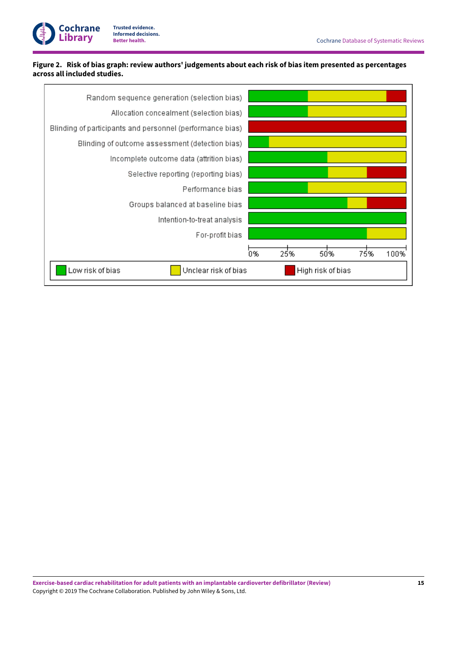

# <span id="page-17-0"></span>Figure 2. Risk of bias graph: review authors' judgements about each risk of bias item presented as percentages **across all included studies.**

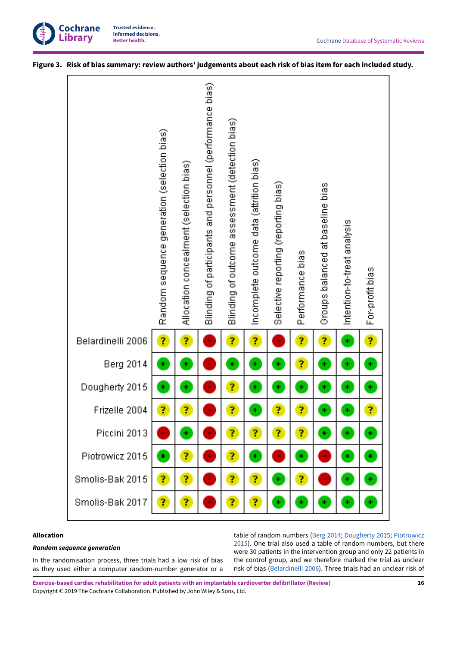

|                   | Random sequence generation (selection bias) | Allocation concealment (selection bias) | Blinding of participants and personnel (performance bias) | Blinding of outcome assessment (detection bias) | (Incomplete outcome data (attrition bias | Selective reporting (reporting bias) | Performance bias | Groups balanced at baseline bias | Intention-to-treat analysis | For-profit bias     |  |
|-------------------|---------------------------------------------|-----------------------------------------|-----------------------------------------------------------|-------------------------------------------------|------------------------------------------|--------------------------------------|------------------|----------------------------------|-----------------------------|---------------------|--|
| Belardinelli 2006 | Ĩ,                                          | Ĩ,                                      |                                                           | ?                                               | Ĩ,                                       |                                      | ?                | ?                                | ÷                           | Ŧ,                  |  |
| <b>Berg 2014</b>  | ÷                                           | ÷                                       |                                                           | ÷                                               | ÷                                        | ÷                                    | Ĩ,               | ÷                                | ÷                           | $\color{red}+$      |  |
| Dougherty 2015    | ÷                                           | ÷                                       |                                                           | 7                                               | ÷                                        | ÷                                    | ÷                | ÷                                | ÷                           | $\pm$               |  |
| Frizelle 2004     | ?                                           | ?                                       |                                                           | ?                                               | ÷                                        | ?                                    | ?                | ÷                                | ÷                           | ?                   |  |
| Piccini 2013      |                                             | ¥                                       |                                                           | 7                                               | 7                                        | ?                                    | 7                | ٠                                | ÷                           | $\ddot{\textbf{r}}$ |  |
| Piotrowicz 2015   | $\pm$                                       | 7                                       |                                                           | 7                                               | ٠                                        |                                      | ÷                |                                  | ÷                           | $\ddot{}$           |  |
| Smolis-Bak 2015   | ?                                           | 7                                       |                                                           | 7                                               | 7                                        | $\color{red}+$                       | ?                |                                  | ÷                           | $\color{red}+$      |  |
| Smolis-Bak 2017   | 7                                           | ?                                       |                                                           | 7                                               | 7                                        |                                      | ÷                | ÷                                | ÷                           | ٠                   |  |

# <span id="page-18-0"></span>Figure 3. Risk of bias summary: review authors' judgements about each risk of bias item for each included study.

# **Allocation**

# *Random sequence generation*

In the randomisation process, three trials had a low risk of bias as they used either a computer random-number generator or a

table of random numbers (Berg [2014](#page-28-4); [Dougherty 2015;](#page-28-8) [Piotrowicz](#page-28-10) [2015\)](#page-28-10). One trial also used a table of random numbers, but there were 30 patients in the intervention group and only 22 patients in the control group, and we therefore marked the trial as unclear risk of bias ([Belardinelli](#page-28-6) 2006). Three trials had an unclear risk of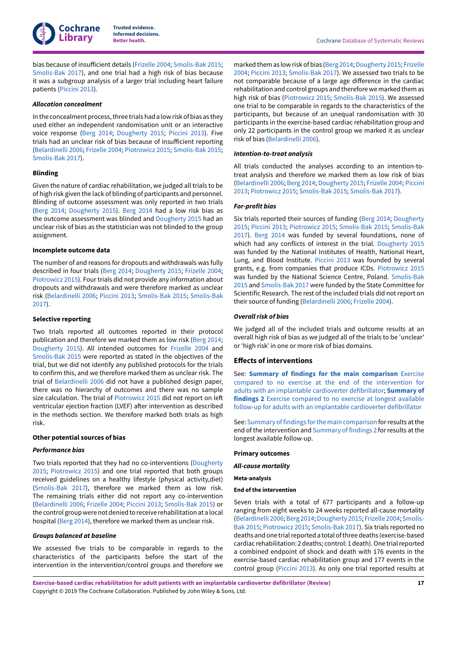**Cochrane Library**

**Trusted evidence. Informed decisions.**

bias because of insufficient details [\(Frizelle](#page-28-9) 2004; [Smolis-Bak](#page-28-11) 2015; [Smolis-Bak](#page-28-12) 2017), and one trial had a high risk of bias because it was a subgroup analysis of a larger trial including heart failure patients ([Piccini](#page-28-7) 2013).

### *Allocation concealment*

In the concealment process, three trials had a low risk of bias as they used either an independent randomisation unit or an interactive voice response (Berg [2014](#page-28-4); [Dougherty 2015;](#page-28-8) [Piccini](#page-28-7) 2013). Five trials had an unclear risk of bias because of insufficient reporting [\(Belardinelli](#page-28-6) 2006; [Frizelle](#page-28-9) 2004; [Piotrowicz](#page-28-10) 2015; [Smolis-Bak](#page-28-11) 2015; [Smolis-Bak](#page-28-12) 2017).

### **Blinding**

Given the nature of cardiac rehabilitation, we judged all trials to be of high risk given the lack of blinding of participants and personnel. Blinding of outcome assessment was only reported in two trials (Berg [2014](#page-28-4); [Dougherty 2015](#page-28-8)). Berg [2014](#page-28-4) had a low risk bias as the outcome assessment was blinded and [Dougherty 2015](#page-28-8) had an unclear risk of bias as the statistician was not blinded to the group assignment.

### **Incomplete outcome data**

The number of and reasons for dropouts and withdrawals was fully described in four trials (Berg [2014;](#page-28-4) [Dougherty 2015](#page-28-8); [Frizelle](#page-28-9) 2004; [Piotrowicz](#page-28-10) 2015). Four trials did not provide any information about dropouts and withdrawals and were therefore marked as unclear risk [\(Belardinelli](#page-28-6) 2006; [Piccini](#page-28-7) 2013; [Smolis-Bak](#page-28-11) 2015; [Smolis-Bak](#page-28-12) [2017](#page-28-12)).

### **Selective reporting**

Two trials reported all outcomes reported in their protocol publication and therefore we marked them as low risk (Berg [2014](#page-28-4); [Dougherty 2015](#page-28-8)). All intended outcomes for [Frizelle](#page-28-9) 2004 and [Smolis-Bak](#page-28-11) 2015 were reported as stated in the objectives of the trial, but we did not identify any published protocols for the trials to confirm this, and we therefore marked them as unclear risk. The trial of [Belardinelli](#page-28-6) 2006 did not have a published design paper, there was no hierarchy of outcomes and there was no sample size calculation. The trial of [Piotrowicz](#page-28-10) 2015 did not report on left ventricular ejection fraction (LVEF) after intervention as described in the methods section. We therefore marked both trials as high risk.

### **Other potential sources of bias**

### *Performance bias*

Two trials reported that they had no co-interventions ([Dougherty](#page-28-8) [2015](#page-28-8); [Piotrowicz](#page-28-10) 2015) and one trial reported that both groups received guidelines on a healthy lifestyle (physical activity,diet) [\(Smolis-Bak](#page-28-12) 2017), therefore we marked them as low risk. The remaining trials either did not report any co-intervention [\(Belardinelli](#page-28-6) 2006; [Frizelle](#page-28-9) 2004; [Piccini](#page-28-7) 2013; [Smolis-Bak](#page-28-11) 2015) or the control group were not denied to receive rehabilitation at a local hospital (Berg [2014\)](#page-28-4), therefore we marked them as unclear risk.

### *Groups balanced at baseline*

We assessed five trials to be comparable in regards to the characteristics of the participants before the start of the intervention in the intervention/control groups and therefore we

marked them as lowrisk of bias (Berg [2014](#page-28-4); [Dougherty 2015](#page-28-8); [Frizelle](#page-28-9) [2004;](#page-28-9) [Piccini](#page-28-7) 2013; [Smolis-Bak](#page-28-12) 2017). We assessed two trials to be not comparable because of a large age difference in the cardiac rehabilitation and control groups and therefore we marked them as high risk of bias [\(Piotrowicz](#page-28-10) 2015; [Smolis-Bak](#page-28-11) 2015). We assessed one trial to be comparable in regards to the characteristics of the participants, but because of an unequal randomisation with 30 participants in the exercise-based cardiac rehabilitation group and only 22 participants in the control group we marked it as unclear risk of bias [\(Belardinelli](#page-28-6) 2006).

# *Intention-to-treat analysis*

All trials conducted the analyses according to an intention-totreat analysis and therefore we marked them as low risk of bias [\(Belardinelli](#page-28-6) 2006; Berg [2014;](#page-28-4) [Dougherty 2015;](#page-28-8) [Frizelle](#page-28-9) 2004; [Piccini](#page-28-7) [2013;](#page-28-7) [Piotrowicz](#page-28-10) 2015; [Smolis-Bak](#page-28-11) 2015; [Smolis-Bak](#page-28-12) 2017).

### *For-profit bias*

Six trials reported their sources of funding (Berg [2014](#page-28-4); [Dougherty](#page-28-8) [2015;](#page-28-8) [Piccini](#page-28-7) 2013; [Piotrowicz](#page-28-10) 2015; [Smolis-Bak](#page-28-11) 2015; [Smolis-Bak](#page-28-12) [2017\)](#page-28-12). Berg [2014](#page-28-4) was funded by several foundations, none of which had any conflicts of interest in the trial. [Dougherty 2015](#page-28-8) was funded by the National Institutes of Health, National Heart, Lung, and Blood Institute. [Piccini](#page-28-7) 2013 was founded by several grants, e.g. from companies that produce ICDs. [Piotrowicz](#page-28-10) 2015 was funded by the National Science Centre, Poland. [Smolis-Bak](#page-28-11) [2015](#page-28-11) and [Smolis-Bak](#page-28-12) 2017 were funded by the State Committee for Scientific Research. The rest of the included trials did not report on their source of funding ([Belardinelli](#page-28-6) 2006; [Frizelle](#page-28-9) 2004).

# *Overall risk of bias*

We judged all of the included trials and outcome results at an overall high risk of bias as we judged all of the trials to be 'unclear' or 'high risk' in one or more risk of bias domains.

# **Effects of interventions**

See: **Summary of findings for the main [comparison](#page-6-1)** Exercise compared to no exercise at the end of the [intervention](#page-6-1) for adults with an implantable [cardioverter](#page-6-1) defibrillator; **[Summary](#page-8-0) of [findings 2](#page-8-0)** Exercise compared to no exercise at longest available follow-up for adults with an implantable [cardioverter](#page-8-0) defibrillator

See: Summary of findings for the main [comparison](#page-6-1) for results at the end of the intervention and [Summary](#page-8-0) of findings 2 for results at the longest available follow-up.

### **Primary outcomes**

*All-cause mortality*

**Meta-analysis**

### **End of the intervention**

Seven trials with a total of 677 participants and a follow-up ranging from eight weeks to 24 weeks reported all-cause mortality [\(Belardinelli](#page-28-6) 2006; Berg [2014](#page-28-4); [Dougherty 2015;](#page-28-8) [Frizelle](#page-28-9) 2004; [Smolis-](#page-28-11)[Bak 2015;](#page-28-11) [Piotrowicz](#page-28-10) 2015; [Smolis-Bak](#page-28-12) 2017). Six trials reported no deaths and one trial reported a total of three deaths (exercise-based cardiac rehabilitation: 2deaths; control: 1death).One trialreported a combined endpoint of shock and death with 176 events in the exercise-based cardiac rehabilitation group and 177 events in the control group [\(Piccini](#page-28-7) 2013). As only one trial reported results at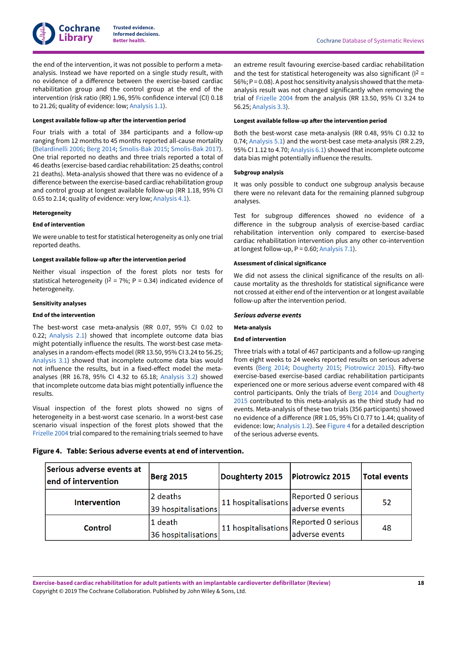

the end of the intervention, it was not possible to perform a metaanalysis. Instead we have reported on a single study result, with no evidence of a difference between the exercise-based cardiac rehabilitation group and the control group at the end of the intervention (risk ratio (RR) 1.96, 95% confidence interval (CI) 0.18 to 21.26; quality of evidence: low; [Analysis 1.1\)](#page-50-0).

#### **Longest available follow-up after the intervention period**

Four trials with a total of 384 participants and a follow-up ranging from 12 months to 45 months reported all-cause mortality [\(Belardinelli](#page-28-6) 2006; Berg [2014;](#page-28-4) [Smolis-Bak](#page-28-11) 2015; [Smolis-Bak](#page-28-12) 2017). One trial reported no deaths and three trials reported a total of 46 deaths (exercise-based cardiac rehabilitation: 25 deaths; control 21 deaths). Meta-analysis showed that there was no evidence of a difference between the exercise-based cardiac rehabilitation group and control group at longest available follow-up (RR 1.18, 95% CI 0.65 to 2.14; quality of evidence: very low; [Analysis 4.1\)](#page-55-1).

#### **Heterogeneity**

#### **End of intervention**

We were unable to test for statistical heterogeneity as only one trial reported deaths.

#### **Longest available follow-up after the intervention period**

Neither visual inspection of the forest plots nor tests for statistical heterogeneity ( $12 = 7\%$ ; P = 0.34) indicated evidence of heterogeneity.

### **Sensitivity analyses**

### **End of the intervention**

The best-worst case meta-analysis (RR 0.07, 95% CI 0.02 to 0.22; [Analysis 2.1](#page-52-2)) showed that incomplete outcome data bias might potentially influence the results. The worst-best case metaanalyses in a random-effects model (RR 13.50, 95% CI 3.24 to 56.25; [Analysis 3.1\)](#page-54-0) showed that incomplete outcome data bias would not influence the results, but in a fixed-effect model the metaanalyses (RR 16.78, 95% CI 4.32 to 65.18; [Analysis 3.2\)](#page-54-1) showed that incomplete outcome data bias might potentially influence the results.

Visual inspection of the forest plots showed no signs of heterogeneity in a best-worst case scenario. In a worst-best case scenario visual inspection of the forest plots showed that the [Frizelle](#page-28-9) 2004 trial compared to the remaining trials seemed to have

an extreme result favouring exercise-based cardiac rehabilitation and the test for statistical heterogeneity was also significant  $(1^2 =$ 56%;  $P = 0.08$ ). A post hoc sensitivity analysis showed that the metaanalysis result was not changed significantly when removing the trial of [Frizelle](#page-28-9) 2004 from the analysis (RR 13.50, 95% CI 3.24 to 56.25; [Analysis 3.3](#page-54-2)).

#### **Longest available follow-up after the intervention period**

Both the best-worst case meta-analysis (RR 0.48, 95% CI 0.32 to 0.74; [Analysis 5.1\)](#page-58-1) and the worst-best case meta-analysis (RR 2.29, 95% CI 1.12 to 4.70; [Analysis 6.1](#page-59-0)) showed that incomplete outcome data bias might potentially influence the results.

### **Subgroup analysis**

It was only possible to conduct one subgroup analysis because there were no relevant data for the remaining planned subgroup analyses.

Test for subgroup differences showed no evidence of a difference in the subgroup analysis of exercise-based cardiac rehabilitation intervention only compared to exercise-based cardiac rehabilitation intervention plus any other co-intervention at longest follow-up,  $P = 0.60$ ; [Analysis 7.1\)](#page-61-0).

### **Assessment of clinical significance**

We did not assess the clinical significance of the results on allcause mortality as the thresholds for statistical significance were not crossed at either end of the intervention or at longest available follow-up after the intervention period.

#### *Serious adverse events*

#### **Meta-analysis**

#### **End of intervention**

Three trials with a total of 467 participants and a follow-up ranging from eight weeks to 24 weeks reported results on serious adverse events (Berg [2014](#page-28-4); [Dougherty 2015;](#page-28-8) [Piotrowicz](#page-28-10) 2015). Fifty-two exercise-based exercise-based cardiac rehabilitation participants experienced one or more serious adverse event compared with 48 control participants. Only the trials of Berg [2014](#page-28-4) and [Dougherty](#page-28-8) [2015](#page-28-8) contributed to this meta-analysis as the third study had no events. Meta-analysis of these two trials (356 participants) showed no evidence of a difference (RR 1.05, 95% CI 0.77 to 1.44; quality of evidence: low; [Analysis 1.2](#page-50-1)). See [Figure](#page-20-0) 4 for a detailed description of the serious adverse events.

<span id="page-20-0"></span>**Figure 4. Table:Serious adverse events at end of intervention.**

| Serious adverse events at<br>$ $ end of intervention | <b>Berg 2015</b>                 | Doughterty 2015     | Piotrowicz 2015                             | Total events |
|------------------------------------------------------|----------------------------------|---------------------|---------------------------------------------|--------------|
| <b>Intervention</b>                                  | 12 deaths<br>39 hospitalisations | 11 hospitalisations | <b>Reported 0 serious</b><br>adverse events | 52           |
| Control                                              | 1 death<br>36 hospitalisations   | 11 hospitalisations | <b>Reported 0 serious</b><br>adverse events | 48           |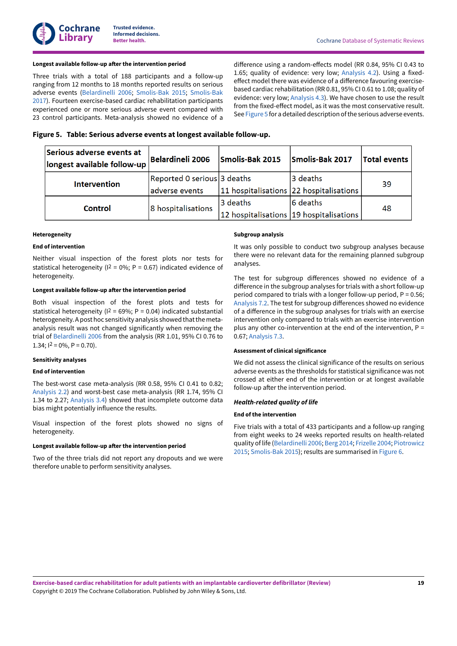

#### **Longest available follow-up after the intervention period**

Three trials with a total of 188 participants and a follow-up ranging from 12 months to 18 months reported results on serious adverse events [\(Belardinelli](#page-28-6) 2006; [Smolis-Bak](#page-28-11) 2015; [Smolis-Bak](#page-28-12) [2017](#page-28-12)). Fourteen exercise-based cardiac rehabilitation participants experienced one or more serious adverse event compared with 23 control participants. Meta-analysis showed no evidence of a

difference using a random-effects model (RR 0.84, 95% CI 0.43 to 1.65; quality of evidence: very low; [Analysis 4.2\)](#page-56-0). Using a fixedeffect model there was evidence of a difference favouring exercisebased cardiac rehabilitation (RR 0.81, 95% CI 0.61 to 1.08; quality of evidence: very low; [Analysis 4.3](#page-56-1)). We have chosen to use the result from the fixed-effect model, as it was the most conservative result. See [Figure](#page-21-0) 5 for a detailed description of the serious adverse events.

### <span id="page-21-0"></span>**Figure 5. Table:Serious adverse events at longest available follow-up.**

| Serious adverse events at<br>longest available follow-up | Belardineli 2006   | Smolis-Bak 2015                         | Smolis-Bak 2017 | Total events |  |
|----------------------------------------------------------|--------------------|-----------------------------------------|-----------------|--------------|--|
| <b>Intervention</b>                                      |                    | Reported 0 serious 3 deaths<br>3 deaths |                 | 39           |  |
|                                                          | adverse events     | 11 hospitalisations 22 hospitalisations |                 |              |  |
| Control                                                  |                    | 3 deaths                                | 16 deaths       | 48           |  |
|                                                          | 8 hospitalisations | 12 hospitalisations 19 hospitalisations |                 |              |  |

#### **Heterogeneity**

### **End of intervention**

Neither visual inspection of the forest plots nor tests for statistical heterogeneity ( $1^2 = 0\%$ ; P = 0.67) indicated evidence of heterogeneity.

### **Longest available follow-up after the intervention period**

Both visual inspection of the forest plots and tests for statistical heterogeneity (I 2 = 69%; P = 0.04) indicated substantial heterogeneity. A post hoc sensitivity analysis showed that the metaanalysis result was not changed significantly when removing the trial of [Belardinelli](#page-28-6) 2006 from the analysis (RR 1.01, 95% CI 0.76 to 1.34;  $1^2 = 0\%$ ,  $P = 0.70$ ).

#### **Sensitivity analyses**

#### **End of intervention**

The best-worst case meta-analysis (RR 0.58, 95% CI 0.41 to 0.82; [Analysis 2.2](#page-53-0)) and worst-best case meta-analysis (RR 1.74, 95% CI 1.34 to 2.27; [Analysis 3.4\)](#page-55-0) showed that incomplete outcome data bias might potentially influence the results.

Visual inspection of the forest plots showed no signs of heterogeneity.

### **Longest available follow-up after the intervention period**

Two of the three trials did not report any dropouts and we were therefore unable to perform sensitivity analyses.

#### **Subgroup analysis**

It was only possible to conduct two subgroup analyses because there were no relevant data for the remaining planned subgroup analyses.

The test for subgroup differences showed no evidence of a difference in the subgroup analyses for trials with a short follow-up period compared to trials with a longer follow-up period, P = 0.56; [Analysis 7.2](#page-61-1). The test for subgroup differences showed no evidence of a difference in the subgroup analyses for trials with an exercise intervention only compared to trials with an exercise intervention plus any other co-intervention at the end of the intervention,  $P =$ 0.67; [Analysis 7.3](#page-62-0).

### **Assessment of clinical significance**

We did not assess the clinical significance of the results on serious adverse events as the thresholds for statistical significance was not crossed at either end of the intervention or at longest available follow-up after the intervention period.

#### *Health-related quality of life*

#### **End of the intervention**

Five trials with a total of 433 participants and a follow-up ranging from eight weeks to 24 weeks reported results on health-related quality of life ([Belardinelli](#page-28-6) 2006; Berg [2014;](#page-28-4) [Frizelle](#page-28-9) 2004; [Piotrowicz](#page-28-10) [2015;](#page-28-10) [Smolis-Bak](#page-28-11) 2015); results are summarised in [Figure](#page-22-0) 6.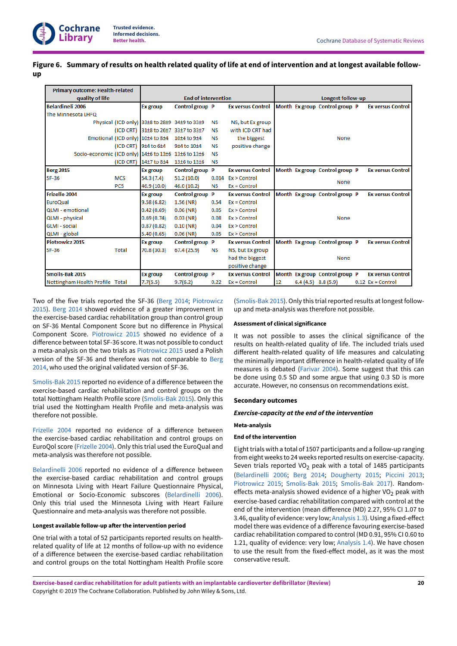| Primary outcome: Health-related                     |              |                                               |                            |           |                          |    |                      |                                |                          |
|-----------------------------------------------------|--------------|-----------------------------------------------|----------------------------|-----------|--------------------------|----|----------------------|--------------------------------|--------------------------|
| quality of life                                     |              |                                               | <b>End of intervention</b> |           |                          |    |                      | Longest follow-up              |                          |
| <b>Belardineli 2006</b>                             |              | Ex group                                      | Control group P            |           | <b>Ex versus Control</b> |    |                      | Month Ex group Control group P | <b>Ex versus Control</b> |
| The Minnesota LHFQ                                  |              |                                               |                            |           |                          |    |                      |                                |                          |
|                                                     |              | Physical (ICD only) 33±8 to 28±9 34±9 to 33±9 |                            | <b>NS</b> | NS, but Ex group         |    |                      |                                |                          |
|                                                     |              | (ICD CRT) 31±8 to 26±7 33±7 to 33±7           |                            | <b>NS</b> | with ICD CRT had         |    |                      |                                |                          |
|                                                     |              | Emotional (ICD only) 10±4 to 8±4              | 10±4 to 9±4                | <b>NS</b> | the biggest              |    |                      | None                           |                          |
|                                                     |              | $(ICD CRT)$ 9 $±4$ to 6 $±4$                  | 9±4 to 10±4                | <b>NS</b> | positive change          |    |                      |                                |                          |
| Socio-economic (ICD only) 14±6 to 13±6 13±6 to 13±6 |              |                                               |                            | <b>NS</b> |                          |    |                      |                                |                          |
|                                                     |              | (ICD CRT) 14±7 to 8±4                         | 13±6 to 13±6               | <b>NS</b> |                          |    |                      |                                |                          |
| <b>Berg 2015</b>                                    |              | Ex group                                      | Control group P            |           | <b>Ex versus Control</b> |    |                      | Month Ex group Control group P | <b>Ex versus Control</b> |
| <b>SF-36</b>                                        | <b>MCS</b>   | 54.3 (7.4)                                    | 51.2(10.0)                 |           | $0.014$ Ex > Control     |    |                      | None                           |                          |
|                                                     | <b>PCS</b>   | 46.9 (10.0)                                   | 46.0 (10.2)                | <b>NS</b> | $Ex = Control$           |    |                      |                                |                          |
| Frizelle 2004                                       |              | Ex group                                      | Control group P            |           | <b>Ex versus Control</b> |    |                      | Month Ex group Control group P | <b>Ex versus Control</b> |
| <b>EuroQual</b>                                     |              | 9.58(6.82)                                    | $1.56$ (NR)                | 0.54      | $Ex = Control$           |    |                      |                                |                          |
| QLMI - emotional                                    |              | 0.42(0.69)                                    | $0.06$ (NR)                | 0.05      | $Ex >$ Control           |    |                      |                                |                          |
| QLMI - physical                                     |              | 0.69(0.74)                                    | $0.03$ (NR)                | 0.08      | $Ex >$ Control           |    |                      | None                           |                          |
| GLMI - social                                       |              | 0.87(0.82)                                    | $0.10$ (NR)                | 0.04      | $Ex >$ Control           |    |                      |                                |                          |
| QLMI - global                                       |              | 5.40(0.65)                                    | $0.06$ (NR)                | 0.05      | $Ex >$ Control           |    |                      |                                |                          |
| <b>Piotrowicz 2015</b>                              |              | Ex group                                      | Control group P            |           | <b>Ex versus Control</b> |    |                      | Month Ex group Control group P | <b>Ex versus Control</b> |
| <b>SF-36</b>                                        | <b>Total</b> | 70.8 (30.3)                                   | 67.4(25.9)                 | <b>NS</b> | NS, but Ex group         |    |                      |                                |                          |
|                                                     |              |                                               |                            |           | had the biggest          |    |                      | <b>None</b>                    |                          |
|                                                     |              |                                               |                            |           | positive change          |    |                      |                                |                          |
| <b>Smolis-Bak 2015</b>                              |              | Ex group                                      | <b>Control group P</b>     |           | <b>Ex versus Control</b> |    |                      | Month Ex group Control group P | <b>Ex versus Control</b> |
| Nottingham Health Profile Total                     |              | 7.7(5.5)                                      | 9.7(6.2)                   | 0.22      | $Ex = Control$           | 12 | $6.4(4.5)$ 8.8 (5.9) |                                | $0.12$ Ex = Control      |

# <span id="page-22-0"></span>Figure 6. Summary of results on health related quality of life at end of intervention and at longest available follow**up**

Two of the five trials reported the SF-36 (Berg [2014](#page-28-4); [Piotrowicz](#page-28-10) [2015](#page-28-10)). Berg [2014](#page-28-4) showed evidence of a greater improvement in the exercise-based cardiac rehabilitation group than control group on SF-36 Mental Component Score but no difference in Physical Component Score. [Piotrowicz](#page-28-10) 2015 showed no evidence of a difference between total SF-36 score. It was not possible to conduct a meta-analysis on the two trials as [Piotrowicz](#page-28-10) 2015 used a Polish version of the SF-36 and therefore was not comparable to [Berg](#page-28-4) [2014](#page-28-4), who used the original validated version of SF-36.

[Smolis-Bak](#page-28-11) 2015 reported no evidence of a difference between the exercise-based cardiac rehabilitation and control groups on the total Nottingham Health Profile score ([Smolis-Bak](#page-28-11) 2015). Only this trial used the Nottingham Health Profile and meta-analysis was therefore not possible.

[Frizelle](#page-28-9) 2004 reported no evidence of a difference between the exercise-based cardiac rehabilitation and control groups on EuroQol score ([Frizelle](#page-28-9) 2004). Only this trial used the EuroQual and meta-analysis was therefore not possible.

[Belardinelli](#page-28-6) 2006 reported no evidence of a difference between the exercise-based cardiac rehabilitation and control groups on Minnesota Living with Heart Failure Questionnaire Physical, Emotional or Socio-Economic subscores ([Belardinelli](#page-28-6) 2006). Only this trial used the Minnesota Living with Heart Failure Questionnaire and meta-analysis was therefore not possible.

### **Longest** available follow-up after the intervention period

One trial with a total of 52 participants reported results on healthrelated quality of life at 12 months of follow-up with no evidence of a difference between the exercise-based cardiac rehabilitation and control groups on the total Nottingham Health Profile score

[\(Smolis-Bak](#page-28-11) 2015). Only this trial reported results at longest followup and meta-analysis was therefore not possible.

# **Assessment of clinical significance**

It was not possible to asses the clinical significance of the results on health-related quality of life. The included trials used different health-related quality of life measures and calculating the minimally important difference in health-related quality of life measures is debated ([Farivar](#page-30-16) 2004). Some suggest that this can be done using 0.5 SD and some argue that using 0.3 SD is more accurate. However, no consensus on recommendations exist.

### **Secondary outcomes**

#### *Exercise-capacity at the end of the intervention*

#### **Meta-analysis**

#### **End of the intervention**

Eight trials with a total of 1507 participants and a follow-up ranging from eight weeks to 24 weeks reported results on exercise-capacity. Seven trials reported VO<sub>2</sub> peak with a total of 1485 participants [\(Belardinelli](#page-28-6) 2006; Berg [2014](#page-28-4); [Dougherty 2015](#page-28-8); [Piccini](#page-28-7) 2013; [Piotrowicz](#page-28-10) 2015; [Smolis-Bak](#page-28-11) 2015; [Smolis-Bak](#page-28-12) 2017). Randomeffects meta-analysis showed evidence of a higher VO<sub>2</sub> peak with exercise-based cardiac rehabilitation compared with control at the end of the intervention (mean difference (MD) 2.27, 95% CI 1.07 to 3.46, quality of evidence: very low; [Analysis 1.3\)](#page-50-2). Using a fixed-effect model there was evidence of a difference favouring exercise-based cardiac rehabilitation compared to control (MD 0.91, 95% CI 0.60 to 1.21, quality of evidence: very low; [Analysis 1.4\)](#page-51-0). We have chosen to use the result from the fixed-effect model, as it was the most conservative result.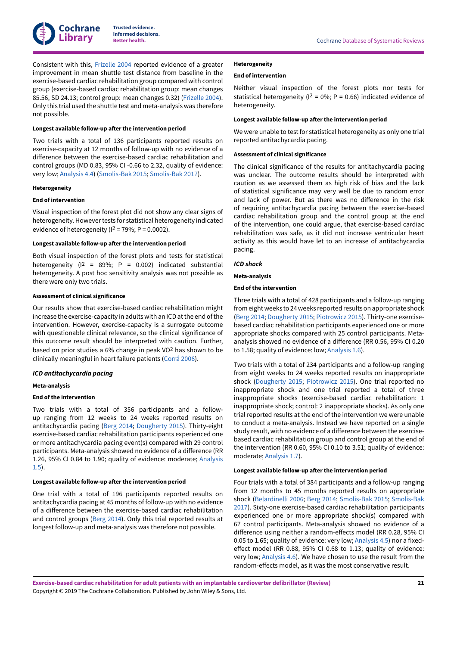Consistent with this, [Frizelle](#page-28-9) 2004 reported evidence of a greater improvement in mean shuttle test distance from baseline in the exercise-based cardiac rehabilitation group compared with control group (exercise-based cardiac rehabilitation group: mean changes 85.56, SD 24.13; control group: mean changes 0.32) ([Frizelle](#page-28-9) 2004). Only this trial used the shuttle test and meta-analysis was therefore not possible.

# **Longest available follow-up after the intervention period**

Two trials with a total of 136 participants reported results on exercise-capacity at 12 months of follow-up with no evidence of a difference between the exercise-based cardiac rehabilitation and control groups (MD 0.83, 95% CI -0.66 to 2.32, quality of evidence: very low; [Analysis 4.4\)](#page-56-2) ([Smolis-Bak](#page-28-11) 2015; [Smolis-Bak](#page-28-12) 2017).

### **Heterogeneity**

### **End of intervention**

Visual inspection of the forest plot did not show any clear signs of heterogeneity.Howevertests for statistical heterogeneity indicated evidence of heterogeneity ( $1^2$  = 79%; P = 0.0002).

### **Longest available follow-up after the intervention period**

Both visual inspection of the forest plots and tests for statistical heterogeneity ( $1^2$  = 89%; P = 0.002) indicated substantial heterogeneity. A post hoc sensitivity analysis was not possible as there were only two trials.

### **Assessment of clinical significance**

Our results show that exercise-based cardiac rehabilitation might increase the exercise-capacity in adults with an ICD at the end of the intervention. However, exercise-capacity is a surrogate outcome with questionable clinical relevance, so the clinical significance of this outcome result should be interpreted with caution. Further, based on prior studies a 6% change in peak VO2 has shown to be clinically meaningful in heart failure patients ([Corrá](#page-30-17) 2006).

### *ICD antitachycardia pacing*

### **Meta-analysis**

### **End of the intervention**

Two trials with a total of 356 participants and a followup ranging from 12 weeks to 24 weeks reported results on antitachycardia pacing (Berg [2014;](#page-28-4) [Dougherty 2015](#page-28-8)). Thirty-eight exercise-based cardiac rehabilitation participants experienced one or more antitachycardia pacing event(s) compared with 29 control participants. Meta-analysis showed no evidence of a difference (RR 1.26, 95% CI 0.84 to 1.90; quality of evidence: moderate; [Analysis](#page-51-1) [1.5\)](#page-51-1).

### **Longest available follow-up after the intervention period**

One trial with a total of 196 participants reported results on antitachycardia pacing at 45 months of follow-up with no evidence of a difference between the exercise-based cardiac rehabilitation and control groups (Berg [2014](#page-28-4)). Only this trial reported results at longest follow-up and meta-analysis was therefore not possible.

#### **Heterogeneity**

### **End of intervention**

Neither visual inspection of the forest plots nor tests for statistical heterogeneity ( $12 = 0\%$ ; P = 0.66) indicated evidence of heterogeneity.

#### **Longest available follow-up after the intervention period**

We were unable to test for statistical heterogeneity as only one trial reported antitachycardia pacing.

### **Assessment of clinical significance**

The clinical significance of the results for antitachycardia pacing was unclear. The outcome results should be interpreted with caution as we assessed them as high risk of bias and the lack of statistical significance may very well be due to random error and lack of power. But as there was no difference in the risk of requiring antitachycardia pacing between the exercise-based cardiac rehabilitation group and the control group at the end of the intervention, one could argue, that exercise-based cardiac rehabilitation was safe, as it did not increase ventricular heart activity as this would have let to an increase of antitachycardia pacing.

### *ICD shock*

#### **Meta-analysis**

#### **End of the intervention**

Three trials with a total of 428 participants and a follow-up ranging from eight weeks to 24 weeks reported results on appropriate shock (Berg [2014;](#page-28-4) [Dougherty 2015](#page-28-8); [Piotrowicz](#page-28-10) 2015). Thirty-one exercisebased cardiac rehabilitation participants experienced one or more appropriate shocks compared with 25 control participants. Metaanalysis showed no evidence of a difference (RR 0.56, 95% CI 0.20 to 1.58; quality of evidence: low; [Analysis 1.6](#page-51-2)).

Two trials with a total of 234 participants and a follow-up ranging from eight weeks to 24 weeks reported results on inappropriate shock [\(Dougherty 2015;](#page-28-8) [Piotrowicz](#page-28-10) 2015). One trial reported no inappropriate shock and one trial reported a total of three inappropriate shocks (exercise-based cardiac rehabilitation: 1 inappropriate shock; control: 2 inappropriate shocks). As only one trial reported results at the end of the intervention we were unable to conduct a meta-analysis. Instead we have reported on a single study result, with no evidence of a difference between the exercisebased cardiac rehabilitation group and control group at the end of the intervention (RR 0.60, 95% CI 0.10 to 3.51; quality of evidence: moderate; [Analysis 1.7\)](#page-52-0).

#### **Longest available follow-up after the intervention period**

Four trials with a total of 384 participants and a follow-up ranging from 12 months to 45 months reported results on appropriate shock [\(Belardinelli](#page-28-6) 2006; Berg [2014;](#page-28-4) [Smolis-Bak](#page-28-11) 2015; [Smolis-Bak](#page-28-12) [2017\)](#page-28-12). Sixty-one exercise-based cardiac rehabilitation participants experienced one or more appropriate shock(s) compared with 67 control participants. Meta-analysis showed no evidence of a difference using neither a random-effects model (RR 0.28, 95% CI 0.05 to 1.65; quality of evidence: very low; [Analysis 4.5](#page-57-0)) nor a fixedeffect model (RR 0.88, 95% CI 0.68 to 1.13; quality of evidence: very low; [Analysis 4.6](#page-57-1)). We have chosen to use the result from the random-effects model, as it was the most conservative result.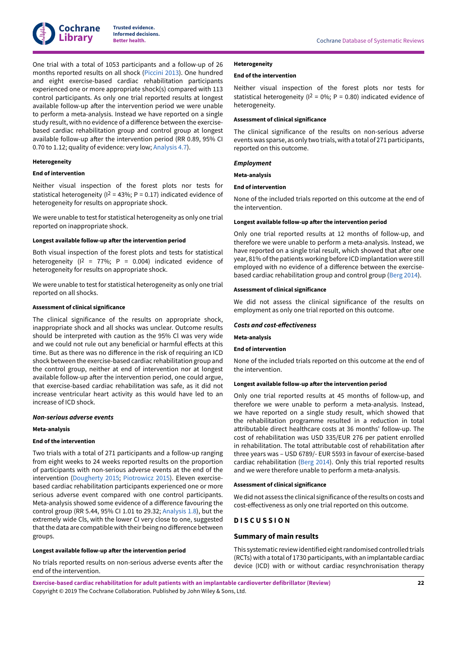

One trial with a total of 1053 participants and a follow-up of 26 months reported results on all shock [\(Piccini](#page-28-7) 2013). One hundred and eight exercise-based cardiac rehabilitation participants experienced one or more appropriate shock(s) compared with 113 control participants. As only one trial reported results at longest available follow-up after the intervention period we were unable to perform a meta-analysis. Instead we have reported on a single study result, with no evidence of a difference between the exercisebased cardiac rehabilitation group and control group at longest available follow-up after the intervention period (RR 0.89, 95% CI 0.70 to 1.12; quality of evidence: very low; [Analysis 4.7\)](#page-58-0).

#### **Heterogeneity**

### **End of intervention**

Neither visual inspection of the forest plots nor tests for statistical heterogeneity ( $1^2$  = 43%; P = 0.17) indicated evidence of heterogeneity for results on appropriate shock.

We were unable to test for statistical heterogeneity as only one trial reported on inappropriate shock.

### **Longest available follow-up after the intervention period**

Both visual inspection of the forest plots and tests for statistical heterogeneity (I 2 = 77%; P = 0.004) indicated evidence of heterogeneity for results on appropriate shock.

We were unable to test for statistical heterogeneity as only one trial reported on all shocks.

### **Assessment of clinical significance**

The clinical significance of the results on appropriate shock, inappropriate shock and all shocks was unclear. Outcome results should be interpreted with caution as the 95% Cl was very wide and we could not rule out any beneficial or harmful effects at this time. But as there was no difference in the risk of requiring an ICD shock between the exercise-based cardiac rehabilitation group and the control group, neither at end of intervention nor at longest available follow-up after the intervention period, one could argue, that exercise-based cardiac rehabilitation was safe, as it did not increase ventricular heart activity as this would have led to an increase of ICD shock.

#### *Non-serious adverse events*

#### **Meta-analysis**

#### **End of the intervention**

Two trials with a total of 271 participants and a follow-up ranging from eight weeks to 24 weeks reported results on the proportion of participants with non-serious adverse events at the end of the intervention ([Dougherty 2015](#page-28-8); [Piotrowicz](#page-28-10) 2015). Eleven exercisebased cardiac rehabilitation participants experienced one or more serious adverse event compared with one control participants. Meta-analysis showed some evidence of a difference favouring the control group (RR 5.44, 95% CI 1.01 to 29.32; [Analysis 1.8\)](#page-52-1), but the extremely wide Cls, with the lower CI very close to one, suggested that the data are compatible with their being no difference between groups.

### **Longest available follow-up after the intervention period**

No trials reported results on non-serious adverse events after the end of the intervention.

#### **Heterogeneity**

#### **End of the intervention**

Neither visual inspection of the forest plots nor tests for statistical heterogeneity ( $12 = 0\%$ ; P = 0.80) indicated evidence of heterogeneity.

#### **Assessment of clinical significance**

The clinical significance of the results on non-serious adverse events was sparse, as only two trials, with a total of 271 participants, reported on this outcome.

### *Employment*

**Meta-analysis**

### **End of intervention**

None of the included trials reported on this outcome at the end of the intervention.

#### **Longest available follow-up after the intervention period**

Only one trial reported results at 12 months of follow-up, and therefore we were unable to perform a meta-analysis. Instead, we have reported on a single trial result, which showed that after one year, 81% of the patients working before ICD implantation were still employed with no evidence of a difference between the exercisebased cardiac rehabilitation group and control group (Berg [2014](#page-28-4)).

#### **Assessment of clinical significance**

We did not assess the clinical significance of the results on employment as only one trial reported on this outcome.

### **Costs and cost-effectiveness**

**Meta-analysis**

#### **End of intervention**

None of the included trials reported on this outcome at the end of the intervention.

### **Longest available follow-up after the intervention period**

Only one trial reported results at 45 months of follow-up, and therefore we were unable to perform a meta-analysis. Instead, we have reported on a single study result, which showed that the rehabilitation programme resulted in a reduction in total attributable direct healthcare costs at 36 months' follow-up. The cost of rehabilitation was USD 335/EUR 276 per patient enrolled in rehabilitation. The total attributable cost of rehabilitation after three years was – USD 6789/- EUR 5593 in favour of exercise-based cardiac rehabilitation [\(Berg](#page-28-4) 2014). Only this trial reported results and we were therefore unable to perform a meta-analysis.

#### **Assessment of clinical significance**

We did not assess the clinical significance of the results on costs and cost-effectiveness as only one trial reported on this outcome.

### <span id="page-24-0"></span>**D I S C U S S I O N**

### **Summary of main results**

This systematic review identified eight randomised controlled trials (RCTs) with a total of 1730 participants, with an implantable cardiac device (ICD) with or without cardiac resynchronisation therapy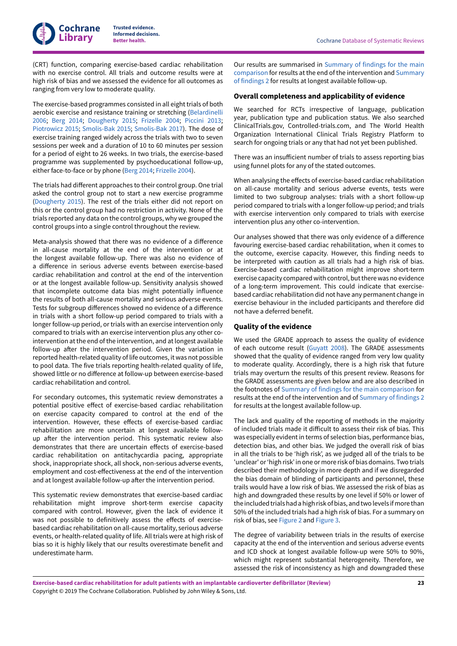

(CRT) function, comparing exercise-based cardiac rehabilitation with no exercise control. All trials and outcome results were at high risk of bias and we assessed the evidence for all outcomes as ranging from very low to moderate quality.

The exercise-based programmes consisted in all eight trials of both aerobic exercise and resistance training or stretching ([Belardinelli](#page-28-6) [2006](#page-28-6); Berg [2014;](#page-28-4) [Dougherty 2015](#page-28-8); [Frizelle](#page-28-9) 2004; [Piccini](#page-28-7) 2013; [Piotrowicz](#page-28-10) 2015; [Smolis-Bak](#page-28-11) 2015; [Smolis-Bak](#page-28-12) 2017). The dose of exercise training ranged widely across the trials with two to seven sessions per week and a duration of 10 to 60 minutes per session for a period of eight to 26 weeks. In two trials, the exercise-based programme was supplemented by psychoeducational follow-up, either face-to-face or by phone (Berg [2014](#page-28-4); [Frizelle](#page-28-9) 2004).

The trials had different approaches to their control group. One trial asked the control group not to start a new exercise programme [\(Dougherty 2015\)](#page-28-8). The rest of the trials either did not report on this or the control group had no restriction in activity. None of the trials reported any data on the control groups, why we grouped the control groups into a single control throughout the review.

Meta-analysis showed that there was no evidence of a difference in all-cause mortality at the end of the intervention or at the longest available follow-up. There was also no evidence of a difference in serious adverse events between exercise-based cardiac rehabilitation and control at the end of the intervention or at the longest available follow-up. Sensitivity analysis showed that incomplete outcome data bias might potentially influence the results of both all-cause mortality and serious adverse events. Tests for subgroup differences showed no evidence of a difference in trials with a short follow-up period compared to trials with a longer follow-up period, or trials with an exercise intervention only compared to trials with an exercise intervention plus any other cointervention at the end of the intervention, and at longest available follow-up after the intervention period. Given the variation in reported health-related quality of life outcomes, it was not possible to pool data. The five trials reporting health-related quality of life, showed little or no difference at follow-up between exercise-based cardiac rehabilitation and control.

For secondary outcomes, this systematic review demonstrates a potential positive effect of exercise-based cardiac rehabilitation on exercise capacity compared to control at the end of the intervention. However, these effects of exercise-based cardiac rehabilitation are more uncertain at longest available followup after the intervention period. This systematic review also demonstrates that there are uncertain effects of exercise-based cardiac rehabilitation on antitachycardia pacing, appropriate shock, inappropriate shock, all shock, non-serious adverse events, employment and cost-effectiveness at the end of the intervention and at longest available follow-up after the intervention period.

This systematic review demonstrates that exercise-based cardiac rehabilitation might improve short-term exercise capacity compared with control. However, given the lack of evidence it was not possible to definitively assess the effects of exercisebased cardiac rehabilitation on all-cause mortality, serious adverse events, or health-related quality of life. All trials were at high risk of bias so it is highly likely that our results overestimate benefit and underestimate harm.

Our results are summarised in [Summary](#page-6-1) of findings for the main [comparison](#page-6-1) for results at the end of the intervention and [Summary](#page-8-0) [of findings 2](#page-8-0) for results at longest available follow-up.

# **Overall completeness and applicability of evidence**

We searched for RCTs irrespective of language, publication year, publication type and publication status. We also searched ClinicalTrials.gov, Controlled-trials.com, and The World Health Organization International Clinical Trials Registry Platform to search for ongoing trials or any that had not yet been published.

There was an insufficient number of trials to assess reporting bias using funnel plots for any of the stated outcomes.

When analysing the effects of exercise-based cardiac rehabilitation on all-cause mortality and serious adverse events, tests were limited to two subgroup analyses: trials with a short follow-up period compared to trials with a longer follow-up period; and trials with exercise intervention only compared to trials with exercise intervention plus any other co-intervention.

Our analyses showed that there was only evidence of a difference favouring exercise-based cardiac rehabilitation, when it comes to the outcome, exercise capacity. However, this finding needs to be interpreted with caution as all trials had a high risk of bias. Exercise-based cardiac rehabilitation might improve short-term exercise capacity compared with control, but there was no evidence of a long-term improvement. This could indicate that exercisebased cardiac rehabilitation did not have any permanent change in exercise behaviour in the included participants and therefore did not have a deferred benefit.

### **Quality of the evidence**

We used the GRADE approach to assess the quality of evidence of each outcome result ([Guyatt](#page-30-18) 2008). The GRADE assessments showed that the quality of evidence ranged from very low quality to moderate quality. Accordingly, there is a high risk that future trials may overturn the results of this present review. Reasons for the GRADE assessments are given below and are also described in the footnotes of Summary of findings for the main [comparison](#page-6-1) for results at the end of the intervention and of [Summary](#page-8-0) of findings 2 for results at the longest available follow-up.

The lack and quality of the reporting of methods in the majority of included trials made it difficult to assess their risk of bias. This was especially evident in terms of selection bias, performance bias, detection bias, and other bias. We judged the overall risk of bias in all the trials to be 'high risk', as we judged all of the trials to be 'unclear' or'high risk' in one or more risk of bias domains. Two trials described their methodology in more depth and if we disregarded the bias domain of blinding of participants and personnel, these trails would have a low risk of bias. We assessed the risk of bias as high and downgraded these results by one level if 50% or lower of the included trials had a high risk of bias, and two levels if more than 50% of the included trials had a high risk of bias. For a summary on risk of bias, see [Figure](#page-17-0) 2 and [Figure](#page-18-0) 3.

The degree of variability between trials in the results of exercise capacity at the end of the intervention and serious adverse events and ICD shock at longest available follow-up were 50% to 90%, which might represent substantial heterogeneity. Therefore, we assessed the risk of inconsistency as high and downgraded these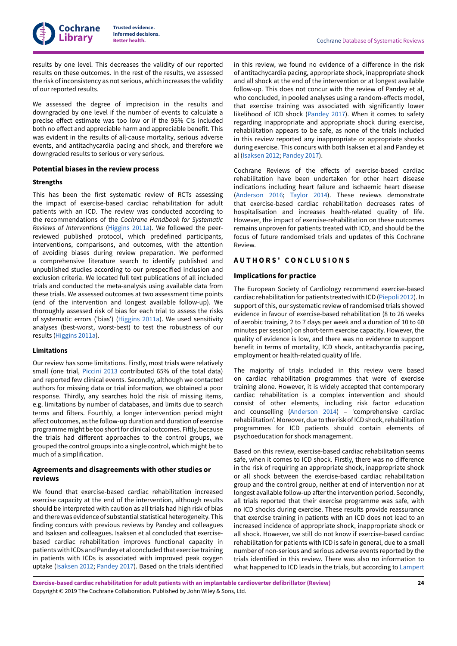**Cochrane Library**

**Trusted evidence. Informed decisions.**

results by one level. This decreases the validity of our reported results on these outcomes. In the rest of the results, we assessed the risk of inconsistency as not serious, which increases the validity of our reported results.

We assessed the degree of imprecision in the results and downgraded by one level if the number of events to calculate a precise effect estimate was too low or if the 95% CIs included both no effect and appreciable harm and appreciable benefit. This was evident in the results of all-cause mortality, serious adverse events, and antitachycardia pacing and shock, and therefore we downgraded results to serious or very serious.

#### **Potential biases in the review process**

### **Strengths**

This has been the first systematic review of RCTs assessing the impact of exercise-based cardiac rehabilitation for adult patients with an ICD. The review was conducted according to the recommendations of the *Cochrane Handbook for Systematic Reviews of Interventions* ([Higgins 2011a\)](#page-30-10). We followed the peerreviewed published protocol, which predefined participants, interventions, comparisons, and outcomes, with the attention of avoiding biases during review preparation. We performed a comprehensive literature search to identify published and unpublished studies according to our prespecified inclusion and exclusion criteria. We located full text publications of all included trials and conducted the meta-analysis using available data from these trials. We assessed outcomes at two assessment time points (end of the intervention and longest available follow-up). We thoroughly assessed risk of bias for each trial to assess the risks of systematic errors ('bias') [\(Higgins 2011a\)](#page-30-10). We used sensitivity analyses (best-worst, worst-best) to test the robustness of our results [\(Higgins 2011a\)](#page-30-10).

### **Limitations**

Our review has some limitations. Firstly, most trials were relatively small (one trial, [Piccini](#page-28-7) 2013 contributed 65% of the total data) and reported few clinical events. Secondly, although we contacted authors for missing data or trial information, we obtained a poor response. Thirdly, any searches hold the risk of missing items, e.g. limitations by number of databases, and limits due to search terms and filters. Fourthly, a longer intervention period might affect outcomes, as the follow-up duration and duration of exercise programme might be too short for clinical outcomes. Fiftly, because the trials had different approaches to the control groups, we grouped the control groups into a single control, which might be to much of a simplification.

# **Agreements and disagreements with other studies or reviews**

We found that exercise-based cardiac rehabilitation increased exercise capacity at the end of the intervention, although results should be interpreted with caution as all trials had high risk of bias and therewas evidence of substantial statistical heterogeneity. This finding concurs with previous reviews by Pandey and colleagues and Isaksen and colleagues. Isaksen et al concluded that exercisebased cardiac rehabilitation improves functional capacity in patients with ICDs and Pandey et al concluded that exercise training in patients with ICDs is associated with improved peak oxygen uptake [\(Isaksen 2012;](#page-31-10) [Pandey](#page-31-15) 2017). Based on the trials identified

in this review, we found no evidence of a difference in the risk of antitachycardia pacing, appropriate shock, inappropriate shock and all shock at the end of the intervention or at longest available follow-up. This does not concur with the review of Pandey et al, who concluded, in pooled analyses using a random-effects model, that exercise training was associated with significantly lower likelihood of ICD shock ([Pandey](#page-31-15) 2017). When it comes to safety regarding inappropriate and appropriate shock during exercise, rehabilitation appears to be safe, as none of the trials included in this review reported any inappropriate or appropriate shocks during exercise. This concurs with both Isaksen et al and Pandey et al [\(Isaksen 2012](#page-31-10); [Pandey](#page-31-15) 2017).

Cochrane Reviews of the effects of exercise-based cardiac rehabilitation have been undertaken for other heart disease indications including heart failure and ischaemic heart disease [\(Anderson](#page-29-1) 2016; [Taylor](#page-32-6) 2014). These reviews demonstrate that exercise-based cardiac rehabilitation decreases rates of hospitalisation and increases health-related quality of life. However, the impact of exercise-rehabilitation on these outcomes remains unproven for patients treated with ICD, and should be the focus of future randomised trials and updates of this Cochrane Review.

### <span id="page-26-0"></span>**A U T H O R S ' C O N C L U S I O N S**

### **Implications for practice**

The European Society of Cardiology recommend exercise-based cardiac rehabilitation for patients treated with ICD([Piepoli 2012](#page-31-16)). In support of this, our systematic review of randomised trials showed evidence in favour of exercise-based rehabilitation (8 to 26 weeks of aerobic training, 2 to 7 days per week and a duration of 10 to 60 minutes per session) on short-term exercise capacity. However, the quality of evidence is low, and there was no evidence to support benefit in terms of mortality, ICD shock, antitachycardia pacing, employment or health-related quality of life.

The majority of trials included in this review were based on cardiac rehabilitation programmes that were of exercise training alone. However, it is widely accepted that contemporary cardiac rehabilitation is a complex intervention and should consist of other elements, including risk factor education and counselling [\(Anderson](#page-29-6) 2014) – 'comprehensive cardiac rehabilitation'. Moreover, due to the risk of ICD shock, rehabilitation programmes for ICD patients should contain elements of psychoeducation for shock management.

Based on this review, exercise-based cardiac rehabilitation seems safe, when it comes to ICD shock. Firstly, there was no difference in the risk of requiring an appropriate shock, inappropriate shock or all shock between the exercise-based cardiac rehabilitation group and the control group, neither at end of intervention nor at longest available follow-up after the intervention period. Secondly, all trials reported that their exercise programme was safe, with no ICD shocks during exercise. These results provide reassurance that exercise training in patients with an ICD does not lead to an increased incidence of appropriate shock, inappropriate shock or all shock. However, we still do not know if exercise-based cardiac rehabilitation for patients with ICD is safe in general, due to a small number of non-serious and serious adverse events reported by the trials identified in this review. There was also no information to what happened to ICD leads in the trials, but according to [Lampert](#page-31-17)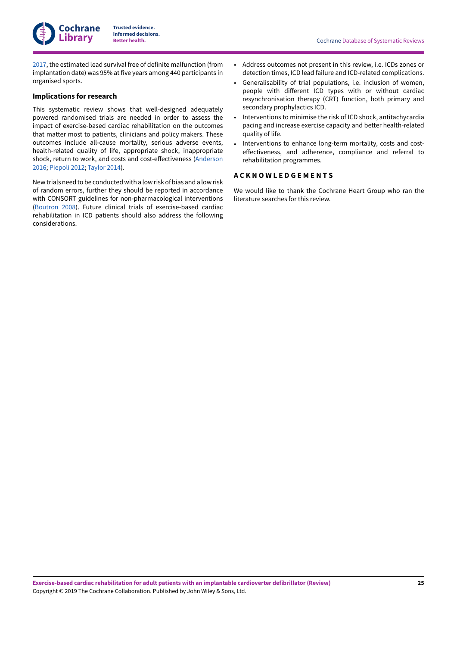[2017](#page-31-17), the estimated lead survival free of definite malfunction (from implantation date) was 95% at five years among 440 participants in organised sports.

# **Implications for research**

This systematic review shows that well-designed adequately powered randomised trials are needed in order to assess the impact of exercise-based cardiac rehabilitation on the outcomes that matter most to patients, clinicians and policy makers. These outcomes include all-cause mortality, serious adverse events, health-related quality of life, appropriate shock, inappropriate shock, return to work, and costs and cost-effectiveness ([Anderson](#page-29-1) [2016](#page-29-1); [Piepoli 2012](#page-31-16); [Taylor](#page-32-6) 2014).

Newtrials needto be conductedwith a lowrisk of bias anda lowrisk of random errors, further they should be reported in accordance with CONSORT guidelines for non-pharmacological interventions [\(Boutron](#page-29-7) 2008). Future clinical trials of exercise-based cardiac rehabilitation in ICD patients should also address the following considerations.

- Address outcomes not present in this review, i.e. ICDs zones or detection times, ICD lead failure and ICD-related complications.
- Generalisability of trial populations, i.e. inclusion of women, people with different ICD types with or without cardiac resynchronisation therapy (CRT) function, both primary and secondary prophylactics ICD.
- Interventions to minimise the risk of ICD shock, antitachycardia pacing and increase exercise capacity and better health-related quality of life.
- Interventions to enhance long-term mortality, costs and costeffectiveness, and adherence, compliance and referral to rehabilitation programmes.

# <span id="page-27-0"></span>**A C K N O W L E D G E M E N T S**

We would like to thank the Cochrane Heart Group who ran the literature searches for this review.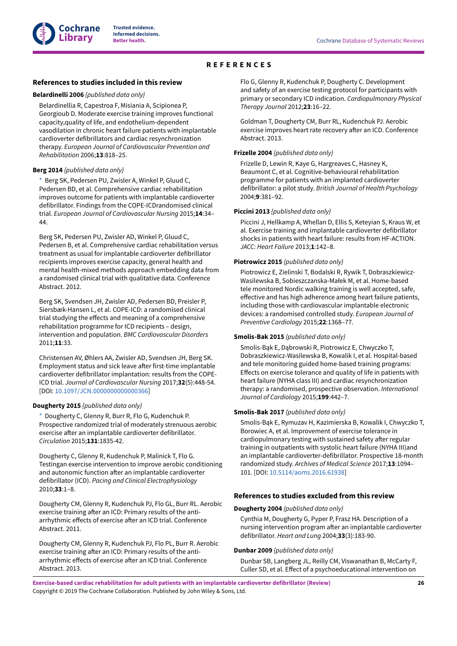# **REFERENCES**

### <span id="page-28-2"></span><span id="page-28-0"></span>**References to studies included in this review**

#### <span id="page-28-6"></span>**Belardinelli 2006** *{published data only}*

Belardinellia R, Capestroa F, Misiania A, Scipionea P, Georgioub D. Moderate exercise training improves functional capacity,quality of life, and endothelium-dependent vasodilation in chronic heart failure patients with implantable cardioverter defibrillators and cardiac resynchronization therapy. *European Journal of Cardiovascular Prevention and Rehabilitation* 2006;**13**:818–25.

### <span id="page-28-4"></span>**Berg 2014** *{published data only}*

[\\*](#page-33-5)  Berg SK, Pedersen PU, Zwisler A, Winkel P, Gluud C, Pedersen BD, et al. Comprehensive cardiac rehabilitation improves outcome for patients with implantable cardioverter defibrillator. Findings from the COPE-ICDrandomised clinical trial. *European Journal of Cardiovascular Nursing* 2015;**14**:34– 44.

Berg SK, Pedersen PU, Zwisler AD, Winkel P, Gluud C, Pedersen B, et al. Comprehensive cardiac rehabilitation versus treatment as usual for implantable cardioverter defibrillator recipients improves exercise capacity, general health and mental health-mixed methods approach embedding data from a randomised clinical trial with qualitative data. Conference Abstract. 2012.

Berg SK, Svendsen JH, Zwisler AD, Pedersen BD, Preisler P, Siersbæk-Hansen L, et al. COPE-ICD: a randomised clinical trial studying the effects and meaning of a comprehensive rehabilitation programme for ICD recipients – design, intervention and population. *BMC Cardiovascular Disorders* 2011;**11**:33.

Christensen AV, Øhlers AA, Zwisler AD, Svendsen JH, Berg SK. Employment status and sick leave after first-time implantable cardioverter defibrillator implantation: results from the COPE-ICD trial. *Journal of Cardiovascular Nursing* 2017;**32**(5):448-54. [DOI: 10.1097/JCN.00000000000000366]

### <span id="page-28-8"></span>**Dougherty 2015** *{published data only}*

[\\*](#page-33-5)  Dougherty C, Glenny R, Burr R, Flo G, Kudenchuk P. Prospective randomized trial of moderately strenuous aerobic exercise after an implantable cardioverter defibrillator. *Circulation* 2015;**131**:1835-42.

Dougherty C, Glenny R, Kudenchuk P, Malinick T, Flo G. Testingan exercise intervention to improve aerobic conditioning and autonomic function after an implantable cardioverter defibrillator (ICD). *Pacing and Clinical Electrophysiology* 2010;**33**:1–8.

Dougherty CM, Glenny R, Kudenchuk PJ, Flo GL, Burr RL. Aerobic exercise training after an ICD: Primary results of the antiarrhythmic effects of exercise after an ICD trial. Conference Abstract. 2011.

Dougherty CM, Glenny R, Kudenchuk PJ, Flo PL, Burr R. Aerobic exercise training after an ICD: Primary results of the antiarrhythmic effects of exercise after an ICD trial. Conference Abstract. 2013.

<span id="page-28-1"></span>Flo G, Glenny R, Kudenchuk P, Dougherty C. Development and safety of an exercise testing protocol for participants with primary or secondary ICD indication. *Cardiopulmonary Physical Therapy Journal* 2012;**23**:16–22.

Goldman T, Dougherty CM, Burr RL, Kudenchuk PJ. Aerobic exercise improves heart rate recovery after an ICD. Conference Abstract. 2013.

### <span id="page-28-9"></span><span id="page-28-3"></span>**Frizelle 2004** *{published data only}*

Frizelle D, Lewin R, Kaye G, Hargreaves C, Hasney K, Beaumont C, et al. Cognitive-behavioural rehabilitation programme for patients with an implanted cardioverter defibrillator: a pilot study. *British Journal of Health Psychology* 2004;**9**:381–92.

#### <span id="page-28-7"></span>**Piccini 2013** *{published data only}*

Piccini J, Hellkamp A, Whellan D, Ellis S, Keteyian S, Kraus W, et al. Exercise training and implantable cardioverter defibrillator shocks in patients with heart failure: results from HF-ACTION. *JACC: Heart Failure* 2013;**1**:142–8.

#### <span id="page-28-10"></span>**Piotrowicz 2015** *{published data only}*

Piotrowicz E, Zielinski T, Bodalski R, Rywik T, Dobraszkiewicz-Wasilewska B, Sobieszczanska-Małek M, et al. Home-based tele monitored Nordic walking training is well accepted, safe, effective and has high adherence among heart failure patients, including those with cardiovascular implantable electronic devices: a randomised controlled study. *European Journal of Preventive Cardiology* 2015;**22**:1368–77.

#### <span id="page-28-11"></span>**Smolis-Bak 2015** *{published data only}*

Smolis-Bąk E, Dąbrowski R, Piotrowicz E, Chwyczko T, Dobraszkiewicz-Wasilewska B, Kowalik I, et al. Hospital-based and tele monitoring guided home-based training programs: Effects on exercise tolerance and quality of life in patients with heart failure (NYHA class III) and cardiac resynchronization therapy: a randomised, prospective observation. *International Journal of Cardiology* 2015;**199**:442–7.

#### <span id="page-28-12"></span>**Smolis-Bak 2017** *{published data only}*

Smolis-Bąk E, Rymuzav H, Kazimierska B, Kowalik I, Chwyczko T, Borowiec A, et al. Improvement of exercise tolerance in cardiopulmonary testing with sustained safety after regular training in outpatients with systolic heart failure (NYHA III)and an implantable cardioverter-defibrillator. Prospective 18-month randomized study. *Archives of Medical Science* 2017;**13**:1094– 101. [DOI: [10.5114/aoms.2016.61938\]](https://doi.org/10.5114%2Faoms.2016.61938)

### **References to studies excluded from this review**

### **Dougherty 2004** *{published data only}*

Cynthia M, Dougherty G, Pyper P, Frasz HA. Description of a nursing intervention program after an implantable cardioverter defibrillator. *Heart and Lung* 2004;**33**(3):183-90.

#### <span id="page-28-5"></span>**Dunbar 2009** *{published data only}*

Dunbar SB, Langberg JL, Reilly CM, Viswanathan B, McCarty F, Culler SD, et al. Effect of a psychoeducational intervention on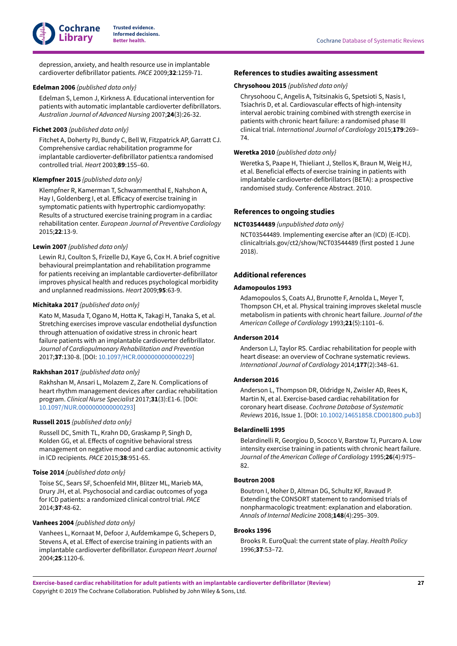

depression, anxiety, and health resource use in implantable cardioverter defibrillator patients. *PACE* 2009;**32**:1259-71.

### **Edelman 2006** *{published data only}*

Edelman S, Lemon J, Kirkness A. Educational intervention for patients with automatic implantable cardioverter defibrillators. *Australian Journal of Advanced Nursing* 2007;**24**(3):26-32.

# **Fichet 2003** *{published data only}*

Fitchet A, Doherty PJ, Bundy C, Bell W, Fitzpatrick AP, Garratt CJ. Comprehensive cardiac rehabilitation programme for implantable cardioverter-defibrillator patients:a randomised controlled trial. *Heart* 2003;**89**:155–60.

### **Klempfner 2015** *{published data only}*

Klempfner R, Kamerman T, Schwammenthal E, Nahshon A, Hay I, Goldenberg I, et al. Efficacy of exercise training in symptomatic patients with hypertrophic cardiomyopathy: Results of a structured exercise training program in a cardiac rehabilitation center. *European Journal of Preventive Cardiology* 2015;**22**:13-9.

### **Lewin 2007** *{published data only}*

Lewin RJ, Coulton S, Frizelle DJ, Kaye G, Cox H. A brief cognitive behavioural preimplantation and rehabilitation programme for patients receiving an implantable cardioverter-defibrillator improves physical health and reduces psychological morbidity and unplanned readmissions. *Heart* 2009;**95**:63-9.

# **Michitaka 2017** *{published data only}*

Kato M, Masuda T, Ogano M, Hotta K, Takagi H, Tanaka S, et al. Stretching exercises improve vascular endothelial dysfunction through attenuation of oxidative stress in chronic heart failure patients with an implantable cardioverter defibrillator. *Journal of Cardiopulmonary Rehabilitation and Prevention* 2017;**37**:130-8. [DOI: [10.1097/HCR.0000000000000229](https://doi.org/10.1097%2FHCR.0000000000000229)]

# **Rakhshan 2017** *{published data only}*

Rakhshan M, Ansari L, Molazem Z, Zare N. Complications of heart rhythm management devices after cardiac rehabilitation program. *Clinical Nurse Specialist* 2017;**31**(3):E1-6. [DOI: [10.1097/NUR.0000000000000293\]](https://doi.org/10.1097%2FNUR.0000000000000293)

### **Russell 2015** *{published data only}*

Russell DC, Smith TL, Krahn DD, Graskamp P, Singh D, Kolden GG, et al. Effects of cognitive behavioral stress management on negative mood and cardiac autonomic activity in ICD recipients. *PACE* 2015;**38**:951-65.

### **Toise 2014** *{published data only}*

Toise SC, Sears SF, Schoenfeld MH, Blitzer ML, Marieb MA, Drury JH, et al. Psychosocial and cardiac outcomes of yoga for ICD patients: a randomized clinical control trial. *PACE* 2014;**37**:48-62.

### <span id="page-29-3"></span>**Vanhees 2004** *{published data only}*

Vanhees L, Kornaat M, Defoor J, Aufdemkampe G, Schepers D, Stevens A, et al. Effect of exercise training in patients with an implantable cardioverter defibrillator. *European Heart Journal* 2004;**25**:1120-6.

### **References to studies awaiting assessment**

#### <span id="page-29-4"></span>**Chrysohoou 2015** *{published data only}*

Chrysohoou C, Angelis A, Tsitsinakis G, Spetsioti S, Nasis I, Tsiachris D, et al. Cardiovascular effects of high-intensity interval aerobic training combined with strength exercise in patients with chronic heart failure: a randomised phase III clinical trial. *International Journal of Cardiology* 2015;**179**:269– 74.

#### **Weretka 2010** *{published data only}*

Weretka S, Paape H, Thieliant J, Stellos K, Braun M, Weig HJ, et al. Beneficial effects of exercise training in patients with implantable cardioverter-defibrillators (BETA): a prospective randomised study. Conference Abstract. 2010.

### **References to ongoing studies**

**NCT03544489** *{unpublished data only}*

NCT03544489. Implementing exercise after an (ICD) (E-ICD). clinicaltrials.gov/ct2/show/NCT03544489 (first posted 1 June 2018).

### **Additional references**

### <span id="page-29-0"></span>**Adamopoulos 1993**

Adamopoulos S, Coats AJ, Brunotte F, Arnolda L, Meyer T, Thompson CH, et al. Physical training improves skeletal muscle metabolism in patients with chronic heart failure. *Journal of the American College of Cardiology* 1993;**21**(5):1101–6.

#### <span id="page-29-6"></span>**Anderson 2014**

Anderson LJ, Taylor RS. Cardiac rehabilitation for people with heart disease: an overview of Cochrane systematic reviews. *International Journal of Cardiology* 2014;**177**(2):348–61.

#### <span id="page-29-1"></span>**Anderson 2016**

Anderson L, Thompson DR, Oldridge N, Zwisler AD, Rees K, Martin N, et al. Exercise-based cardiac rehabilitation for coronary heart disease. *Cochrane Database of Systematic Reviews* 2016, Issue 1. [DOI: [10.1002/14651858.CD001800.pub3\]](https://doi.org/10.1002%2F14651858.CD001800.pub3)

### <span id="page-29-2"></span>**Belardinelli 1995**

Belardinelli R, Georgiou D, Scocco V, Barstow TJ, Purcaro A. Low intensity exercise training in patients with chronic heart failure. *Journal of the American College of Cardiology* 1995;**26**(4):975– 82.

#### <span id="page-29-7"></span>**Boutron 2008**

Boutron I, Moher D, Altman DG, Schultz KF, Ravaud P. Extending the CONSORT statement to randomised trials of nonpharmacologic treatment: explanation and elaboration. *Annals of Internal Medicine* 2008;**148**(4):295–309.

#### <span id="page-29-5"></span>**Brooks 1996**

Brooks R. EuroQual: the current state of play. *Health Policy* 1996;**37**:53–72.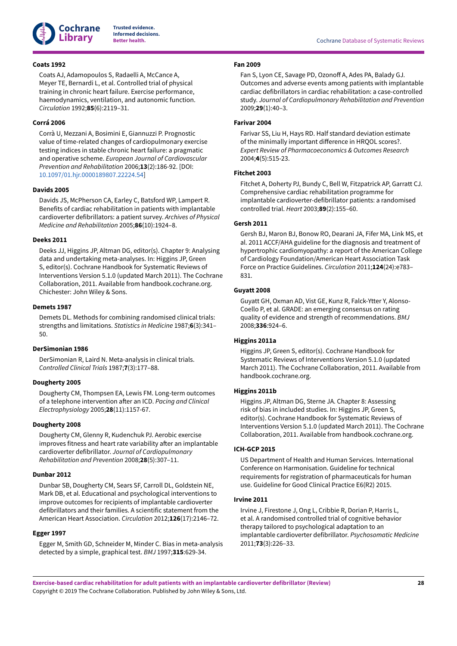

### <span id="page-30-2"></span>**Coats 1992**

Coats AJ, Adamopoulos S, Radaelli A, McCance A, Meyer TE, Bernardi L, et al. Controlled trial of physical training in chronic heart failure. Exercise performance, haemodynamics, ventilation, and autonomic function. *Circulation* 1992;**85**(6):2119–31.

### <span id="page-30-17"></span>**Corrá 2006**

Corrà U, Mezzani A, Bosimini E, Giannuzzi P. Prognostic value of time-related changes of cardiopulmonary exercise testing indices in stable chronic heart failure: a pragmatic and operative scheme. *European Journal of Cardiovascular Prevention and Rehabilitation* 2006;**13**(2):186-92. [DOI: [10.1097/01.hjr.0000189807.22224.54\]](https://doi.org/10.1097%2F01.hjr.0000189807.22224.54)

### <span id="page-30-3"></span>**Davids 2005**

Davids JS, McPherson CA, Earley C, Batsford WP, Lampert R. Benefits of cardiac rehabilitation in patients with implantable cardioverter defibrillators: a patient survey. *Archives of Physical Medicine and Rehabilitation* 2005;**86**(10):1924–8.

#### <span id="page-30-13"></span>**Deeks 2011**

Deeks JJ, Higgins JP, Altman DG, editor(s). Chapter 9: Analysing data and undertaking meta-analyses. In: Higgins JP, Green S, editor(s). Cochrane Handbook for Systematic Reviews of Interventions Version 5.1.0 (updated March 2011). The Cochrane Collaboration, 2011. Available from handbook.cochrane.org. Chichester: John Wiley & Sons.

### <span id="page-30-14"></span>**Demets 1987**

Demets DL. Methods for combining randomised clinical trials: strengths and limitations. *Statistics in Medicine* 1987;**6**(3):341– 50.

# <span id="page-30-15"></span>**DerSimonian 1986**

DerSimonian R, Laird N. Meta-analysis in clinical trials. *Controlled Clinical Trials* 1987;**7**(3):177–88.

### <span id="page-30-4"></span>**Dougherty 2005**

Dougherty CM, Thompsen EA, Lewis FM. Long-term outcomes  $o$ f a telephone intervention after an ICD. *Pacing and Clinical Electrophysiology* 2005;**28**(11):1157-67.

### <span id="page-30-5"></span>**Dougherty 2008**

Dougherty CM, Glenny R, Kudenchuk PJ. Aerobic exercise improves fitness and heart rate variability after an implantable cardioverter defibrillator. *Journal of Cardiopulmonary Rehabilitation and Prevention* 2008;**28**(5):307–11.

### <span id="page-30-1"></span>**Dunbar 2012**

Dunbar SB, Dougherty CM, Sears SF, Carroll DL, Goldstein NE, Mark DB, et al. Educational and psychological interventions to improve outcomes for recipients of implantable cardioverter defibrillators and their families. A scientific statement from the American Heart Association. *Circulation* 2012;**126**(17):2146–72.

### <span id="page-30-12"></span>**Egger 1997**

Egger M, Smith GD, Schneider M, Minder C. Bias in meta-analysis detected by a simple, graphical test. *BMJ* 1997;**315**:629-34.

# <span id="page-30-6"></span>**Fan 2009**

Fan S, Lyon CE, Savage PD, Ozonoff A, Ades PA, Balady GJ. Outcomes and adverse events among patients with implantable cardiac defibrillators in cardiac rehabilitation: a case-controlled study. *Journal of Cardiopulmonary Rehabilitation and Prevention* 2009;**29**(1):40–3.

# <span id="page-30-16"></span>**Farivar 2004**

Farivar SS, Liu H, Hays RD. Half standard deviation estimate of the minimally important difference in HRQOL scores?. *Expert Review of Pharmacoeconomics & Outcomes Research* 2004;**4**(5):515-23.

### <span id="page-30-7"></span>**Fitchet 2003**

Fitchet A, Doherty PJ, Bundy C, Bell W, Fitzpatrick AP, Garratt CJ. Comprehensive cardiac rehabilitation programme for implantable cardioverter-defibrillator patients: a randomised controlled trial. *Heart* 2003;**89**(2):155–60.

### <span id="page-30-0"></span>**Gersh 2011**

Gersh BJ, Maron BJ, Bonow RO, Dearani JA, Fifer MA, Link MS, et al. 2011 ACCF/AHA guideline for the diagnosis and treatment of hypertrophic cardiomyopathy: a report of the American College of Cardiology Foundation/American Heart Association Task Force on Practice Guidelines. *Circulation* 2011;**124**(24):e783– 831.

### <span id="page-30-18"></span>**Guyatt 2008**

Guyatt GH, Oxman AD, Vist GE, Kunz R, Falck-Ytter Y, Alonso-Coello P, et al. GRADE: an emerging consensus on rating quality of evidence and strength of recommendations. *BMJ* 2008;**336**:924–6.

### <span id="page-30-10"></span>**Higgins 2011a**

Higgins JP, Green S, editor(s). Cochrane Handbook for Systematic Reviews of Interventions Version 5.1.0 (updated March 2011). The Cochrane Collaboration, 2011. Available from handbook.cochrane.org.

### <span id="page-30-11"></span>**Higgins 2011b**

Higgins JP, Altman DG, Sterne JA. Chapter 8: Assessing risk of bias in included studies. In: Higgins JP, Green S, editor(s). Cochrane Handbook for Systematic Reviews of Interventions Version 5.1.0 (updated March 2011). The Cochrane Collaboration, 2011. Available from handbook.cochrane.org.

#### <span id="page-30-9"></span>**ICH-GCP 2015**

US Department of Health and Human Services. International Conference on Harmonisation. Guideline for technical requirements for registration of pharmaceuticals for human use. Guideline for Good Clinical Practice E6(R2) 2015.

### <span id="page-30-8"></span>**Irvine 2011**

Irvine J, Firestone J, Ong L, Cribbie R, Dorian P, Harris L, et al. A randomised controlled trial of cognitive behavior therapy tailored to psychological adaptation to an implantable cardioverter defibrillator. *Psychosomatic Medicine* 2011;**73**(3):226–33.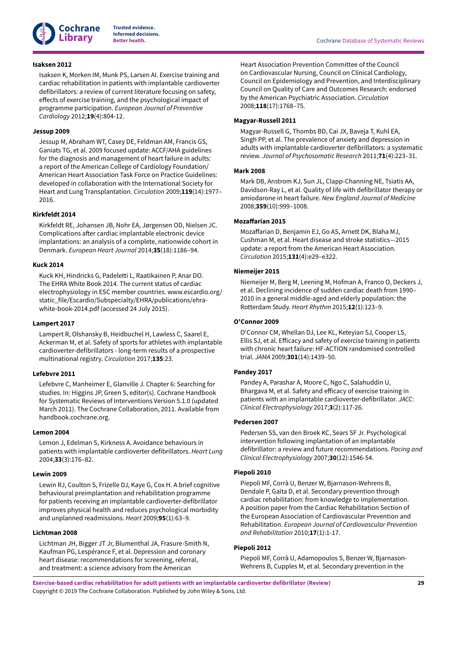

### <span id="page-31-10"></span>**Isaksen 2012**

Isaksen K, Morken IM, Munk PS, Larsen AI. Exercise training and cardiac rehabilitation in patients with implantable cardioverter defibrillators: a review of current literature focusing on safety, effects of exercise training, and the psychological impact of programme participation. *European Journal of Preventive Cardiology* 2012;**19**(4):804-12.

### <span id="page-31-2"></span>**Jessup 2009**

Jessup M, Abraham WT, Casey DE, Feldman AM, Francis GS, Ganiats TG, et al. 2009 focused update: ACCF/AHA guidelines for the diagnosis and management of heart failure in adults: a report of the American College of Cardiology Foundation/ American Heart Association Task Force on Practice Guidelines: developed in collaboration with the International Society for Heart and Lung Transplantation. *Circulation* 2009;**119**(14):1977– 2016.

# <span id="page-31-5"></span>**Kirkfeldt 2014**

Kirkfeldt RE, Johansen JB, Nohr EA, Jørgensen OD, Nielsen JC. Complications after cardiac implantable electronic device implantations: an analysis of a complete, nationwide cohort in Denmark. *European Heart Journal* 2014;**35**(18):1186–94.

### <span id="page-31-3"></span>**Kuck 2014**

Kuck KH, Hindricks G, Padeletti L, Raatikainen P, Anar DO. The EHRA White Book 2014. The current status of cardiac electrophysiology in ESC member countries. www.escardio.org/ static\_file/Escardio/Subspecialty/EHRA/publications/ehrawhite-book-2014.pdf (accessed 24 July 2015).

### <span id="page-31-17"></span>**Lampert 2017**

Lampert R, Olshansky B, Heidbuchel H, Lawless C, Saarel E, Ackerman M, et al. Safety of sports for athletes with implantable cardioverter-defibrillators - long-term results of a prospective multinational registry. *Circulation* 2017;**135**:23.

### <span id="page-31-14"></span>**Lefebvre 2011**

Lefebvre C, Manheimer E, Glanville J. Chapter 6: Searching for studies. In: Higgins JP, Green S, editor(s). Cochrane Handbook for Systematic Reviews of Interventions Version 5.1.0 (updated March 2011). The Cochrane Collaboration, 2011. Available from handbook.cochrane.org.

### <span id="page-31-6"></span>**Lemon 2004**

Lemon J, Edelman S, Kirkness A. Avoidance behaviours in patients with implantable cardioverter defibrillators. *Heart Lung* 2004;**33**(3):176–82.

### <span id="page-31-11"></span>**Lewin 2009**

Lewin RJ, Coulton S, Frizelle DJ, Kaye G, Cox H. A brief cognitive behavioural preimplantation and rehabilitation programme for patients receiving an implantable cardioverter-defibrillator improves physical health and reduces psychological morbidity and unplanned readmissions. *Heart* 2009;**95**(1):63–9.

# <span id="page-31-8"></span>**Lichtman 2008**

Lichtman JH, Bigger JT Jr, Blumenthal JA, Frasure-Smith N, Kaufman PG, Lespérance F, et al. Depression and coronary heart disease: recommendations for screening, referral, and treatment: a science advisory from the American

Heart Association Prevention Committee of the Council on Cardiovascular Nursing, Council on Clinical Cardiology, Council on Epidemiology and Prevention, and Interdisciplinary Council on Quality of Care and Outcomes Research: endorsed by the American Psychiatric Association. *Circulation* 2008;**118**(17):1768–75.

### <span id="page-31-7"></span>**Magyar-Russell 2011**

Magyar-Russell G, Thombs BD, Cai JX, Baveja T, Kuhl EA, Singh PP, et al. The prevalence of anxiety and depression in adults with implantable cardioverter defibrillators: a systematic review. *Journal of Psychosomatic Research* 2011;**71**(4):223–31.

### <span id="page-31-4"></span>**Mark 2008**

Mark DB, Anstrom KJ, Sun JL, Clapp-Channing NE, Tsiatis AA, Davidson-Ray L, et al. Quality of life with defibrillator therapy or amiodarone in heart failure. *New England Journal of Medicine* 2008;**359**(10):999–1008.

### <span id="page-31-0"></span>**Mozaffarian** 2015

Mozaffarian D, Benjamin EJ, Go AS, Arnett DK, Blaha MJ, Cushman M, et al. Heart disease and stroke statistics—2015 update: a report from the American Heart Association. *Circulation* 2015;**131**(4):e29–e322.

# <span id="page-31-1"></span>**Niemeijer 2015**

Niemeijer M, Berg M, Leening M, Hofman A, Franco O, Deckers J, et al. Declining incidence of sudden cardiac death from 1990– 2010 in a general middle-aged and elderly population: the Rotterdam Study. *Heart Rhythm* 2015;**12**(1):123–9.

### <span id="page-31-13"></span>**O'Connor 2009**

O'Connor CM, Whellan DJ, Lee KL, Keteyian SJ, Cooper LS, Ellis SJ, et al. Efficacy and safety of exercise training in patients with chronic heart failure: HF-ACTION randomised controlled trial. *JAMA* 2009;**301**(14):1439–50.

### <span id="page-31-15"></span>**Pandey 2017**

Pandey A, Parashar A, Moore C, Ngo C, Salahuddin U, Bhargava M, et al. Safety and efficacy of exercise training in patients with an implantable cardioverter-defibrillator. *JACC: Clinical Electrophysiology* 2017;**3**(2):117-26.

### <span id="page-31-12"></span>**Pedersen 2007**

Pedersen SS, van den Broek KC, Sears SF Jr. Psychological intervention following implantation of an implantable defibrillator: a review and future recommendations. *Pacing and Clinical Electrophysiology* 2007;**30**(12):1546-54.

### <span id="page-31-9"></span>**Piepoli 2010**

Piepoli MF, Corrà U, Benzer W, Bjarnason-Wehrens B, Dendale P, Gaita D, et al. Secondary prevention through cardiac rehabilitation: from knowledge to implementation. A position paper from the Cardiac Rehabilitation Section of the European Association of Cardiovascular Prevention and Rehabilitation. *European Journal of Cardiovascular Prevention and Rehabilitation* 2010;**17**(1):1-17.

### <span id="page-31-16"></span>**Piepoli 2012**

Piepoli MF, Corrà U, Adamopoulos S, Benzer W, Bjarnason-Wehrens B, Cupples M, et al. Secondary prevention in the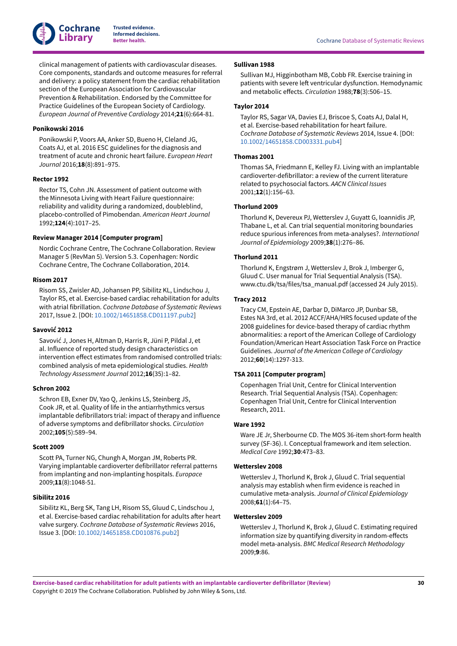

clinical management of patients with cardiovascular diseases. Core components, standards and outcome measures for referral and delivery: a policy statement from the cardiac rehabilitation section of the European Association for Cardiovascular Prevention & Rehabilitation. Endorsed by the Committee for Practice Guidelines of the European Society of Cardiology. *European Journal of Preventive Cardiology* 2014;**21**(6):664-81.

### <span id="page-32-1"></span>**Ponikowski 2016**

Ponikowski P, Voors AA, Anker SD, Bueno H, Cleland JG, Coats AJ, et al. 2016 ESC guidelines for the diagnosis and treatment of acute and chronic heart failure. *European Heart Journal* 2016;**18**(8):891–975.

### <span id="page-32-10"></span>**Rector 1992**

Rector TS, Cohn JN. Assessment of patient outcome with the Minnesota Living with Heart Failure questionnaire: reliability and validity during a randomized, doubleblind, placebo-controlled of Pimobendan. *American Heart Journal* 1992;**124**(4):1017–25.

# <span id="page-32-11"></span>**Review Manager 2014 [Computer program]**

Nordic Cochrane Centre, The Cochrane Collaboration. Review Manager 5 (RevMan 5). Version 5.3. Copenhagen: Nordic Cochrane Centre, The Cochrane Collaboration, 2014.

#### <span id="page-32-7"></span>**Risom 2017**

Risom SS, Zwisler AD, Johansen PP, Sibilitz KL, Lindschou J, Taylor RS, et al. Exercise-based cardiac rehabilitation for adults with atrial fibrillation. *Cochrane Database of Systematic Reviews* 2017, Issue 2. [DOI: [10.1002/14651858.CD011197.pub2\]](https://doi.org/10.1002%2F14651858.CD011197.pub2)

### <span id="page-32-12"></span>**Savović 2012**

Savović J, Jones H, Altman D, Harris R, Jüni P, Pildal J, et al. Influence of reported study design characteristics on intervention effect estimates from randomised controlled trials: combined analysis of meta epidemiological studies. *Health Technology Assessment Journal* 2012;**16**(35):1–82.

#### <span id="page-32-3"></span>**Schron 2002**

Schron EB, Exner DV, Yao Q, Jenkins LS, Steinberg JS, Cook JR, et al. Quality of life in the antiarrhythmics versus implantable defibrillators trial: impact of therapy and influence of adverse symptoms and defibrillator shocks. *Circulation* 2002;**105**(5):589–94.

#### <span id="page-32-2"></span>**Scott 2009**

Scott PA, Turner NG, Chungh A, Morgan JM, Roberts PR. Varying implantable cardioverter defibrillator referral patterns from implanting and non-implanting hospitals. *Europace* 2009;**11**(8):1048-51.

### <span id="page-32-8"></span>**Sibilitz 2016**

Sibilitz KL, Berg SK, Tang LH, Risom SS, Gluud C, Lindschou J, et al. Exercise-based cardiac rehabilitation for adults after heart valve surgery. *Cochrane Database of Systematic Reviews* 2016, Issue 3. [DOI: [10.1002/14651858.CD010876.pub2\]](https://doi.org/10.1002%2F14651858.CD010876.pub2)

### <span id="page-32-5"></span>**Sullivan 1988**

Sullivan MJ, Higginbotham MB, Cobb FR. Exercise training in patients with severe left ventricular dysfunction. Hemodynamic and metabolic effects. *Circulation* 1988;78(3):506-15.

### <span id="page-32-6"></span>**Taylor 2014**

Taylor RS, Sagar VA, Davies EJ, Briscoe S, Coats AJ, Dalal H, et al. Exercise-based rehabilitation for heart failure. *Cochrane Database of Systematic Reviews* 2014, Issue 4. [DOI: [10.1002/14651858.CD003331.pub4\]](https://doi.org/10.1002%2F14651858.CD003331.pub4)

### <span id="page-32-4"></span>**Thomas 2001**

Thomas SA, Friedmann E, Kelley FJ. Living with an implantable cardioverter-defibrillator: a review of the current literature related to psychosocial factors. *AACN Clinical Issues* 2001;**12**(1):156–63.

### <span id="page-32-14"></span>**Thorlund 2009**

Thorlund K, Devereux PJ, Wetterslev J, Guyatt G, Ioannidis JP, Thabane L, et al. Can trial sequential monitoring boundaries reduce spurious inferences from meta-analyses?. *International Journal of Epidemiology* 2009;**38**(1):276–86.

#### <span id="page-32-13"></span>**Thorlund 2011**

Thorlund K, Engstrøm J, Wetterslev J, Brok J, Imberger G, Gluud C. User manual for Trial Sequential Analysis (TSA). www.ctu.dk/tsa/files/tsa\_manual.pdf (accessed 24 July 2015).

### <span id="page-32-0"></span>**Tracy 2012**

Tracy CM, Epstein AE, Darbar D, DiMarco JP, Dunbar SB, Estes NA 3rd, et al. 2012 ACCF/AHA/HRS focused update of the 2008 guidelines for device-based therapy of cardiac rhythm abnormalities: a report of the American College of Cardiology Foundation/American Heart Association Task Force on Practice Guidelines. *Journal of the American College of Cardiology* 2012;**60**(14):1297-313.

### <span id="page-32-15"></span>**TSA 2011 [Computer program]**

Copenhagen Trial Unit, Centre for Clinical Intervention Research. Trial Sequential Analysis (TSA). Copenhagen: Copenhagen Trial Unit, Centre for Clinical Intervention Research, 2011.

### <span id="page-32-9"></span>**Ware 1992**

Ware JE Jr, Sherbourne CD. The MOS 36-item short-form health survey (SF-36). I. Conceptual framework and item selection. *Medical Care* 1992;**30**:473–83.

#### <span id="page-32-16"></span>**Wetterslev 2008**

Wetterslev J, Thorlund K, Brok J, Gluud C. Trial sequential analysis may establish when firm evidence is reached in cumulative meta-analysis. *Journal of Clinical Epidemiology* 2008;**61**(1):64–75.

### <span id="page-32-17"></span>**Wetterslev 2009**

Wetterslev J, Thorlund K, Brok J, Gluud C. Estimating required information size by quantifying diversity in random-effects model meta-analysis. *BMC Medical Research Methodology* 2009;**9**:86.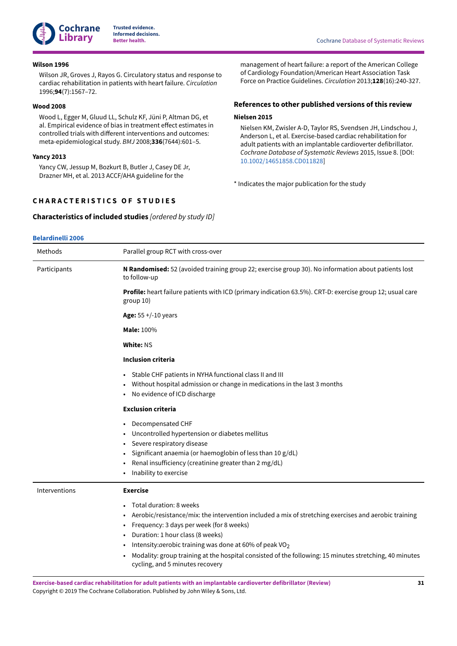

management of heart failure: a report of the American College of Cardiology Foundation/American Heart Association Task Force on Practice Guidelines. *Circulation* 2013;**128**(16):240-327.

**References to other published versions of this review**

Nielsen KM, Zwisler A-D, Taylor RS, Svendsen JH, Lindschou J, Anderson L, et al. Exercise-based cardiac rehabilitation for adult patients with an implantable cardioverter defibrillator. *Cochrane Database of Systematic Reviews* 2015, Issue 8. [DOI:

**Nielsen 2015**

[10.1002/14651858.CD011828\]](https://doi.org/10.1002%2F14651858.CD011828)

<span id="page-33-5"></span>\* Indicates the major publication for the study

### <span id="page-33-2"></span>**Wilson 1996**

Wilson JR, Groves J, Rayos G. Circulatory status and response to cardiac rehabilitation in patients with heart failure. *Circulation* 1996;**94**(7):1567–72.

### <span id="page-33-3"></span>**Wood 2008**

Wood L, Egger M, Gluud LL, Schulz KF, Jüni P, Altman DG, et al. Empirical evidence of bias in treatment effect estimates in controlled trials with different interventions and outcomes: meta-epidemiological study. *BMJ* 2008;**336**(7644):601–5.

### <span id="page-33-1"></span>**Yancy 2013**

Yancy CW, Jessup M, Bozkurt B, Butler J, Casey DE Jr, Drazner MH, et al. 2013 ACCF/AHA guideline for the

# <span id="page-33-0"></span>**C H A R A C T E R I S T I C S O F S T U D I E S**

<span id="page-33-4"></span>**Characteristics of included studies** *[ordered by study ID]*

### **[Belardinelli](#page-28-6) 2006**

| Methods       | Parallel group RCT with cross-over                                                                                                                                                                                                                                                                                                                                                                                                               |  |  |  |  |  |  |  |
|---------------|--------------------------------------------------------------------------------------------------------------------------------------------------------------------------------------------------------------------------------------------------------------------------------------------------------------------------------------------------------------------------------------------------------------------------------------------------|--|--|--|--|--|--|--|
| Participants  | N Randomised: 52 (avoided training group 22; exercise group 30). No information about patients lost<br>to follow-up                                                                                                                                                                                                                                                                                                                              |  |  |  |  |  |  |  |
|               | <b>Profile:</b> heart failure patients with ICD (primary indication 63.5%). CRT-D: exercise group 12; usual care<br>group 10)                                                                                                                                                                                                                                                                                                                    |  |  |  |  |  |  |  |
|               | <b>Age:</b> 55 +/-10 years                                                                                                                                                                                                                                                                                                                                                                                                                       |  |  |  |  |  |  |  |
|               | <b>Male: 100%</b>                                                                                                                                                                                                                                                                                                                                                                                                                                |  |  |  |  |  |  |  |
|               | <b>White: NS</b>                                                                                                                                                                                                                                                                                                                                                                                                                                 |  |  |  |  |  |  |  |
|               | <b>Inclusion criteria</b>                                                                                                                                                                                                                                                                                                                                                                                                                        |  |  |  |  |  |  |  |
|               | • Stable CHF patients in NYHA functional class II and III<br>Without hospital admission or change in medications in the last 3 months<br>• No evidence of ICD discharge                                                                                                                                                                                                                                                                          |  |  |  |  |  |  |  |
|               | <b>Exclusion criteria</b>                                                                                                                                                                                                                                                                                                                                                                                                                        |  |  |  |  |  |  |  |
|               | • Decompensated CHF<br>• Uncontrolled hypertension or diabetes mellitus<br>Severe respiratory disease<br>Significant anaemia (or haemoglobin of less than 10 g/dL)<br>Renal insufficiency (creatinine greater than 2 mg/dL)<br>Inability to exercise                                                                                                                                                                                             |  |  |  |  |  |  |  |
| Interventions | <b>Exercise</b>                                                                                                                                                                                                                                                                                                                                                                                                                                  |  |  |  |  |  |  |  |
|               | • Total duration: 8 weeks<br>Aerobic/resistance/mix: the intervention included a mix of stretching exercises and aerobic training<br>Frequency: 3 days per week (for 8 weeks)<br>• Duration: 1 hour class (8 weeks)<br>• Intensity: <i>aerobic</i> training was done at 60% of peak VO <sub>2</sub><br>Modality: group training at the hospital consisted of the following: 15 minutes stretching, 40 minutes<br>cycling, and 5 minutes recovery |  |  |  |  |  |  |  |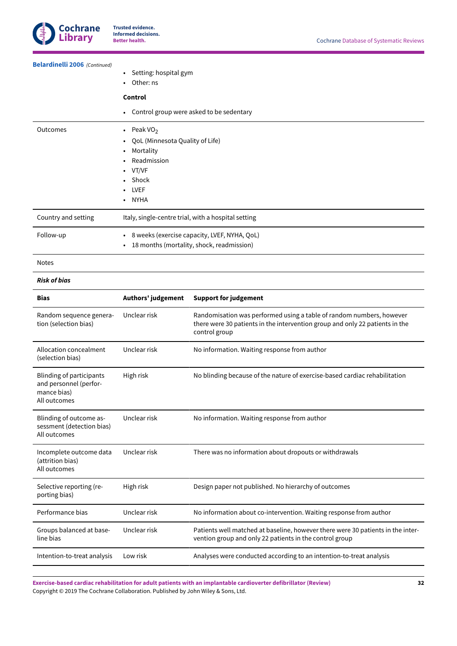

| <b>Belardinelli 2006</b> (Continued) |  |
|--------------------------------------|--|
|--------------------------------------|--|

- Setting: hospital gym
- Other: ns

# **Control**

| • Control group were asked to be sedentary |  |
|--------------------------------------------|--|
|--------------------------------------------|--|

| Outcomes            | • Peak $VO2$<br>• QoL (Minnesota Quality of Life)<br>Mortality<br>$\bullet$<br>• Readmission<br>$\cdot$ VT/VF<br>• Shock<br>$\cdot$ LVEF<br><b>NYHA</b><br>$\bullet$ |  |
|---------------------|----------------------------------------------------------------------------------------------------------------------------------------------------------------------|--|
| Country and setting | Italy, single-centre trial, with a hospital setting                                                                                                                  |  |
| Follow-up           | • 8 weeks (exercise capacity, LVEF, NYHA, QoL)<br>18 months (mortality, shock, readmission)<br>$\bullet$                                                             |  |

### Notes

# *Risk of bias*

| <b>Bias</b>                                                                              | Authors' judgement | <b>Support for judgement</b>                                                                                                                                          |
|------------------------------------------------------------------------------------------|--------------------|-----------------------------------------------------------------------------------------------------------------------------------------------------------------------|
| Random sequence genera-<br>tion (selection bias)                                         | Unclear risk       | Randomisation was performed using a table of random numbers, however<br>there were 30 patients in the intervention group and only 22 patients in the<br>control group |
| Allocation concealment<br>(selection bias)                                               | Unclear risk       | No information. Waiting response from author                                                                                                                          |
| <b>Blinding of participants</b><br>and personnel (perfor-<br>mance bias)<br>All outcomes | High risk          | No blinding because of the nature of exercise-based cardiac rehabilitation                                                                                            |
| Blinding of outcome as-<br>sessment (detection bias)<br>All outcomes                     | Unclear risk       | No information. Waiting response from author                                                                                                                          |
| Incomplete outcome data<br>(attrition bias)<br>All outcomes                              | Unclear risk       | There was no information about dropouts or withdrawals                                                                                                                |
| Selective reporting (re-<br>porting bias)                                                | High risk          | Design paper not published. No hierarchy of outcomes                                                                                                                  |
| Performance bias                                                                         | Unclear risk       | No information about co-intervention. Waiting response from author                                                                                                    |
| Groups balanced at base-<br>line bias                                                    | Unclear risk       | Patients well matched at baseline, however there were 30 patients in the inter-<br>vention group and only 22 patients in the control group                            |
| Intention-to-treat analysis                                                              | Low risk           | Analyses were conducted according to an intention-to-treat analysis                                                                                                   |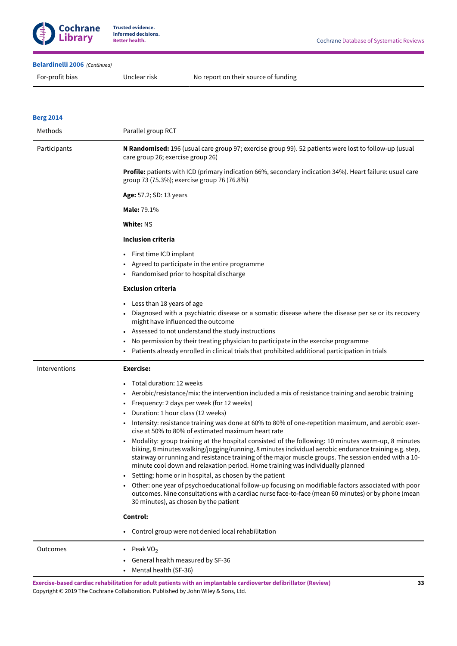

# **[Belardinelli](#page-28-6) 2006**  *(Continued)*

For-profit bias **Unclear risk** No report on their source of funding

| <b>Berg 2014</b> |                                                                                                                                                                                                                                                                                                                                                                                                                                                                                                                                                                                                                                                                                                                                                                                                                                                                                                                                                                                                                                                                                                                                                                                             |  |  |  |
|------------------|---------------------------------------------------------------------------------------------------------------------------------------------------------------------------------------------------------------------------------------------------------------------------------------------------------------------------------------------------------------------------------------------------------------------------------------------------------------------------------------------------------------------------------------------------------------------------------------------------------------------------------------------------------------------------------------------------------------------------------------------------------------------------------------------------------------------------------------------------------------------------------------------------------------------------------------------------------------------------------------------------------------------------------------------------------------------------------------------------------------------------------------------------------------------------------------------|--|--|--|
| Methods          | Parallel group RCT                                                                                                                                                                                                                                                                                                                                                                                                                                                                                                                                                                                                                                                                                                                                                                                                                                                                                                                                                                                                                                                                                                                                                                          |  |  |  |
| Participants     | N Randomised: 196 (usual care group 97; exercise group 99). 52 patients were lost to follow-up (usual<br>care group 26; exercise group 26)                                                                                                                                                                                                                                                                                                                                                                                                                                                                                                                                                                                                                                                                                                                                                                                                                                                                                                                                                                                                                                                  |  |  |  |
|                  | <b>Profile:</b> patients with ICD (primary indication 66%, secondary indication 34%). Heart failure: usual care<br>group 73 (75.3%); exercise group 76 (76.8%)                                                                                                                                                                                                                                                                                                                                                                                                                                                                                                                                                                                                                                                                                                                                                                                                                                                                                                                                                                                                                              |  |  |  |
|                  | <b>Age:</b> 57.2; SD: 13 years                                                                                                                                                                                                                                                                                                                                                                                                                                                                                                                                                                                                                                                                                                                                                                                                                                                                                                                                                                                                                                                                                                                                                              |  |  |  |
|                  | <b>Male: 79.1%</b>                                                                                                                                                                                                                                                                                                                                                                                                                                                                                                                                                                                                                                                                                                                                                                                                                                                                                                                                                                                                                                                                                                                                                                          |  |  |  |
|                  | <b>White: NS</b>                                                                                                                                                                                                                                                                                                                                                                                                                                                                                                                                                                                                                                                                                                                                                                                                                                                                                                                                                                                                                                                                                                                                                                            |  |  |  |
|                  | <b>Inclusion criteria</b>                                                                                                                                                                                                                                                                                                                                                                                                                                                                                                                                                                                                                                                                                                                                                                                                                                                                                                                                                                                                                                                                                                                                                                   |  |  |  |
|                  | First time ICD implant<br>٠<br>Agreed to participate in the entire programme<br>Randomised prior to hospital discharge                                                                                                                                                                                                                                                                                                                                                                                                                                                                                                                                                                                                                                                                                                                                                                                                                                                                                                                                                                                                                                                                      |  |  |  |
|                  | <b>Exclusion criteria</b>                                                                                                                                                                                                                                                                                                                                                                                                                                                                                                                                                                                                                                                                                                                                                                                                                                                                                                                                                                                                                                                                                                                                                                   |  |  |  |
|                  | Less than 18 years of age<br>٠<br>Diagnosed with a psychiatric disease or a somatic disease where the disease per se or its recovery<br>might have influenced the outcome<br>Assessed to not understand the study instructions<br>٠<br>No permission by their treating physician to participate in the exercise programme<br>Patients already enrolled in clinical trials that prohibited additional participation in trials                                                                                                                                                                                                                                                                                                                                                                                                                                                                                                                                                                                                                                                                                                                                                                |  |  |  |
| Interventions    | <b>Exercise:</b>                                                                                                                                                                                                                                                                                                                                                                                                                                                                                                                                                                                                                                                                                                                                                                                                                                                                                                                                                                                                                                                                                                                                                                            |  |  |  |
|                  | Total duration: 12 weeks<br>Aerobic/resistance/mix: the intervention included a mix of resistance training and aerobic training<br>Frequency: 2 days per week (for 12 weeks)<br>Duration: 1 hour class (12 weeks)<br>Intensity: resistance training was done at 60% to 80% of one-repetition maximum, and aerobic exer-<br>٠<br>cise at 50% to 80% of estimated maximum heart rate<br>Modality: group training at the hospital consisted of the following: 10 minutes warm-up, 8 minutes<br>biking, 8 minutes walking/jogging/running, 8 minutes individual aerobic endurance training e.g. step,<br>stairway or running and resistance training of the major muscle groups. The session ended with a 10-<br>minute cool down and relaxation period. Home training was individually planned<br>Setting: home or in hospital, as chosen by the patient<br>$\bullet$<br>Other: one year of psychoeducational follow-up focusing on modifiable factors associated with poor<br>outcomes. Nine consultations with a cardiac nurse face-to-face (mean 60 minutes) or by phone (mean<br>30 minutes), as chosen by the patient<br>Control:<br>• Control group were not denied local rehabilitation |  |  |  |
| Outcomes         | Peak VO <sub>2</sub><br>٠<br>General health measured by SF-36<br>Mental health (SF-36)                                                                                                                                                                                                                                                                                                                                                                                                                                                                                                                                                                                                                                                                                                                                                                                                                                                                                                                                                                                                                                                                                                      |  |  |  |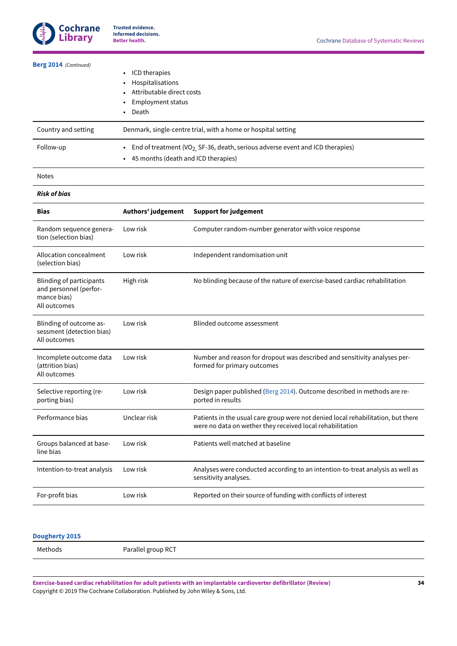| Berg 2014 (Continued) | ICD therapies<br>$\bullet$<br>Hospitalisations<br>$\bullet$<br>• Attributable direct costs<br>Employment status<br>$\bullet$<br>Death<br>$\bullet$ |
|-----------------------|----------------------------------------------------------------------------------------------------------------------------------------------------|
| Country and setting   | Denmark, single-centre trial, with a home or hospital setting                                                                                      |
| Follow-up             | End of treatment (VO <sub>2,</sub> SF-36, death, serious adverse event and ICD therapies)<br>$\bullet$<br>• 45 months (death and ICD therapies)    |
| <b>Notes</b>          |                                                                                                                                                    |

## *Risk of bias*

| <b>Bias</b>                                                                              | Authors' judgement | <b>Support for judgement</b>                                                                                                                  |
|------------------------------------------------------------------------------------------|--------------------|-----------------------------------------------------------------------------------------------------------------------------------------------|
| Random sequence genera-<br>tion (selection bias)                                         | Low risk           | Computer random-number generator with voice response                                                                                          |
| Allocation concealment<br>(selection bias)                                               | Low risk           | Independent randomisation unit                                                                                                                |
| <b>Blinding of participants</b><br>and personnel (perfor-<br>mance bias)<br>All outcomes | High risk          | No blinding because of the nature of exercise-based cardiac rehabilitation                                                                    |
| Blinding of outcome as-<br>sessment (detection bias)<br>All outcomes                     | Low risk           | Blinded outcome assessment                                                                                                                    |
| Incomplete outcome data<br>(attrition bias)<br>All outcomes                              | Low risk           | Number and reason for dropout was described and sensitivity analyses per-<br>formed for primary outcomes                                      |
| Selective reporting (re-<br>porting bias)                                                | Low risk           | Design paper published (Berg 2014). Outcome described in methods are re-<br>ported in results                                                 |
| Performance bias                                                                         | Unclear risk       | Patients in the usual care group were not denied local rehabilitation, but there<br>were no data on wether they received local rehabilitation |
| Groups balanced at base-<br>line bias                                                    | Low risk           | Patients well matched at baseline                                                                                                             |
| Intention-to-treat analysis                                                              | Low risk           | Analyses were conducted according to an intention-to-treat analysis as well as<br>sensitivity analyses.                                       |
| For-profit bias                                                                          | Low risk           | Reported on their source of funding with conflicts of interest                                                                                |

## **[Dougherty 2015](#page-28-1)**

Methods Parallel group RCT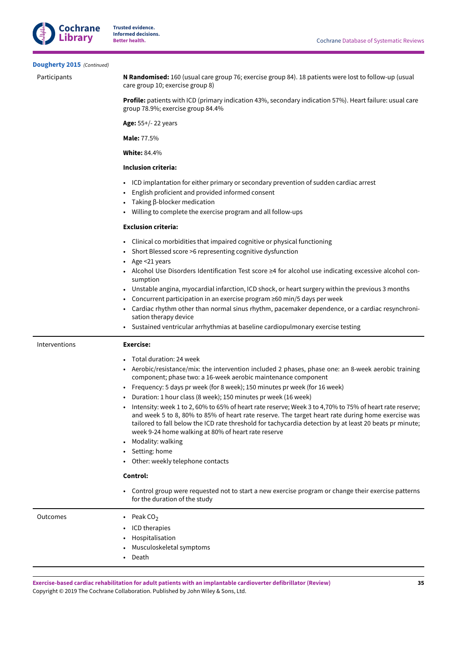#### **[Dougherty 2015](#page-28-1)**  *(Continued)*

Participants **N Randomised:** 160 (usual care group 76; exercise group 84). 18 patients were lost to follow-up (usual care group 10; exercise group 8)

> **Profile:** patients with ICD (primary indication 43%, secondary indication 57%). Heart failure: usual care group 78.9%; exercise group 84.4%

**Age:** 55+/- 22 years

**Male:** 77.5%

#### **White:** 84.4%

#### **Inclusion criteria:**

- ICD implantation for either primary or secondary prevention of sudden cardiac arrest
- English proficient and provided informed consent
- Taking β-blocker medication
- Willing to complete the exercise program and all follow-ups

#### **Exclusion criteria:**

- Clinical co morbidities that impaired cognitive or physical functioning
- Short Blessed score >6 representing cognitive dysfunction
- Age <21 years
- Alcohol Use Disorders Identification Test score ≥4 for alcohol use indicating excessive alcohol consumption
- Unstable angina, myocardial infarction, ICD shock, or heart surgery within the previous 3 months
- Concurrent participation in an exercise program ≥60 min/5 days per week
- Cardiac rhythm other than normal sinus rhythm, pacemaker dependence, or a cardiac resynchronisation therapy device
- Sustained ventricular arrhythmias at baseline cardiopulmonary exercise testing

#### Interventions **Exercise:**

- Total duration: 24 week
- Aerobic/resistance/mix: the intervention included 2 phases, phase one: an 8-week aerobic training component; phase two: a 16-week aerobic maintenance component
- Frequency: 5 days pr week (for 8 week); 150 minutes pr week (for 16 week)
- Duration: 1 hour class (8 week); 150 minutes pr week (16 week)
- Intensity: week 1 to 2, 60% to 65% of heart rate reserve; Week 3 to 4,70% to 75% of heart rate reserve; and week 5 to 8, 80% to 85% of heart rate reserve. The target heart rate during home exercise was tailored to fall below the ICD rate threshold for tachycardia detection by at least 20 beats pr minute; week 9-24 home walking at 80% of heart rate reserve
- Modality: walking
- Setting: home
- Other: weekly telephone contacts

#### **Control:**

• Control group were requested not to start a new exercise program or change their exercise patterns for the duration of the study

Outcomes • Peak CO<sub>2</sub>

- 
- ICD therapies
- **Hospitalisation**
- Musculoskeletal symptoms
- Death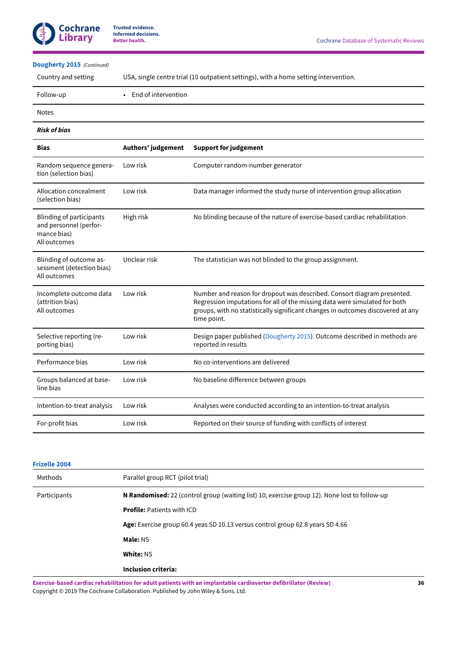

## **[Dougherty 2015](#page-28-1)**  *(Continued)*

Country and setting USA, single centre trial (10 outpatient settings), with a home setting intervention.

| Follow-up                                                                                | End of intervention |                                                                                                                                                                                                                                                         |
|------------------------------------------------------------------------------------------|---------------------|---------------------------------------------------------------------------------------------------------------------------------------------------------------------------------------------------------------------------------------------------------|
| <b>Notes</b>                                                                             |                     |                                                                                                                                                                                                                                                         |
| <b>Risk of bias</b>                                                                      |                     |                                                                                                                                                                                                                                                         |
| <b>Bias</b>                                                                              | Authors' judgement  | <b>Support for judgement</b>                                                                                                                                                                                                                            |
| Random sequence genera-<br>tion (selection bias)                                         | Low risk            | Computer random-number generator                                                                                                                                                                                                                        |
| Allocation concealment<br>(selection bias)                                               | Low risk            | Data manager informed the study nurse of intervention group allocation                                                                                                                                                                                  |
| <b>Blinding of participants</b><br>and personnel (perfor-<br>mance bias)<br>All outcomes | High risk           | No blinding because of the nature of exercise-based cardiac rehabilitation                                                                                                                                                                              |
| Blinding of outcome as-<br>sessment (detection bias)<br>All outcomes                     | Unclear risk        | The statistician was not blinded to the group assignment.                                                                                                                                                                                               |
| Incomplete outcome data<br>(attrition bias)<br>All outcomes                              | Low risk            | Number and reason for dropout was described. Consort diagram presented.<br>Regression imputations for all of the missing data were simulated for both<br>groups, with no statistically significant changes in outcomes discovered at any<br>time point. |
| Selective reporting (re-<br>porting bias)                                                | Low risk            | Design paper published (Dougherty 2015). Outcome described in methods are<br>reported in results                                                                                                                                                        |
| Performance bias                                                                         | Low risk            | No co-interventions are delivered                                                                                                                                                                                                                       |
| Groups balanced at base-<br>line bias                                                    | Low risk            | No baseline difference between groups                                                                                                                                                                                                                   |
| Intention-to-treat analysis                                                              | Low risk            | Analyses were conducted according to an intention-to-treat analysis                                                                                                                                                                                     |
| For-profit bias                                                                          | Low risk            | Reported on their source of funding with conflicts of interest                                                                                                                                                                                          |

| <b>Frizelle 2004</b> |                                                                                               |
|----------------------|-----------------------------------------------------------------------------------------------|
| Methods              | Parallel group RCT (pilot trial)                                                              |
| Participants         | N Randomised: 22 (control group (waiting list) 10; exercise group 12). None lost to follow-up |
|                      | <b>Profile: Patients with ICD</b>                                                             |
|                      | Age: Exercise group 60.4 yeas SD 10.13 versus control group 62.8 years SD 4.66                |
|                      | Male: NS                                                                                      |
|                      | White: NS                                                                                     |
|                      | Inclusion criteria:                                                                           |
|                      |                                                                                               |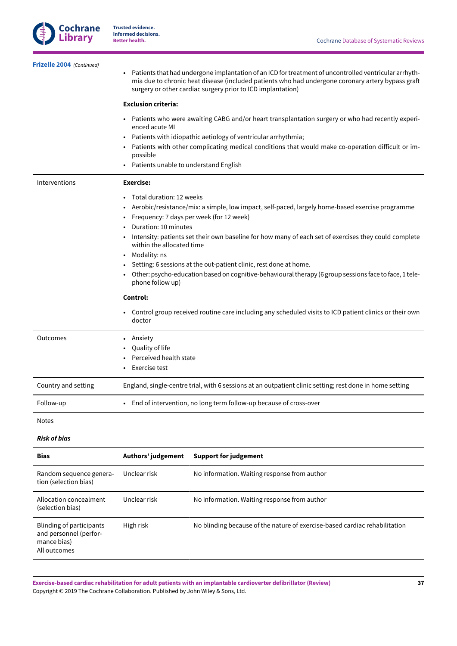| Frizelle 2004 (Continued)                                                         | <b>Exclusion criteria:</b><br>enced acute MI                                                                                                                                                                                                                                                                                                              | • Patients that had undergone implantation of an ICD for treatment of uncontrolled ventricular arrhyth-<br>mia due to chronic heat disease (included patients who had undergone coronary artery bypass graft<br>surgery or other cardiac surgery prior to ICD implantation)<br>• Patients who were awaiting CABG and/or heart transplantation surgery or who had recently experi-<br>• Patients with idiopathic aetiology of ventricular arrhythmia;<br>• Patients with other complicating medical conditions that would make co-operation difficult or im- |  |
|-----------------------------------------------------------------------------------|-----------------------------------------------------------------------------------------------------------------------------------------------------------------------------------------------------------------------------------------------------------------------------------------------------------------------------------------------------------|-------------------------------------------------------------------------------------------------------------------------------------------------------------------------------------------------------------------------------------------------------------------------------------------------------------------------------------------------------------------------------------------------------------------------------------------------------------------------------------------------------------------------------------------------------------|--|
|                                                                                   | possible<br>• Patients unable to understand English                                                                                                                                                                                                                                                                                                       |                                                                                                                                                                                                                                                                                                                                                                                                                                                                                                                                                             |  |
| Interventions                                                                     | Exercise:                                                                                                                                                                                                                                                                                                                                                 |                                                                                                                                                                                                                                                                                                                                                                                                                                                                                                                                                             |  |
|                                                                                   | Total duration: 12 weeks<br>Aerobic/resistance/mix: a simple, low impact, self-paced, largely home-based exercise programme<br>Frequency: 7 days per week (for 12 week)<br>Duration: 10 minutes                                                                                                                                                           |                                                                                                                                                                                                                                                                                                                                                                                                                                                                                                                                                             |  |
|                                                                                   | Intensity: patients set their own baseline for how many of each set of exercises they could complete<br>within the allocated time<br>Modality: ns<br>٠<br>Setting: 6 sessions at the out-patient clinic, rest done at home.<br>Other: psycho-education based on cognitive-behavioural therapy (6 group sessions face to face, 1 tele-<br>phone follow up) |                                                                                                                                                                                                                                                                                                                                                                                                                                                                                                                                                             |  |
|                                                                                   | Control:<br>doctor                                                                                                                                                                                                                                                                                                                                        | • Control group received routine care including any scheduled visits to ICD patient clinics or their own                                                                                                                                                                                                                                                                                                                                                                                                                                                    |  |
| Outcomes                                                                          | • Anxiety<br>Quality of life<br>Perceived health state<br>Exercise test                                                                                                                                                                                                                                                                                   |                                                                                                                                                                                                                                                                                                                                                                                                                                                                                                                                                             |  |
| Country and setting                                                               |                                                                                                                                                                                                                                                                                                                                                           | England, single-centre trial, with 6 sessions at an outpatient clinic setting; rest done in home setting                                                                                                                                                                                                                                                                                                                                                                                                                                                    |  |
| Follow-up                                                                         | • End of intervention, no long term follow-up because of cross-over                                                                                                                                                                                                                                                                                       |                                                                                                                                                                                                                                                                                                                                                                                                                                                                                                                                                             |  |
| <b>Notes</b>                                                                      |                                                                                                                                                                                                                                                                                                                                                           |                                                                                                                                                                                                                                                                                                                                                                                                                                                                                                                                                             |  |
| <b>Risk of bias</b>                                                               |                                                                                                                                                                                                                                                                                                                                                           |                                                                                                                                                                                                                                                                                                                                                                                                                                                                                                                                                             |  |
| <b>Bias</b>                                                                       | Authors' judgement                                                                                                                                                                                                                                                                                                                                        | <b>Support for judgement</b>                                                                                                                                                                                                                                                                                                                                                                                                                                                                                                                                |  |
| Random sequence genera-<br>tion (selection bias)                                  | Unclear risk                                                                                                                                                                                                                                                                                                                                              | No information. Waiting response from author                                                                                                                                                                                                                                                                                                                                                                                                                                                                                                                |  |
| Allocation concealment<br>(selection bias)                                        | Unclear risk                                                                                                                                                                                                                                                                                                                                              | No information. Waiting response from author                                                                                                                                                                                                                                                                                                                                                                                                                                                                                                                |  |
| Blinding of participants<br>and personnel (perfor-<br>mance bias)<br>All outcomes | High risk                                                                                                                                                                                                                                                                                                                                                 | No blinding because of the nature of exercise-based cardiac rehabilitation                                                                                                                                                                                                                                                                                                                                                                                                                                                                                  |  |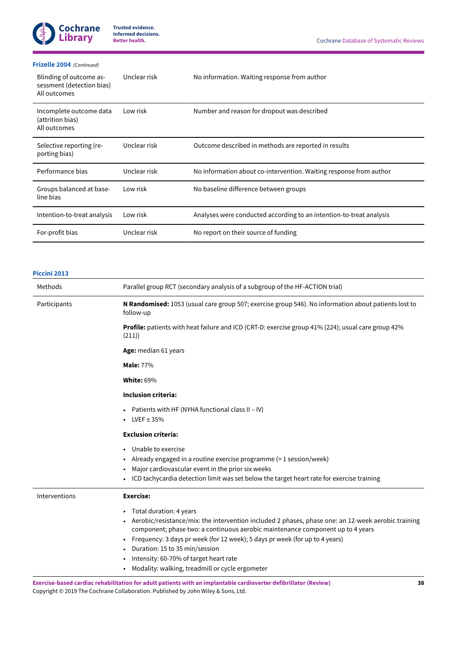#### **[Frizelle](#page-28-2) 2004**  *(Continued)*

| Blinding of outcome as-<br>sessment (detection bias)<br>All outcomes | Unclear risk | No information. Waiting response from author                        |
|----------------------------------------------------------------------|--------------|---------------------------------------------------------------------|
| Incomplete outcome data<br>(attrition bias)<br>All outcomes          | Low risk     | Number and reason for dropout was described                         |
| Selective reporting (re-<br>porting bias)                            | Unclear risk | Outcome described in methods are reported in results                |
| Performance bias                                                     | Unclear risk | No information about co-intervention. Waiting response from author  |
| Groups balanced at base-<br>line bias                                | Low risk     | No baseline difference between groups                               |
| Intention-to-treat analysis                                          | Low risk     | Analyses were conducted according to an intention-to-treat analysis |
| For-profit bias                                                      | Unclear risk | No report on their source of funding                                |

#### **[Piccini](#page-28-3) 2013**

| Methods       | Parallel group RCT (secondary analysis of a subgroup of the HF-ACTION trial)                                                                                                                                                                                                                                                                                                                                                          |  |  |
|---------------|---------------------------------------------------------------------------------------------------------------------------------------------------------------------------------------------------------------------------------------------------------------------------------------------------------------------------------------------------------------------------------------------------------------------------------------|--|--|
| Participants  | N Randomised: 1053 (usual care group 507; exercise group 546). No information about patients lost to<br>follow-up                                                                                                                                                                                                                                                                                                                     |  |  |
|               | <b>Profile:</b> patients with heat failure and ICD (CRT-D: exercise group 41% (224); usual care group 42%<br>(211)                                                                                                                                                                                                                                                                                                                    |  |  |
|               | Age: median 61 years                                                                                                                                                                                                                                                                                                                                                                                                                  |  |  |
|               | <b>Male: 77%</b>                                                                                                                                                                                                                                                                                                                                                                                                                      |  |  |
|               | <b>White: 69%</b>                                                                                                                                                                                                                                                                                                                                                                                                                     |  |  |
|               | <b>Inclusion criteria:</b>                                                                                                                                                                                                                                                                                                                                                                                                            |  |  |
|               | • Patients with HF (NYHA functional class $II - IV$ )<br>$\bullet$ LVEF $\leq$ 35%                                                                                                                                                                                                                                                                                                                                                    |  |  |
|               | <b>Exclusion criteria:</b>                                                                                                                                                                                                                                                                                                                                                                                                            |  |  |
|               | • Unable to exercise<br>• Already engaged in a routine exercise programme (> 1 session/week)<br>Major cardiovascular event in the prior six weeks<br>• ICD tachycardia detection limit was set below the target heart rate for exercise training                                                                                                                                                                                      |  |  |
| Interventions | <b>Exercise:</b>                                                                                                                                                                                                                                                                                                                                                                                                                      |  |  |
|               | • Total duration: 4 years<br>• Aerobic/resistance/mix: the intervention included 2 phases, phase one: an 12-week aerobic training<br>component; phase two: a continuous aerobic maintenance component up to 4 years<br>• Frequency: 3 days pr week (for 12 week); 5 days pr week (for up to 4 years)<br>• Duration: 15 to 35 min/session<br>Intensity: 60-70% of target heart rate<br>Modality: walking, treadmill or cycle ergometer |  |  |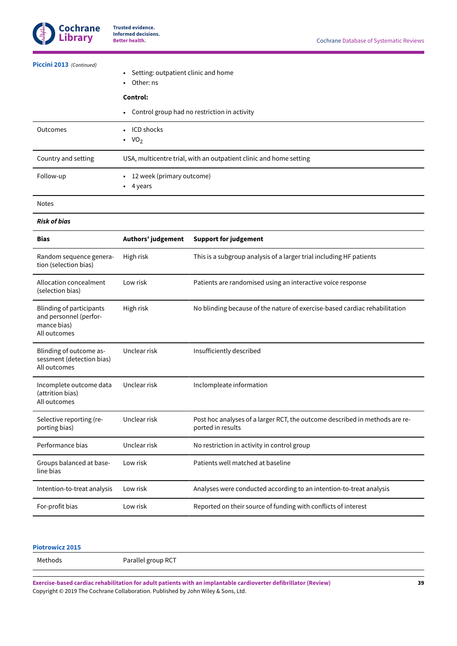| Piccini 2013 (Continued)                                                                 | Setting: outpatient clinic and home<br>Other: ns<br>$\bullet$ |                                                                                                  |  |
|------------------------------------------------------------------------------------------|---------------------------------------------------------------|--------------------------------------------------------------------------------------------------|--|
|                                                                                          | Control:                                                      |                                                                                                  |  |
|                                                                                          | Control group had no restriction in activity<br>٠             |                                                                                                  |  |
| Outcomes                                                                                 | ICD shocks<br>VO <sub>2</sub><br>٠                            |                                                                                                  |  |
| Country and setting                                                                      |                                                               | USA, multicentre trial, with an outpatient clinic and home setting                               |  |
| Follow-up                                                                                | 12 week (primary outcome)<br>$\bullet$<br>4 years<br>٠        |                                                                                                  |  |
| <b>Notes</b>                                                                             |                                                               |                                                                                                  |  |
| <b>Risk of bias</b>                                                                      |                                                               |                                                                                                  |  |
| <b>Bias</b>                                                                              | Authors' judgement                                            | <b>Support for judgement</b>                                                                     |  |
| Random sequence genera-<br>tion (selection bias)                                         | High risk                                                     | This is a subgroup analysis of a larger trial including HF patients                              |  |
| Allocation concealment<br>(selection bias)                                               | Low risk                                                      | Patients are randomised using an interactive voice response                                      |  |
| <b>Blinding of participants</b><br>and personnel (perfor-<br>mance bias)<br>All outcomes | High risk                                                     | No blinding because of the nature of exercise-based cardiac rehabilitation                       |  |
| Blinding of outcome as-<br>sessment (detection bias)<br>All outcomes                     | Unclear risk                                                  | Insufficiently described                                                                         |  |
| Incomplete outcome data<br>(attrition bias)<br>All outcomes                              | Unclear risk                                                  | Inclompleate information                                                                         |  |
| Selective reporting (re-<br>porting bias)                                                | Unclear risk                                                  | Post hoc analyses of a larger RCT, the outcome described in methods are re-<br>ported in results |  |
| Performance bias                                                                         | Unclear risk                                                  | No restriction in activity in control group                                                      |  |
| Groups balanced at base-<br>line bias                                                    | Low risk                                                      | Patients well matched at baseline                                                                |  |
| Intention-to-treat analysis                                                              | Low risk                                                      | Analyses were conducted according to an intention-to-treat analysis                              |  |
| For-profit bias                                                                          | Low risk                                                      | Reported on their source of funding with conflicts of interest                                   |  |

#### **[Piotrowicz](#page-28-4) 2015**

Methods Parallel group RCT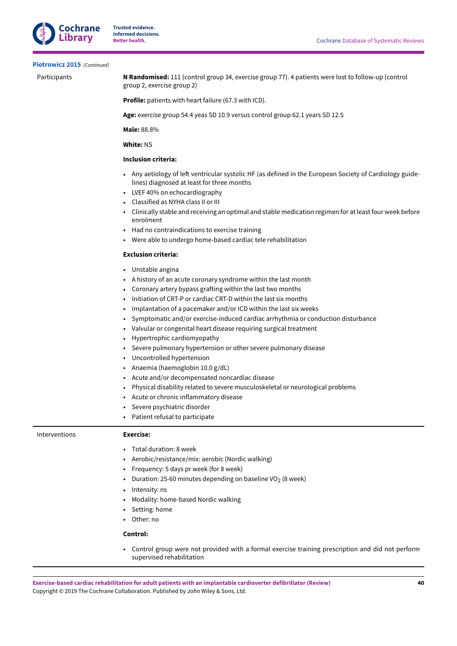

#### **[Piotrowicz](#page-28-4) 2015**  *(Continued)*

Participants **N Randomised:** 111 (control group 34, exercise group 77). 4 patients were lost to follow-up (control group 2, exercise group 2)

**Profile:** patients with heart failure (67.3 with ICD).

**Age:** exercise group 54.4 yeas SD 10.9 versus control group 62.1 years SD 12.5

**Male:** 88.8%

**White:** NS

#### **Inclusion criteria:**

- Any aetiology of left ventricular systolic HF (as defined in the European Society of Cardiology guidelines) diagnosed at least for three months
- LVEF 40% on echocardiography
- Classified as NYHA class II or III
- Clinically stable and receiving an optimal and stable medication regimen for at least four week before enrolment
- Had no contraindications to exercise training
- Were able to undergo home-based cardiac tele rehabilitation

#### **Exclusion criteria:**

- Unstable angina
- A history of an acute coronary syndrome within the last month
- Coronary artery bypass grafting within the last two months
- Initiation of CRT-P or cardiac CRT-D within the last six months
- Implantation of a pacemaker and/or ICD within the last six weeks
- Symptomatic and/or exercise-induced cardiac arrhythmia or conduction disturbance
- Valvular or congenital heart disease requiring surgical treatment
- Hypertrophic cardiomyopathy
- Severe pulmonary hypertension or other severe pulmonary disease
- Uncontrolled hypertension
- Anaemia (haemoglobin 10.0 g/dL)
- Acute and/or decompensated noncardiac disease
- Physical disability related to severe musculoskeletal or neurological problems
- Acute or chronic inflammatory disease
- Severe psychiatric disorder
- Patient refusal to participate

#### Interventions **Exercise:**

- Total duration: 8 week
- Aerobic/resistance/mix: aerobic (Nordic walking)
- Frequency: 5 days pr week (for 8 week)
- Duration: 25-60 minutes depending on baseline VO<sub>2</sub> (8 week)
- Intensity: ns
- Modality: home-based Nordic walking
- Setting: home
- Other: no

#### **Control:**

• Control group were not provided with a formal exercise training prescription and did not perform supervised rehabilitation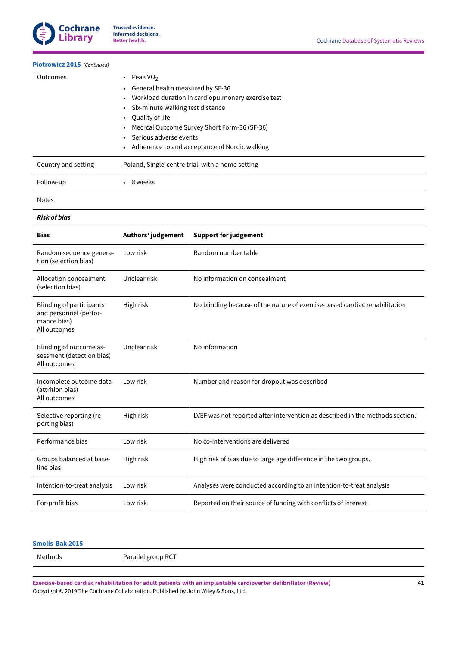

**[Piotrowicz](#page-28-4) 2015**  *(Continued)*

**Trusted evidence. Informed decisions.**

| Outcomes                                                                                 | Peak VO <sub>2</sub><br>$\bullet$<br>General health measured by SF-36<br>Workload duration in cardiopulmonary exercise test<br>Six-minute walking test distance<br>Quality of life<br>Medical Outcome Survey Short Form-36 (SF-36)<br>Serious adverse events<br>Adherence to and acceptance of Nordic walking |                                                                               |
|------------------------------------------------------------------------------------------|---------------------------------------------------------------------------------------------------------------------------------------------------------------------------------------------------------------------------------------------------------------------------------------------------------------|-------------------------------------------------------------------------------|
| Country and setting                                                                      |                                                                                                                                                                                                                                                                                                               | Poland, Single-centre trial, with a home setting                              |
| Follow-up                                                                                | • 8 weeks                                                                                                                                                                                                                                                                                                     |                                                                               |
| <b>Notes</b>                                                                             |                                                                                                                                                                                                                                                                                                               |                                                                               |
| <b>Risk of bias</b>                                                                      |                                                                                                                                                                                                                                                                                                               |                                                                               |
| <b>Bias</b>                                                                              | Authors' judgement                                                                                                                                                                                                                                                                                            | <b>Support for judgement</b>                                                  |
| Random sequence genera-<br>tion (selection bias)                                         | Low risk                                                                                                                                                                                                                                                                                                      | Random number table                                                           |
| Allocation concealment<br>(selection bias)                                               | Unclear risk                                                                                                                                                                                                                                                                                                  | No information on concealment                                                 |
| <b>Blinding of participants</b><br>and personnel (perfor-<br>mance bias)<br>All outcomes | High risk                                                                                                                                                                                                                                                                                                     | No blinding because of the nature of exercise-based cardiac rehabilitation    |
| Blinding of outcome as-<br>sessment (detection bias)<br>All outcomes                     | Unclear risk                                                                                                                                                                                                                                                                                                  | No information                                                                |
| Incomplete outcome data<br>(attrition bias)<br>All outcomes                              | Low risk                                                                                                                                                                                                                                                                                                      | Number and reason for dropout was described                                   |
| Selective reporting (re-<br>porting bias)                                                | High risk                                                                                                                                                                                                                                                                                                     | LVEF was not reported after intervention as described in the methods section. |
| Performance bias                                                                         | Low risk                                                                                                                                                                                                                                                                                                      | No co-interventions are delivered                                             |
| Groups balanced at base-<br>line bias                                                    | High risk                                                                                                                                                                                                                                                                                                     | High risk of bias due to large age difference in the two groups.              |
| Intention-to-treat analysis                                                              | Low risk                                                                                                                                                                                                                                                                                                      | Analyses were conducted according to an intention-to-treat analysis           |
| For-profit bias                                                                          | Low risk                                                                                                                                                                                                                                                                                                      | Reported on their source of funding with conflicts of interest                |

### **[Smolis-Bak](#page-28-5) 2015**

Methods Parallel group RCT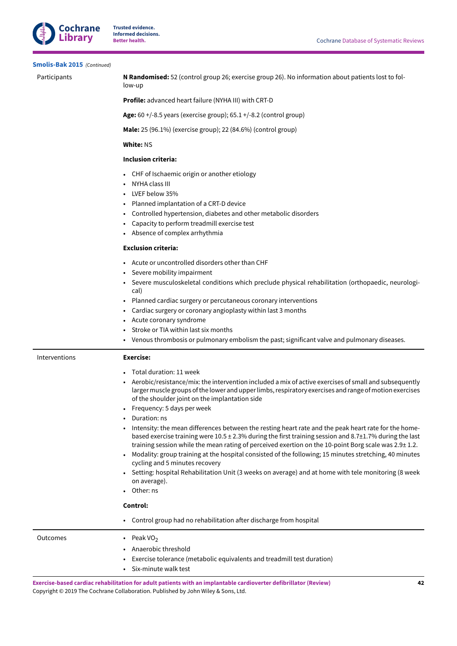

#### **[Smolis-Bak](#page-28-5) 2015**  *(Continued)*

Participants **N Randomised:** 52 (control group 26; exercise group 26). No information about patients lost to follow-up

**Profile:** advanced heart failure (NYHA III) with CRT-D

**Age:** 60 +/-8.5 years (exercise group); 65.1 +/-8.2 (control group)

**Male:** 25 (96.1%) (exercise group); 22 (84.6%) (control group)

#### **White:** NS

#### **Inclusion criteria:**

- CHF of Ischaemic origin or another etiology
- NYHA class III
- LVEF below 35%
- Planned implantation of a CRT-D device
- Controlled hypertension, diabetes and other metabolic disorders
- Capacity to perform treadmill exercise test
- Absence of complex arrhythmia

#### **Exclusion criteria:**

- Acute or uncontrolled disorders other than CHF
- Severe mobility impairment
- Severe musculoskeletal conditions which preclude physical rehabilitation (orthopaedic, neurological)
- Planned cardiac surgery or percutaneous coronary interventions
- Cardiac surgery or coronary angioplasty within last 3 months
- Acute coronary syndrome
- Stroke or TIA within last six months
- Venous thrombosis or pulmonary embolism the past; significant valve and pulmonary diseases.

#### Interventions **Exercise:**

- Total duration: 11 week
	- Aerobic/resistance/mix: the intervention included a mix of active exercises of small and subsequently larger muscle groups of the lower and upper limbs, respiratory exercises and range of motion exercises of the shoulder joint on the implantation side
	- Frequency: 5 days per week
	- Duration: ns
	- Intensity: the mean differences between the resting heart rate and the peak heart rate for the homebased exercise training were 10.5 ± 2.3% during the first training session and 8.7±1.7% during the last training session while the mean rating of perceived exertion on the 10-point Borg scale was 2.9± 1.2.
	- Modality: group training at the hospital consisted of the following; 15 minutes stretching, 40 minutes cycling and 5 minutes recovery
	- Setting: hospital Rehabilitation Unit (3 weeks on average) and at home with tele monitoring (8 week on average).
	- Other: ns

#### **Control:**

|                 | <u>www.cre</u>                                                                                                                                |  |
|-----------------|-----------------------------------------------------------------------------------------------------------------------------------------------|--|
|                 | • Control group had no rehabilitation after discharge from hospital                                                                           |  |
| <b>Outcomes</b> | Peak VO <sub>2</sub><br>Anaerobic threshold<br>Exercise tolerance (metabolic equivalents and treadmill test duration)<br>Six-minute walk test |  |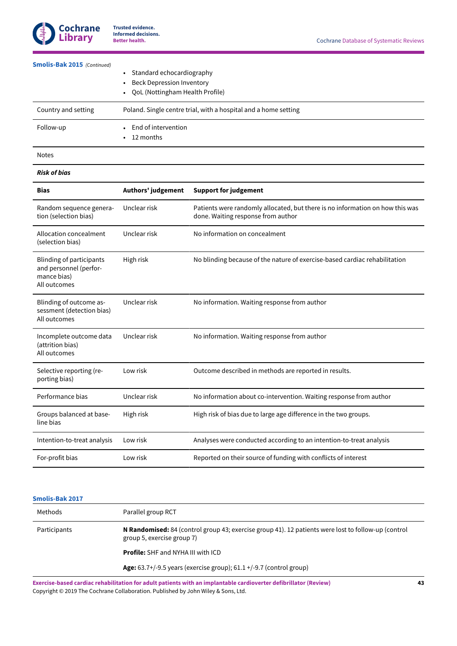

| <b>Smolis-Bak 2015</b> (Continued) | Standard echocardiography<br>$\bullet$<br><b>Beck Depression Inventory</b><br>$\bullet$<br>• QoL (Nottingham Health Profile) |  |
|------------------------------------|------------------------------------------------------------------------------------------------------------------------------|--|
| Country and setting                | Poland. Single centre trial, with a hospital and a home setting                                                              |  |
| Follow-up                          | End of intervention<br>$\bullet$<br>$\cdot$ 12 months                                                                        |  |

Notes

## *Risk of bias*

| <b>Bias</b>                                                                              | Authors' judgement | <b>Support for judgement</b>                                                                                        |
|------------------------------------------------------------------------------------------|--------------------|---------------------------------------------------------------------------------------------------------------------|
| Random sequence genera-<br>tion (selection bias)                                         | Unclear risk       | Patients were randomly allocated, but there is no information on how this was<br>done. Waiting response from author |
| Allocation concealment<br>(selection bias)                                               | Unclear risk       | No information on concealment                                                                                       |
| <b>Blinding of participants</b><br>and personnel (perfor-<br>mance bias)<br>All outcomes | High risk          | No blinding because of the nature of exercise-based cardiac rehabilitation                                          |
| Blinding of outcome as-<br>sessment (detection bias)<br>All outcomes                     | Unclear risk       | No information. Waiting response from author                                                                        |
| Incomplete outcome data<br>(attrition bias)<br>All outcomes                              | Unclear risk       | No information. Waiting response from author                                                                        |
| Selective reporting (re-<br>porting bias)                                                | Low risk           | Outcome described in methods are reported in results.                                                               |
| Performance bias                                                                         | Unclear risk       | No information about co-intervention. Waiting response from author                                                  |
| Groups balanced at base-<br>line bias                                                    | High risk          | High risk of bias due to large age difference in the two groups.                                                    |
| Intention-to-treat analysis                                                              | Low risk           | Analyses were conducted according to an intention-to-treat analysis                                                 |
| For-profit bias                                                                          | Low risk           | Reported on their source of funding with conflicts of interest                                                      |

## **[Smolis-Bak](#page-28-6) 2017**

| Methods      | Parallel group RCT                                                                                                                |
|--------------|-----------------------------------------------------------------------------------------------------------------------------------|
| Participants | N Randomised: 84 (control group 43; exercise group 41). 12 patients were lost to follow-up (control<br>group 5, exercise group 7) |
|              | <b>Profile:</b> SHF and NYHA III with ICD                                                                                         |
|              | <b>Age:</b> 63.7+/-9.5 years (exercise group); $61.1$ +/-9.7 (control group)                                                      |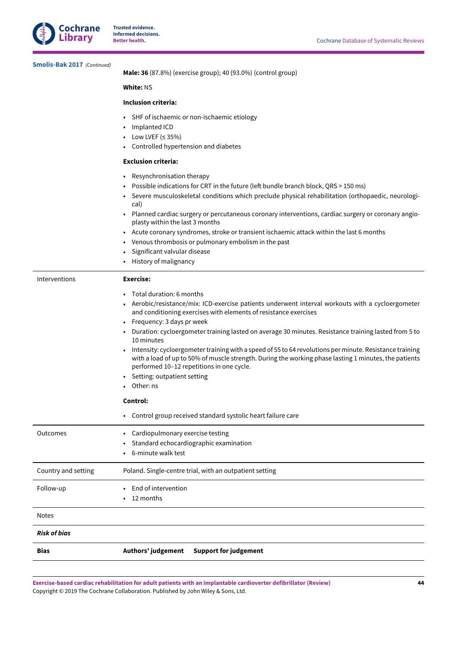

**[Smolis-Bak](#page-28-6) 2017**  *(Continued)*

Interventions **Exercise:**

**Male: 36** (87.8%) (exercise group); 40 (93.0%) (control group)

#### **White:** NS

#### **Inclusion criteria:**

- SHF of ischaemic or non-ischaemic etiology
- Implanted ICD
- Low LVEF  $( \leq 35\%)$
- Controlled hypertension and diabetes

#### **Exclusion criteria:**

- Resynchronisation therapy
- Possible indications for CRT in the future (left bundle branch block, QRS  $>$  150 ms)
- Severe musculoskeletal conditions which preclude physical rehabilitation (orthopaedic, neurological)
- Planned cardiac surgery or percutaneous coronary interventions, cardiac surgery or coronary angioplasty within the last 3 months
- Acute coronary syndromes, stroke or transient ischaemic attack within the last 6 months
- Venous thrombosis or pulmonary embolism in the past
- Significant valvular disease
- History of malignancy

## • Total duration: 6 months • Aerobic/resistance/mix: ICD-exercise patients underwent interval workouts with a cycloergometer and conditioning exercises with elements of resistance exercises • Frequency: 3 days pr week • Duration: cycloergometer training lasted on average 30 minutes. Resistance training lasted from 5 to 10 minutes • Intensity: cycloergometertraining with a speed of 55 to 64 revolutions per minute. Resistance training with a load of up to 50% of muscle strength. During the working phase lasting 1 minutes, the patients performed 10–12 repetitions in one cycle. • Setting: outpatient setting • Other: ns **Control:** • Control group received standard systolic heart failure care Outcomes • Cardiopulmonary exercise testing • Standard echocardiographic examination • 6-minute walk test Country and setting Poland. Single-centre trial, with an outpatient setting

Follow-up • End of intervention • 12 months Notes *Risk of bias* **Bias Authors' judgement Support for judgement**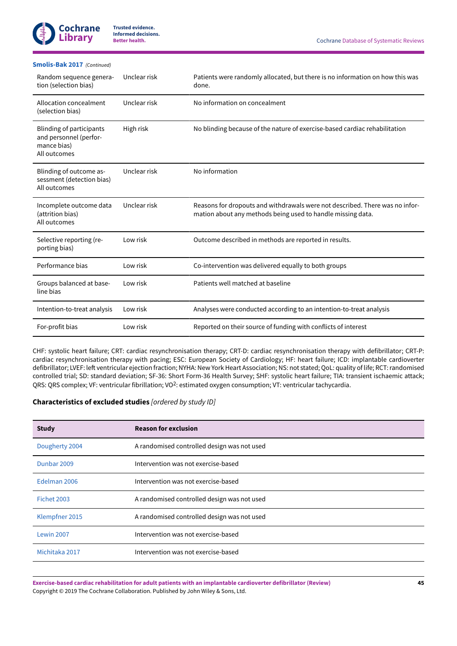#### **[Smolis-Bak](#page-28-6) 2017**  *(Continued)*

**Cochrane Library**

**Trusted evidence. Informed decisions.**

| Random sequence genera-<br>tion (selection bias)                                         | Unclear risk | Patients were randomly allocated, but there is no information on how this was<br>done.                                                      |
|------------------------------------------------------------------------------------------|--------------|---------------------------------------------------------------------------------------------------------------------------------------------|
| Allocation concealment<br>(selection bias)                                               | Unclear risk | No information on concealment                                                                                                               |
| <b>Blinding of participants</b><br>and personnel (perfor-<br>mance bias)<br>All outcomes | High risk    | No blinding because of the nature of exercise-based cardiac rehabilitation                                                                  |
| Blinding of outcome as-<br>sessment (detection bias)<br>All outcomes                     | Unclear risk | No information                                                                                                                              |
| Incomplete outcome data<br>(attrition bias)<br>All outcomes                              | Unclear risk | Reasons for dropouts and withdrawals were not described. There was no infor-<br>mation about any methods being used to handle missing data. |
| Selective reporting (re-<br>porting bias)                                                | Low risk     | Outcome described in methods are reported in results.                                                                                       |
| Performance bias                                                                         | Low risk     | Co-intervention was delivered equally to both groups                                                                                        |
| Groups balanced at base-<br>line bias                                                    | Low risk     | Patients well matched at baseline                                                                                                           |
| Intention-to-treat analysis                                                              | Low risk     | Analyses were conducted according to an intention-to-treat analysis                                                                         |
| For-profit bias                                                                          | Low risk     | Reported on their source of funding with conflicts of interest                                                                              |

CHF: systolic heart failure; CRT: cardiac resynchronisation therapy; CRT-D: cardiac resynchronisation therapy with defibrillator; CRT-P: cardiac resynchronisation therapy with pacing; ESC: European Society of Cardiology; HF: heart failure; ICD: implantable cardioverter defibrillator; LVEF: left ventricular ejection fraction; NYHA: New York Heart Association; NS: not stated; QoL: quality of life; RCT: randomised controlled trial; SD: standard deviation; SF-36: Short Form-36 Health Survey; SHF: systolic heart failure; TIA: transient ischaemic attack; QRS: QRS complex; VF: ventricular fibrillation; VO2: estimated oxygen consumption; VT: ventricular tachycardia.

## **Characteristics of excluded studies** *[ordered by study ID]*

| <b>Study</b>   | <b>Reason for exclusion</b>                 |
|----------------|---------------------------------------------|
| Dougherty 2004 | A randomised controlled design was not used |
| Dunbar 2009    | Intervention was not exercise-based         |
| Edelman 2006   | Intervention was not exercise-based         |
| Fichet 2003    | A randomised controlled design was not used |
| Klempfner 2015 | A randomised controlled design was not used |
| Lewin 2007     | Intervention was not exercise-based         |
| Michitaka 2017 | Intervention was not exercise-based         |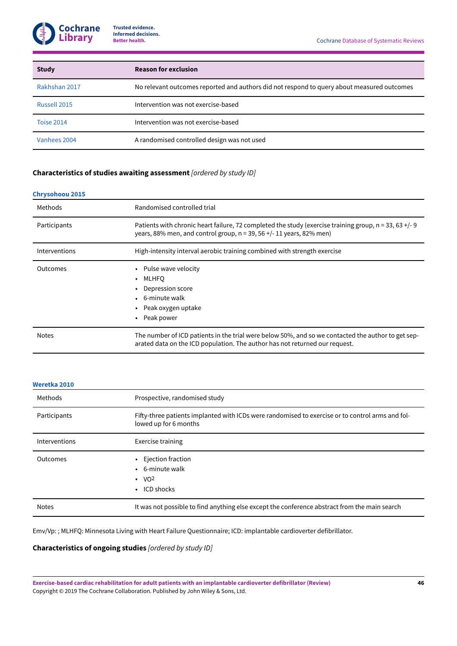

| <b>Study</b>  | <b>Reason for exclusion</b>                                                                |
|---------------|--------------------------------------------------------------------------------------------|
| Rakhshan 2017 | No relevant outcomes reported and authors did not respond to query about measured outcomes |
| Russell 2015  | Intervention was not exercise-based                                                        |
| Toise 2014    | Intervention was not exercise-based                                                        |
| Vanhees 2004  | A randomised controlled design was not used                                                |

## **Characteristics of studies awaiting assessment** *[ordered by study ID]*

### **[Chrysohoou](#page-29-9) 2015**

| Methods         | Randomised controlled trial                                                                                                                                                          |
|-----------------|--------------------------------------------------------------------------------------------------------------------------------------------------------------------------------------|
| Participants    | Patients with chronic heart failure, 72 completed the study (exercise training group, $n = 33$ , 63 +/- 9<br>years, 88% men, and control group, $n = 39$ , 56 +/- 11 years, 82% men) |
| Interventions   | High-intensity interval aerobic training combined with strength exercise                                                                                                             |
| <b>Outcomes</b> | • Pulse wave velocity<br>MLHFO<br>Depression score<br>$\bullet$ 6-minute walk<br>Peak oxygen uptake<br>Peak power                                                                    |
| <b>Notes</b>    | The number of ICD patients in the trial were below 50%, and so we contacted the author to get sep-<br>arated data on the ICD population. The author has not returned our request.    |

#### **[Weretka](#page-29-10) 2010**

| Methods       | Prospective, randomised study                                                                                             |
|---------------|---------------------------------------------------------------------------------------------------------------------------|
| Participants  | Fifty-three patients implanted with ICDs were randomised to exercise or to control arms and fol-<br>lowed up for 6 months |
| Interventions | Exercise training                                                                                                         |
| Outcomes      | • Ejection fraction<br>$\bullet$ 6-minute walk<br>$\cdot$ VO <sub>2</sub><br>• ICD shocks                                 |
| <b>Notes</b>  | It was not possible to find anything else except the conference abstract from the main search                             |

Emv/Vp: ; MLHFQ: Minnesota Living with Heart Failure Questionnaire; ICD: implantable cardioverter defibrillator.

## **Characteristics of ongoing studies** *[ordered by study ID]*

**Exercise-based cardiac rehabilitation for adult patients with an implantable cardioverter defibrillator (Review)** Copyright © 2019 The Cochrane Collaboration. Published by John Wiley & Sons, Ltd.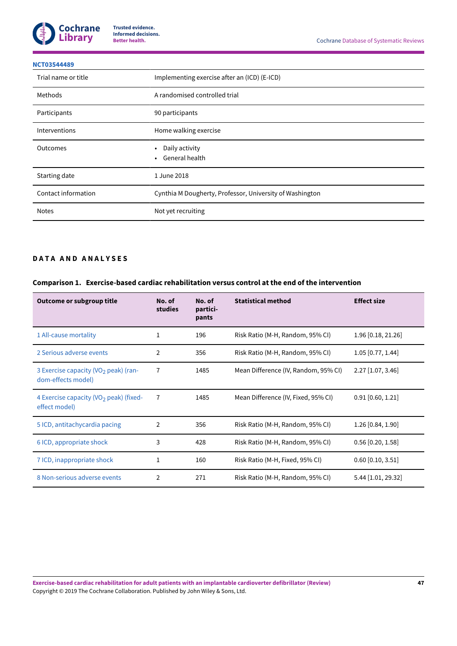

#### **[NCT03544489](#page-29-11)**

| Trial name or title | Implementing exercise after an (ICD) (E-ICD)               |
|---------------------|------------------------------------------------------------|
| Methods             | A randomised controlled trial                              |
| Participants        | 90 participants                                            |
| Interventions       | Home walking exercise                                      |
| <b>Outcomes</b>     | Daily activity<br>$\bullet$<br>General health<br>$\bullet$ |
| Starting date       | 1 June 2018                                                |
| Contact information | Cynthia M Dougherty, Professor, University of Washington   |
| <b>Notes</b>        | Not yet recruiting                                         |

## **D A T A A N D A N A L Y S E S**

## **Comparison 1. Exercise-based cardiac rehabilitation versus control at the end of the intervention**

| Outcome or subgroup title                                              | No. of<br>studies | No. of<br>partici-<br>pants | <b>Statistical method</b>            | <b>Effect size</b>  |  |  |
|------------------------------------------------------------------------|-------------------|-----------------------------|--------------------------------------|---------------------|--|--|
| 1 All-cause mortality                                                  | 1                 | 196                         | Risk Ratio (M-H, Random, 95% CI)     | 1.96 [0.18, 21.26]  |  |  |
| 2 Serious adverse events                                               | 2                 | 356                         | Risk Ratio (M-H, Random, 95% CI)     | $1.05$ [0.77, 1.44] |  |  |
| 3 Exercise capacity (VO <sub>2</sub> peak) (ran-<br>dom-effects model) | 7                 | 1485                        | Mean Difference (IV, Random, 95% CI) | $2.27$ [1.07, 3.46] |  |  |
| 4 Exercise capacity ( $VO2$ peak) (fixed-<br>effect model)             | 7                 | 1485                        | Mean Difference (IV, Fixed, 95% CI)  | $0.91$ [0.60, 1.21] |  |  |
| 5 ICD, antitachycardia pacing                                          | 2                 | 356                         | Risk Ratio (M-H, Random, 95% CI)     | $1.26$ [0.84, 1.90] |  |  |
| 6 ICD, appropriate shock                                               | 3                 | 428                         | Risk Ratio (M-H, Random, 95% CI)     | $0.56$ [0.20, 1.58] |  |  |
| 7 ICD, inappropriate shock                                             |                   | 160                         | Risk Ratio (M-H, Fixed, 95% CI)      | $0.60$ [0.10, 3.51] |  |  |
| 8 Non-serious adverse events                                           | 2                 | 271                         | Risk Ratio (M-H, Random, 95% CI)     | 5.44 [1.01, 29.32]  |  |  |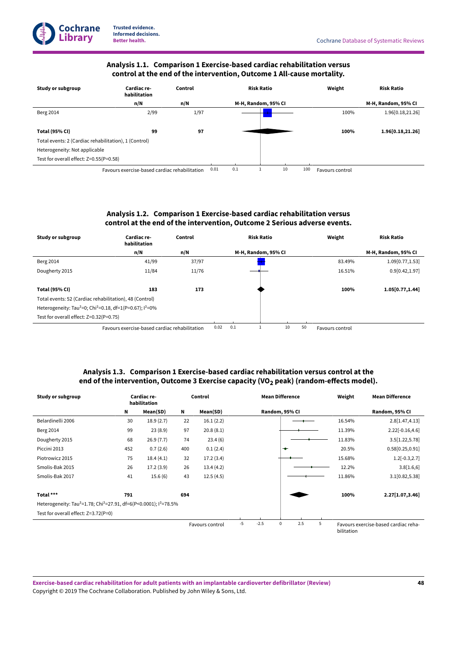## **Analysis 1.1. Comparison 1 Exercise-based cardiac rehabilitation versus control at the end of the intervention, Outcome 1 All-cause mortality.**

<span id="page-50-0"></span>

| Study or subgroup                                     | Cardiac re-<br>habilitation                   | Control |      |     | <b>Risk Ratio</b>   |     | Weight          | <b>Risk Ratio</b>   |
|-------------------------------------------------------|-----------------------------------------------|---------|------|-----|---------------------|-----|-----------------|---------------------|
|                                                       | n/N                                           | n/N     |      |     | M-H, Random, 95% CI |     |                 | M-H, Random, 95% CI |
| Berg 2014                                             | 2/99                                          | 1/97    |      |     |                     |     | 100%            | 1.96[0.18,21.26]    |
| <b>Total (95% CI)</b>                                 | 99                                            | 97      |      |     |                     |     | 100%            | 1.96[0.18, 21.26]   |
| Total events: 2 (Cardiac rehabilitation), 1 (Control) |                                               |         |      |     |                     |     |                 |                     |
| Heterogeneity: Not applicable                         |                                               |         |      |     |                     |     |                 |                     |
| Test for overall effect: Z=0.55(P=0.58)               |                                               |         |      |     |                     |     |                 |                     |
|                                                       | Favours exercise-based cardiac rehabilitation |         | 0.01 | 0.1 | 10                  | 100 | Favours control |                     |

## **Analysis 1.2. Comparison 1 Exercise-based cardiac rehabilitation versus control at the end of the intervention, Outcome 2Serious adverse events.**

<span id="page-50-1"></span>

| Study or subgroup                                                                   | Cardiac re-<br>habilitation                   | Control |      |     | <b>Risk Ratio</b>   |    |    | Weight          | <b>Risk Ratio</b>   |
|-------------------------------------------------------------------------------------|-----------------------------------------------|---------|------|-----|---------------------|----|----|-----------------|---------------------|
|                                                                                     | n/N                                           | n/N     |      |     | M-H, Random, 95% CI |    |    |                 | M-H, Random, 95% CI |
| <b>Berg 2014</b>                                                                    | 41/99                                         | 37/97   |      |     |                     |    |    | 83.49%          | 1.09[0.77,1.53]     |
| Dougherty 2015                                                                      | 11/84                                         | 11/76   |      |     |                     |    |    | 16.51%          | 0.9[0.42, 1.97]     |
|                                                                                     |                                               |         |      |     |                     |    |    |                 |                     |
| <b>Total (95% CI)</b>                                                               | 183                                           | 173     |      |     |                     |    |    | 100%            | 1.05 [0.77, 1.44]   |
| Total events: 52 (Cardiac rehabilitation), 48 (Control)                             |                                               |         |      |     |                     |    |    |                 |                     |
| Heterogeneity: Tau <sup>2</sup> =0; Chi <sup>2</sup> =0.18, df=1(P=0.67); $1^2$ =0% |                                               |         |      |     |                     |    |    |                 |                     |
| Test for overall effect: Z=0.32(P=0.75)                                             |                                               |         |      |     |                     |    |    |                 |                     |
|                                                                                     | Favours exercise-based cardiac rehabilitation |         | 0.02 | 0.1 |                     | 10 | 50 | Favours control |                     |

## **Analysis 1.3. Comparison 1 Exercise-based cardiac rehabilitation versus control at the end** of the intervention, Outcome 3 Exercise capacity (VO<sub>2</sub> peak) (random-effects model).

<span id="page-50-2"></span>

| Study or subgroup                                                                                     |     | Cardiac re-<br>habilitation | Control |                 | <b>Mean Difference</b>                    | Weight     | <b>Mean Difference</b>               |
|-------------------------------------------------------------------------------------------------------|-----|-----------------------------|---------|-----------------|-------------------------------------------|------------|--------------------------------------|
|                                                                                                       | N   | Mean(SD)                    | N       | Mean(SD)        | Random, 95% CI                            |            | Random, 95% CI                       |
| Belardinelli 2006                                                                                     | 30  | 18.9(2.7)                   | 22      | 16.1(2.2)       |                                           | 16.54%     | 2.8[1.47, 4.13]                      |
| <b>Berg 2014</b>                                                                                      | 99  | 23(8.9)                     | 97      | 20.8(8.1)       |                                           | 11.39%     | $2.22[-0.16, 4.6]$                   |
| Dougherty 2015                                                                                        | 68  | 26.9(7.7)                   | 74      | 23.4(6)         |                                           | 11.83%     | 3.5[1.22, 5.78]                      |
| Piccini 2013                                                                                          | 452 | 0.7(2.6)                    | 400     | 0.1(2.4)        | $\ddot{\phantom{1}}$                      | 20.5%      | 0.58[0.25, 0.91]                     |
| Piotrowicz 2015                                                                                       | 75  | 18.4(4.1)                   | 32      | 17.2(3.4)       |                                           | 15.68%     | $1.2[-0.3, 2.7]$                     |
| Smolis-Bak 2015                                                                                       | 26  | 17.2(3.9)                   | 26      | 13.4(4.2)       |                                           | 12.2%      | 3.8[1.6,6]                           |
| Smolis-Bak 2017                                                                                       | 41  | 15.6(6)                     | 43      | 12.5(4.5)       |                                           | 11.86%     | 3.1[0.82, 5.38]                      |
| Total ***                                                                                             | 791 |                             | 694     |                 |                                           | 100%       | 2.27[1.07, 3.46]                     |
| Heterogeneity: Tau <sup>2</sup> =1.78; Chi <sup>2</sup> =27.91, df=6(P<0.0001); l <sup>2</sup> =78.5% |     |                             |         |                 |                                           |            |                                      |
| Test for overall effect: Z=3.72(P=0)                                                                  |     |                             |         |                 |                                           |            |                                      |
|                                                                                                       |     |                             |         | Favours control | 2.5<br>$-2.5$<br>$-5$<br>5<br>$\mathbf 0$ | bilitation | Favours exercise-based cardiac reha- |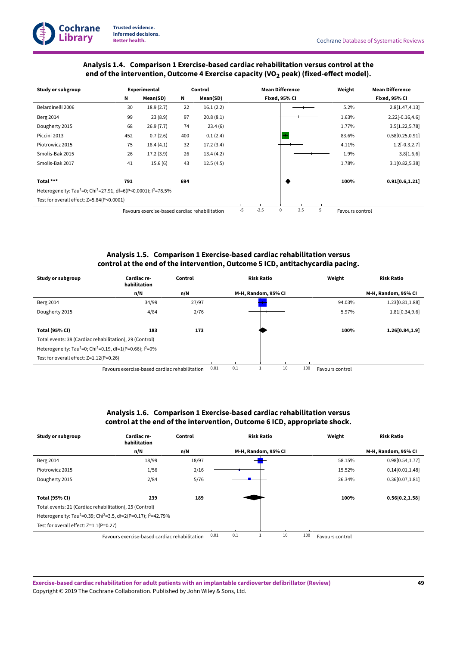

## **Analysis 1.4. Comparison 1 Exercise-based cardiac rehabilitation versus control at the end** of the intervention, Outcome 4 Exercise capacity (VO<sub>2</sub> peak) (fixed-effect model).

<span id="page-51-0"></span>

| Study or subgroup                                                                                  |     | <b>Experimental</b><br>Control                |     |           | <b>Mean Difference</b>          | Weight          | <b>Mean Difference</b> |
|----------------------------------------------------------------------------------------------------|-----|-----------------------------------------------|-----|-----------|---------------------------------|-----------------|------------------------|
|                                                                                                    | N   | Mean(SD)                                      | N   | Mean(SD)  | Fixed, 95% CI                   |                 | Fixed, 95% CI          |
| Belardinelli 2006                                                                                  | 30  | 18.9(2.7)                                     | 22  | 16.1(2.2) |                                 | 5.2%            | 2.8[1.47, 4.13]        |
| <b>Berg 2014</b>                                                                                   | 99  | 23(8.9)                                       | 97  | 20.8(8.1) |                                 | 1.63%           | $2.22[-0.16, 4.6]$     |
| Dougherty 2015                                                                                     | 68  | 26.9(7.7)                                     | 74  | 23.4(6)   |                                 | 1.77%           | 3.5[1.22, 5.78]        |
| Piccini 2013                                                                                       | 452 | 0.7(2.6)                                      | 400 | 0.1(2.4)  |                                 | 83.6%           | 0.58[0.25,0.91]        |
| Piotrowicz 2015                                                                                    | 75  | 18.4(4.1)                                     | 32  | 17.2(3.4) |                                 | 4.11%           | $1.2[-0.3, 2.7]$       |
| Smolis-Bak 2015                                                                                    | 26  | 17.2(3.9)                                     | 26  | 13.4(4.2) |                                 | 1.9%            | 3.8[1.6,6]             |
| Smolis-Bak 2017                                                                                    | 41  | 15.6(6)                                       | 43  | 12.5(4.5) |                                 | 1.78%           | 3.1[0.82, 5.38]        |
| Total ***                                                                                          | 791 |                                               | 694 |           |                                 | 100%            | 0.91[0.6, 1.21]        |
| Heterogeneity: Tau <sup>2</sup> =0; Chi <sup>2</sup> =27.91, df=6(P<0.0001); l <sup>2</sup> =78.5% |     |                                               |     |           |                                 |                 |                        |
| Test for overall effect: Z=5.84(P<0.0001)                                                          |     |                                               |     |           |                                 |                 |                        |
|                                                                                                    |     | Favours exercise-based cardiac rehabilitation |     |           | 2.5<br>$-2.5$<br>$-5$<br>5<br>0 | Favours control |                        |

## **Analysis 1.5. Comparison 1 Exercise-based cardiac rehabilitation versus control at the end of the intervention, Outcome 5 ICD, antitachycardia pacing.**

<span id="page-51-1"></span>

| Study or subgroup                                                                   | Cardiac re-<br>habilitation                   | Control |      | <b>Risk Ratio</b> |                     |    |     | Weight          | <b>Risk Ratio</b>   |
|-------------------------------------------------------------------------------------|-----------------------------------------------|---------|------|-------------------|---------------------|----|-----|-----------------|---------------------|
|                                                                                     | n/N                                           | n/N     |      |                   | M-H, Random, 95% CI |    |     |                 | M-H, Random, 95% CI |
| <b>Berg 2014</b>                                                                    | 34/99                                         | 27/97   |      |                   |                     |    |     | 94.03%          | 1.23 [0.81, 1.88]   |
| Dougherty 2015                                                                      | 4/84                                          | 2/76    |      |                   |                     |    |     | 5.97%           | 1.81[0.34,9.6]      |
|                                                                                     |                                               |         |      |                   |                     |    |     |                 |                     |
| <b>Total (95% CI)</b>                                                               | 183                                           | 173     |      |                   |                     |    |     | 100%            | 1.26[0.84, 1.9]     |
| Total events: 38 (Cardiac rehabilitation), 29 (Control)                             |                                               |         |      |                   |                     |    |     |                 |                     |
| Heterogeneity: Tau <sup>2</sup> =0; Chi <sup>2</sup> =0.19, df=1(P=0.66); $1^2$ =0% |                                               |         |      |                   |                     |    |     |                 |                     |
| Test for overall effect: Z=1.12(P=0.26)                                             |                                               |         |      |                   |                     |    |     |                 |                     |
|                                                                                     | Favours exercise-based cardiac rehabilitation |         | 0.01 | 0.1               |                     | 10 | 100 | Favours control |                     |

## **Analysis 1.6. Comparison 1 Exercise-based cardiac rehabilitation versus control at the end of the intervention, Outcome 6 ICD, appropriate shock.**

<span id="page-51-2"></span>

| Study or subgroup                                                                                  | Cardiac re-<br>habilitation                   | Control |      | <b>Risk Ratio</b> |                     |    |     | Weight          | <b>Risk Ratio</b>   |
|----------------------------------------------------------------------------------------------------|-----------------------------------------------|---------|------|-------------------|---------------------|----|-----|-----------------|---------------------|
|                                                                                                    | n/N                                           | n/N     |      |                   | M-H, Random, 95% Cl |    |     |                 | M-H, Random, 95% CI |
| <b>Berg 2014</b>                                                                                   | 18/99                                         | 18/97   |      |                   |                     |    |     | 58.15%          | 0.98 [0.54, 1.77]   |
| Piotrowicz 2015                                                                                    | 1/56                                          | 2/16    |      |                   |                     |    |     | 15.52%          | 0.14[0.01, 1.48]    |
| Dougherty 2015                                                                                     | 2/84                                          | 5/76    |      |                   |                     |    |     | 26.34%          | 0.36[0.07, 1.81]    |
|                                                                                                    |                                               |         |      |                   |                     |    |     |                 |                     |
| <b>Total (95% CI)</b>                                                                              | 239                                           | 189     |      |                   |                     |    |     | 100%            | 0.56[0.2, 1.58]     |
| Total events: 21 (Cardiac rehabilitation), 25 (Control)                                            |                                               |         |      |                   |                     |    |     |                 |                     |
| Heterogeneity: Tau <sup>2</sup> =0.39; Chi <sup>2</sup> =3.5, df=2(P=0.17); l <sup>2</sup> =42.79% |                                               |         |      |                   |                     |    |     |                 |                     |
| Test for overall effect: Z=1.1(P=0.27)                                                             |                                               |         |      |                   |                     |    |     |                 |                     |
|                                                                                                    | Favours exercise-based cardiac rehabilitation |         | 0.01 | 0.1               |                     | 10 | 100 | Favours control |                     |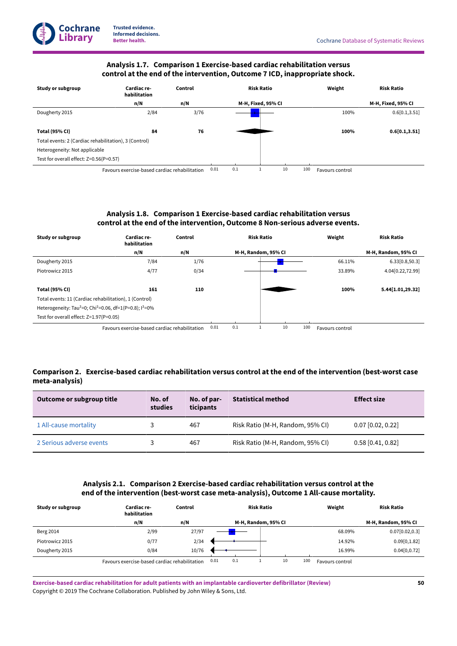## **Analysis 1.7. Comparison 1 Exercise-based cardiac rehabilitation versus control at the end of the intervention, Outcome 7 ICD, inappropriate shock.**

**Cochrane Library**

**Trusted evidence. Informed decisions.**

<span id="page-52-0"></span>

| Study or subgroup                                     | Cardiac re-<br>habilitation                   | Control |      | <b>Risk Ratio</b> |                    |    |     | Weight          | <b>Risk Ratio</b>  |
|-------------------------------------------------------|-----------------------------------------------|---------|------|-------------------|--------------------|----|-----|-----------------|--------------------|
|                                                       | n/N                                           | n/N     |      |                   | M-H, Fixed, 95% CI |    |     |                 | M-H, Fixed, 95% CI |
| Dougherty 2015                                        | 2/84                                          | 3/76    |      |                   |                    |    |     | 100%            | 0.6[0.1, 3.51]     |
|                                                       |                                               |         |      |                   |                    |    |     |                 |                    |
| <b>Total (95% CI)</b>                                 | 84                                            | 76      |      |                   |                    |    |     | 100%            | 0.6[0.1, 3.51]     |
| Total events: 2 (Cardiac rehabilitation), 3 (Control) |                                               |         |      |                   |                    |    |     |                 |                    |
| Heterogeneity: Not applicable                         |                                               |         |      |                   |                    |    |     |                 |                    |
| Test for overall effect: Z=0.56(P=0.57)               |                                               |         |      |                   |                    |    |     |                 |                    |
|                                                       | Favours exercise-based cardiac rehabilitation |         | 0.01 | 0.1               |                    | 10 | 100 | Favours control |                    |

## **Analysis 1.8. Comparison 1 Exercise-based cardiac rehabilitation versus control at the end of the intervention, Outcome 8 Non-serious adverse events.**

<span id="page-52-1"></span>

| Study or subgroup                                                                  | Cardiac re-<br>habilitation                   | Control |      |                     | <b>Risk Ratio</b> |    |     | Weight          | <b>Risk Ratio</b>   |
|------------------------------------------------------------------------------------|-----------------------------------------------|---------|------|---------------------|-------------------|----|-----|-----------------|---------------------|
|                                                                                    | n/N                                           | n/N     |      | M-H, Random, 95% CI |                   |    |     |                 | M-H, Random, 95% CI |
| Dougherty 2015                                                                     | 7/84                                          | 1/76    |      |                     |                   |    |     | 66.11%          | 6.33[0.8,50.3]      |
| Piotrowicz 2015                                                                    | 4/77                                          | 0/34    |      |                     |                   |    |     | 33.89%          | 4.04 [0.22, 72.99]  |
|                                                                                    |                                               |         |      |                     |                   |    |     |                 |                     |
| <b>Total (95% CI)</b>                                                              | 161                                           | 110     |      |                     |                   |    |     | 100%            | 5.44 [1.01,29.32]   |
| Total events: 11 (Cardiac rehabilitation), 1 (Control)                             |                                               |         |      |                     |                   |    |     |                 |                     |
| Heterogeneity: Tau <sup>2</sup> =0; Chi <sup>2</sup> =0.06, df=1(P=0.8); $1^2$ =0% |                                               |         |      |                     |                   |    |     |                 |                     |
| Test for overall effect: Z=1.97(P=0.05)                                            |                                               |         |      |                     |                   |    |     |                 |                     |
|                                                                                    | Favours exercise-based cardiac rehabilitation |         | 0.01 | 0.1                 |                   | 10 | 100 | Favours control |                     |

## **Comparison 2. Exercise-based cardiac rehabilitation versus control at the end of the intervention (best-worst case meta-analysis)**

| Outcome or subgroup title | No. of<br>studies | No. of par-<br>ticipants | <b>Statistical method</b>        | <b>Effect size</b>  |
|---------------------------|-------------------|--------------------------|----------------------------------|---------------------|
| 1 All-cause mortality     |                   | 467                      | Risk Ratio (M-H, Random, 95% CI) | $0.07$ [0.02, 0.22] |
| 2 Serious adverse events  |                   | 467                      | Risk Ratio (M-H, Random, 95% CI) | $0.58$ [0.41, 0.82] |

## **Analysis 2.1. Comparison 2 Exercise-based cardiac rehabilitation versus control at the end of the intervention (best-worst case meta-analysis), Outcome 1 All-cause mortality.**

<span id="page-52-2"></span>

| Study or subgroup | Cardiac re-<br>habilitation                   | Control | <b>Risk Ratio</b> |                     |  |    | Weight | <b>Risk Ratio</b> |                     |
|-------------------|-----------------------------------------------|---------|-------------------|---------------------|--|----|--------|-------------------|---------------------|
|                   | n/N                                           | n/N     |                   | M-H, Random, 95% CI |  |    |        |                   | M-H, Random, 95% CI |
| <b>Berg 2014</b>  | 2/99                                          | 27/97   |                   |                     |  |    |        | 68.09%            | 0.07[0.02, 0.3]     |
| Piotrowicz 2015   | 0/77                                          | 2/34    |                   |                     |  |    |        | 14.92%            | 0.09[0,1.82]        |
| Dougherty 2015    | 0/84                                          | 10/76   |                   |                     |  |    |        | 16.99%            | 0.04[0,0.72]        |
|                   | Favours exercise-based cardiac rehabilitation |         | 0.01              | 0.1                 |  | 10 | 100    | Favours control   |                     |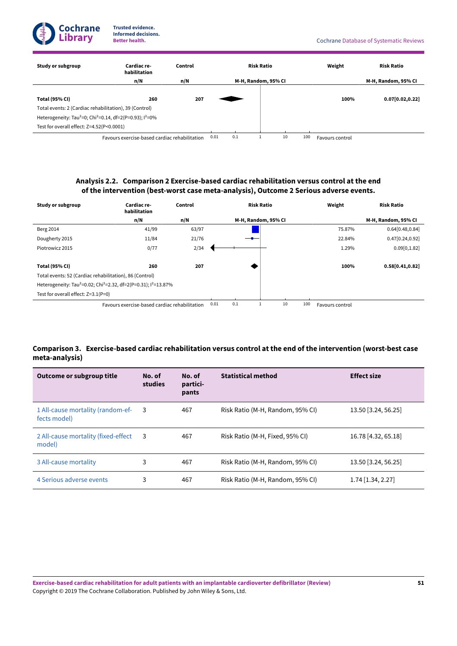

| Study or subgroup                                                                   | Cardiac re-<br>habilitation<br>n/N            | Control<br>n/N |      | <b>Risk Ratio</b><br>M-H, Random, 95% CI |  |    | Weight | <b>Risk Ratio</b><br>M-H, Random, 95% CI |                  |
|-------------------------------------------------------------------------------------|-----------------------------------------------|----------------|------|------------------------------------------|--|----|--------|------------------------------------------|------------------|
|                                                                                     |                                               |                |      |                                          |  |    |        |                                          |                  |
| <b>Total (95% CI)</b>                                                               | 260                                           | 207            |      |                                          |  |    |        | 100%                                     | 0.07[0.02, 0.22] |
| Total events: 2 (Cardiac rehabilitation), 39 (Control)                              |                                               |                |      |                                          |  |    |        |                                          |                  |
| Heterogeneity: Tau <sup>2</sup> =0; Chi <sup>2</sup> =0.14, df=2(P=0.93); $1^2$ =0% |                                               |                |      |                                          |  |    |        |                                          |                  |
| Test for overall effect: Z=4.52(P<0.0001)                                           |                                               |                |      |                                          |  |    |        |                                          |                  |
|                                                                                     | Favours exercise-based cardiac rehabilitation |                | 0.01 | 0.1                                      |  | 10 | 100    | Favours control                          |                  |

## **Analysis 2.2. Comparison 2 Exercise-based cardiac rehabilitation versus control at the end of the intervention (best-worst case meta-analysis), Outcome 2Serious adverse events.**

<span id="page-53-0"></span>

| Study or subgroup                                                                                   | Cardiac re-<br>habilitation | Control |      | <b>Risk Ratio</b> |                     |     | Weight          | <b>Risk Ratio</b>   |
|-----------------------------------------------------------------------------------------------------|-----------------------------|---------|------|-------------------|---------------------|-----|-----------------|---------------------|
|                                                                                                     | n/N                         | n/N     |      |                   | M-H, Random, 95% CI |     |                 | M-H, Random, 95% CI |
| <b>Berg 2014</b>                                                                                    | 41/99                       | 63/97   |      |                   |                     |     | 75.87%          | 0.64[0.48, 0.84]    |
| Dougherty 2015                                                                                      | 11/84                       | 21/76   |      |                   |                     |     | 22.84%          | 0.47[0.24,0.92]     |
| Piotrowicz 2015                                                                                     | 0/77                        | 2/34    |      |                   |                     |     | 1.29%           | 0.09[0,1.82]        |
|                                                                                                     |                             |         |      |                   |                     |     |                 |                     |
| <b>Total (95% CI)</b>                                                                               | 260                         | 207     |      |                   |                     |     | 100%            | 0.58[0.41, 0.82]    |
| Total events: 52 (Cardiac rehabilitation), 86 (Control)                                             |                             |         |      |                   |                     |     |                 |                     |
| Heterogeneity: Tau <sup>2</sup> =0.02; Chi <sup>2</sup> =2.32, df=2(P=0.31); l <sup>2</sup> =13.87% |                             |         |      |                   |                     |     |                 |                     |
| Test for overall effect: Z=3.1(P=0)                                                                 |                             |         |      |                   |                     |     |                 |                     |
| Favours exercise-based cardiac rehabilitation                                                       |                             |         | 0.01 | 0.1               | 10                  | 100 | Favours control |                     |

## **Comparison 3. Exercise-based cardiac rehabilitation versus control at the end of the intervention (worst-best case meta-analysis)**

| Outcome or subgroup title                         | No. of<br>studies | No. of<br>partici-<br>pants | <b>Statistical method</b>        | <b>Effect size</b>  |
|---------------------------------------------------|-------------------|-----------------------------|----------------------------------|---------------------|
| 1 All-cause mortality (random-ef-<br>fects model) | 3                 | 467                         | Risk Ratio (M-H, Random, 95% CI) | 13.50 [3.24, 56.25] |
| 2 All-cause mortality (fixed-effect<br>model)     | 3                 | 467                         | Risk Ratio (M-H, Fixed, 95% CI)  | 16.78 [4.32, 65.18] |
| 3 All-cause mortality                             | 3                 | 467                         | Risk Ratio (M-H, Random, 95% CI) | 13.50 [3.24, 56.25] |
| 4 Serious adverse events                          | 3                 | 467                         | Risk Ratio (M-H, Random, 95% CI) | $1.74$ [1.34, 2.27] |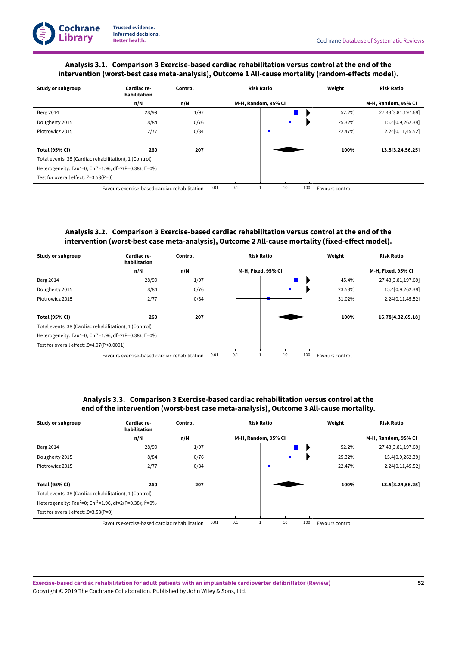

## **Analysis 3.1. Comparison 3 Exercise-based cardiac rehabilitation versus control at the end of the**  $i$  **intervention** (worst-best case meta-analysis), Outcome 1 All-cause mortality (random-effects model).

<span id="page-54-0"></span>

| Study or subgroup                                                                            | Cardiac re-<br>habilitation                   | Control |      | <b>Risk Ratio</b> |                     |    |     | Weight          | <b>Risk Ratio</b>    |
|----------------------------------------------------------------------------------------------|-----------------------------------------------|---------|------|-------------------|---------------------|----|-----|-----------------|----------------------|
|                                                                                              | n/N                                           | n/N     |      |                   | M-H, Random, 95% CI |    |     |                 | M-H, Random, 95% CI  |
| <b>Berg 2014</b>                                                                             | 28/99                                         | 1/97    |      |                   |                     |    |     | 52.2%           | 27.43 [3.81, 197.69] |
| Dougherty 2015                                                                               | 8/84                                          | 0/76    |      |                   |                     |    |     | 25.32%          | 15.4 [0.9, 262.39]   |
| Piotrowicz 2015                                                                              | 2/77                                          | 0/34    |      |                   |                     |    |     | 22.47%          | 2.24 [0.11,45.52]    |
| <b>Total (95% CI)</b>                                                                        | 260                                           | 207     |      |                   |                     |    |     | 100%            | 13.5 3.24, 56.25     |
| Total events: 38 (Cardiac rehabilitation), 1 (Control)                                       |                                               |         |      |                   |                     |    |     |                 |                      |
| Heterogeneity: Tau <sup>2</sup> =0; Chi <sup>2</sup> =1.96, df=2(P=0.38); l <sup>2</sup> =0% |                                               |         |      |                   |                     |    |     |                 |                      |
| Test for overall effect: Z=3.58(P=0)                                                         |                                               |         |      |                   |                     |    |     |                 |                      |
|                                                                                              | Favours exercise-based cardiac rehabilitation |         | 0.01 | 0.1               | 1                   | 10 | 100 | Favours control |                      |

## **Analysis 3.2. Comparison 3 Exercise-based cardiac rehabilitation versus control at the end of the intervention (worst-best case meta-analysis), Outcome 2 All-cause mortality (fixed-e;ect model).**

<span id="page-54-1"></span>

| Study or subgroup                                                                   | Cardiac re-<br>habilitation                    | Control |      | <b>Risk Ratio</b> |                    |     | Weight           | <b>Risk Ratio</b>    |
|-------------------------------------------------------------------------------------|------------------------------------------------|---------|------|-------------------|--------------------|-----|------------------|----------------------|
|                                                                                     | n/N                                            | n/N     |      |                   | M-H, Fixed, 95% CI |     |                  | M-H, Fixed, 95% CI   |
| <b>Berg 2014</b>                                                                    | 28/99                                          | 1/97    |      |                   |                    |     | 45.4%            | 27.43 [3.81, 197.69] |
| Dougherty 2015                                                                      | 8/84                                           | 0/76    |      |                   |                    |     | 23.58%           | 15.4 [0.9, 262.39]   |
| Piotrowicz 2015                                                                     | 2/77                                           | 0/34    |      |                   |                    |     | 31.02%           | 2.24 [0.11,45.52]    |
| <b>Total (95% CI)</b>                                                               | 260                                            | 207     |      |                   |                    |     | 100%             | 16.78 [4.32,65.18]   |
| Total events: 38 (Cardiac rehabilitation), 1 (Control)                              |                                                |         |      |                   |                    |     |                  |                      |
| Heterogeneity: Tau <sup>2</sup> =0; Chi <sup>2</sup> =1.96, df=2(P=0.38); $1^2$ =0% |                                                |         |      |                   |                    |     |                  |                      |
| Test for overall effect: Z=4.07(P<0.0001)                                           |                                                |         |      |                   |                    |     |                  |                      |
|                                                                                     | Equative exercise hased cardiac rehabilitation |         | 0.01 | 0.1               | 10                 | 100 | Equative control |                      |

Favours exercise-based cardiac rehabilitation  $0.01$  0.1  $1$  10  $100$  Favours control

## **Analysis 3.3. Comparison 3 Exercise-based cardiac rehabilitation versus control at the end of the intervention (worst-best case meta-analysis), Outcome 3 All-cause mortality.**

<span id="page-54-2"></span>

| Study or subgroup                                                                   | Cardiac re-<br>habilitation                   | Control |      | <b>Risk Ratio</b> |                     |     | Weight          | <b>Risk Ratio</b>    |
|-------------------------------------------------------------------------------------|-----------------------------------------------|---------|------|-------------------|---------------------|-----|-----------------|----------------------|
|                                                                                     | n/N                                           | n/N     |      |                   | M-H, Random, 95% Cl |     |                 | M-H, Random, 95% CI  |
| <b>Berg 2014</b>                                                                    | 28/99                                         | 1/97    |      |                   |                     | 4   | 52.2%           | 27.43 [3.81, 197.69] |
| Dougherty 2015                                                                      | 8/84                                          | 0/76    |      |                   |                     |     | 25.32%          | 15.4 [0.9, 262.39]   |
| Piotrowicz 2015                                                                     | 2/77                                          | 0/34    |      |                   |                     |     | 22.47%          | 2.24 [0.11,45.52]    |
|                                                                                     |                                               |         |      |                   |                     |     |                 |                      |
| <b>Total (95% CI)</b>                                                               | 260                                           | 207     |      |                   |                     |     | 100%            | 13.5 [3.24,56.25]    |
| Total events: 38 (Cardiac rehabilitation), 1 (Control)                              |                                               |         |      |                   |                     |     |                 |                      |
| Heterogeneity: Tau <sup>2</sup> =0; Chi <sup>2</sup> =1.96, df=2(P=0.38); $1^2$ =0% |                                               |         |      |                   |                     |     |                 |                      |
| Test for overall effect: Z=3.58(P=0)                                                |                                               |         |      |                   |                     |     |                 |                      |
|                                                                                     | Favours exercise-based cardiac rehabilitation |         | 0.01 | 0.1               | 10                  | 100 | Favours control |                      |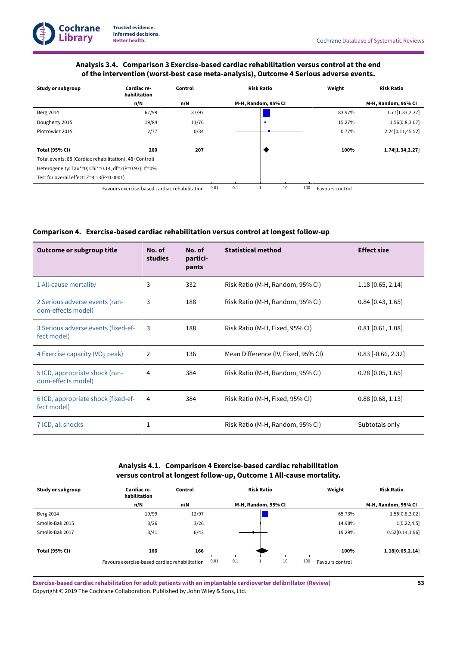

## **Analysis 3.4. Comparison 3 Exercise-based cardiac rehabilitation versus control at the end of the intervention (worst-best case meta-analysis), Outcome 4Serious adverse events.**

<span id="page-55-0"></span>

| Study or subgroup                                                                   | Cardiac re-<br>habilitation                   | Control |      | <b>Risk Ratio</b> |                     |    |     | Weight          | <b>Risk Ratio</b>   |
|-------------------------------------------------------------------------------------|-----------------------------------------------|---------|------|-------------------|---------------------|----|-----|-----------------|---------------------|
|                                                                                     | n/N                                           | n/N     |      |                   | M-H, Random, 95% CI |    |     |                 | M-H, Random, 95% CI |
| Berg 2014                                                                           | 67/99                                         | 37/97   |      |                   |                     |    |     | 83.97%          | 1.77 [1.33, 2.37]   |
| Dougherty 2015                                                                      | 19/84                                         | 11/76   |      |                   |                     |    |     | 15.27%          | 1.56 [0.8, 3.07]    |
| Piotrowicz 2015                                                                     | 2/77                                          | 0/34    |      |                   |                     |    |     | 0.77%           | 2.24 [0.11,45.52]   |
|                                                                                     |                                               |         |      |                   |                     |    |     |                 |                     |
| <b>Total (95% CI)</b>                                                               | 260                                           | 207     |      |                   |                     |    |     | 100%            | 1.74[1.34, 2.27]    |
| Total events: 88 (Cardiac rehabilitation), 48 (Control)                             |                                               |         |      |                   |                     |    |     |                 |                     |
| Heterogeneity: Tau <sup>2</sup> =0; Chi <sup>2</sup> =0.14, df=2(P=0.93); $1^2$ =0% |                                               |         |      |                   |                     |    |     |                 |                     |
| Test for overall effect: Z=4.13(P<0.0001)                                           |                                               |         |      |                   |                     |    |     |                 |                     |
|                                                                                     | Favours exercise-based cardiac rehabilitation |         | 0.01 | 0.1               |                     | 10 | 100 | Favours control |                     |

#### **Comparison 4. Exercise-based cardiac rehabilitation versus control at longest follow-up**

| Outcome or subgroup title                            | No. of<br>studies | No. of<br>partici-<br>pants | <b>Statistical method</b>           | <b>Effect size</b>   |
|------------------------------------------------------|-------------------|-----------------------------|-------------------------------------|----------------------|
| 1 All-cause mortality                                | 3                 | 332                         | Risk Ratio (M-H, Random, 95% CI)    | $1.18$ [0.65, 2.14]  |
| 2 Serious adverse events (ran-<br>dom-effects model) | 3                 | 188                         | Risk Ratio (M-H, Random, 95% CI)    | $0.84$ [0.43, 1.65]  |
| 3 Serious adverse events (fixed-ef-<br>fect model)   | 3                 | 188                         | Risk Ratio (M-H, Fixed, 95% CI)     | $0.81$ [0.61, 1.08]  |
| 4 Exercise capacity (VO <sub>2</sub> peak)           | $\overline{2}$    | 136                         | Mean Difference (IV, Fixed, 95% CI) | $0.83$ [-0.66, 2.32] |
| 5 ICD, appropriate shock (ran-<br>dom-effects model) | 4                 | 384                         | Risk Ratio (M-H, Random, 95% CI)    | $0.28$ [0.05, 1.65]  |
| 6 ICD, appropriate shock (fixed-ef-<br>fect model)   | 4                 | 384                         | Risk Ratio (M-H, Fixed, 95% CI)     | $0.88$ [0.68, 1.13]  |
| 7 ICD, all shocks                                    |                   |                             | Risk Ratio (M-H, Random, 95% CI)    | Subtotals only       |

## **Analysis 4.1. Comparison 4 Exercise-based cardiac rehabilitation versus control at longest follow-up, Outcome 1 All-cause mortality.**

<span id="page-55-1"></span>

| Study or subgroup     | Cardiac re-<br>habilitation                   | Control | <b>Risk Ratio</b> |                     |     | Weight          | <b>Risk Ratio</b>   |
|-----------------------|-----------------------------------------------|---------|-------------------|---------------------|-----|-----------------|---------------------|
|                       | n/N                                           | n/N     |                   | M-H, Random, 95% Cl |     |                 | M-H, Random, 95% CI |
| <b>Berg 2014</b>      | 19/99                                         | 12/97   |                   |                     |     | 65.73%          | 1.55[0.8,3.02]      |
| Smolis-Bak 2015       | 3/26                                          | 3/26    |                   |                     |     | 14.98%          | 1[0.22, 4.5]        |
| Smolis-Bak 2017       | 3/41                                          | 6/43    |                   |                     |     | 19.29%          | 0.52[0.14, 1.96]    |
|                       |                                               |         |                   |                     |     |                 |                     |
| <b>Total (95% CI)</b> | 166                                           | 166     |                   |                     |     | 100%            | 1.18[0.65, 2.14]    |
|                       | Favours exercise-based cardiac rehabilitation |         | 0.01<br>0.1       | 10                  | 100 | Favours control |                     |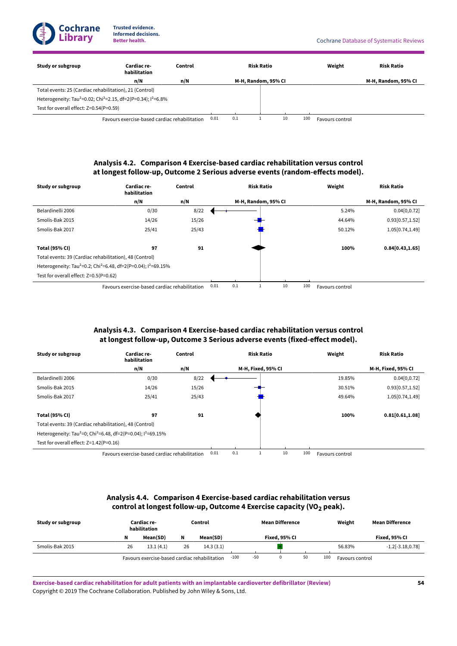

| Study or subgroup                                                                                 | Cardiac re-<br>habilitation                   | Control |      | <b>Risk Ratio</b> |                     | Weight | <b>Risk Ratio</b> |                 |                     |
|---------------------------------------------------------------------------------------------------|-----------------------------------------------|---------|------|-------------------|---------------------|--------|-------------------|-----------------|---------------------|
|                                                                                                   | n/N                                           | n/N     |      |                   | M-H, Random, 95% CI |        |                   |                 | M-H, Random, 95% CI |
| Total events: 25 (Cardiac rehabilitation), 21 (Control)                                           |                                               |         |      |                   |                     |        |                   |                 |                     |
| Heterogeneity: Tau <sup>2</sup> =0.02; Chi <sup>2</sup> =2.15, df=2(P=0.34); l <sup>2</sup> =6.8% |                                               |         |      |                   |                     |        |                   |                 |                     |
| Test for overall effect: Z=0.54(P=0.59)                                                           |                                               |         |      |                   |                     |        |                   |                 |                     |
|                                                                                                   | Favours exercise-based cardiac rehabilitation |         | 0.01 | 0.1               |                     | 10     | 100               | Favours control |                     |

## **Analysis 4.2. Comparison 4 Exercise-based cardiac rehabilitation versus control at longest follow-up, Outcome 2Serious adverse events (random-e;ects model).**

<span id="page-56-0"></span>

| Study or subgroup                                                                                  | Cardiac re-<br>habilitation                   | Control | <b>Risk Ratio</b> |     |                     |     | Weight          | <b>Risk Ratio</b>   |
|----------------------------------------------------------------------------------------------------|-----------------------------------------------|---------|-------------------|-----|---------------------|-----|-----------------|---------------------|
|                                                                                                    | n/N                                           | n/N     |                   |     | M-H, Random, 95% CI |     |                 | M-H, Random, 95% CI |
| Belardinelli 2006                                                                                  | 0/30                                          | 8/22    |                   |     |                     |     | 5.24%           | 0.04[0,0.72]        |
| Smolis-Bak 2015                                                                                    | 14/26                                         | 15/26   |                   |     |                     |     | 44.64%          | 0.93[0.57, 1.52]    |
| Smolis-Bak 2017                                                                                    | 25/41                                         | 25/43   |                   |     |                     |     | 50.12%          | 1.05[0.74,1.49]     |
|                                                                                                    |                                               |         |                   |     |                     |     |                 |                     |
| <b>Total (95% CI)</b>                                                                              | 97                                            | 91      |                   |     |                     |     | 100%            | 0.84[0.43, 1.65]    |
| Total events: 39 (Cardiac rehabilitation), 48 (Control)                                            |                                               |         |                   |     |                     |     |                 |                     |
| Heterogeneity: Tau <sup>2</sup> =0.2; Chi <sup>2</sup> =6.48, df=2(P=0.04); l <sup>2</sup> =69.15% |                                               |         |                   |     |                     |     |                 |                     |
| Test for overall effect: Z=0.5(P=0.62)                                                             |                                               |         |                   |     |                     |     |                 |                     |
|                                                                                                    | Favours exercise-based cardiac rehabilitation |         | 0.01              | 0.1 | 10                  | 100 | Favours control |                     |

## **Analysis 4.3. Comparison 4 Exercise-based cardiac rehabilitation versus control at longest follow-up, Outcome 3Serious adverse events (fixed-e;ect model).**

<span id="page-56-1"></span>

| Study or subgroup                                                                                | Cardiac re-<br>habilitation                   | Control | <b>Risk Ratio</b> |     |                    |    | Weight | <b>Risk Ratio</b> |                    |
|--------------------------------------------------------------------------------------------------|-----------------------------------------------|---------|-------------------|-----|--------------------|----|--------|-------------------|--------------------|
|                                                                                                  | n/N                                           | n/N     |                   |     | M-H, Fixed, 95% CI |    |        |                   | M-H, Fixed, 95% CI |
| Belardinelli 2006                                                                                | 0/30                                          | 8/22    |                   |     |                    |    |        | 19.85%            | 0.04[0,0.72]       |
| Smolis-Bak 2015                                                                                  | 14/26                                         | 15/26   |                   |     |                    |    |        | 30.51%            | 0.93[0.57, 1.52]   |
| Smolis-Bak 2017                                                                                  | 25/41                                         | 25/43   |                   |     |                    |    |        | 49.64%            | 1.05[0.74,1.49]    |
|                                                                                                  |                                               |         |                   |     |                    |    |        |                   |                    |
| <b>Total (95% CI)</b>                                                                            | 97                                            | 91      |                   |     |                    |    |        | 100%              | 0.81[0.61, 1.08]   |
| Total events: 39 (Cardiac rehabilitation), 48 (Control)                                          |                                               |         |                   |     |                    |    |        |                   |                    |
| Heterogeneity: Tau <sup>2</sup> =0; Chi <sup>2</sup> =6.48, df=2(P=0.04); l <sup>2</sup> =69.15% |                                               |         |                   |     |                    |    |        |                   |                    |
| Test for overall effect: Z=1.42(P=0.16)                                                          |                                               |         |                   |     |                    |    |        |                   |                    |
|                                                                                                  | Favours exercise-based cardiac rehabilitation |         | 0.01              | 0.1 |                    | 10 | 100    | Favours control   |                    |

## **Analysis 4.4. Comparison 4 Exercise-based cardiac rehabilitation versus control at longest follow-up, Outcome 4 Exercise capacity (VO2 peak).**

<span id="page-56-2"></span>

| Study or subgroup |    | Cardiac re-<br>habilitation                   | Control |           |        |       | <b>Mean Difference</b> |    | Weight | Mean Difference |                     |
|-------------------|----|-----------------------------------------------|---------|-----------|--------|-------|------------------------|----|--------|-----------------|---------------------|
|                   |    | Mean(SD)                                      | N       | Mean(SD)  |        |       | Fixed. 95% CI          |    |        |                 | Fixed, 95% CI       |
| Smolis-Bak 2015   | 26 | 13.1 (4.1)                                    | 26      | 14.3(3.1) |        |       |                        |    |        | 56.83%          | $-1.2[-3.18, 0.78]$ |
|                   |    | Favours exercise-based cardiac rehabilitation |         |           | $-100$ | $-50$ |                        | 50 | 100    | Favours control |                     |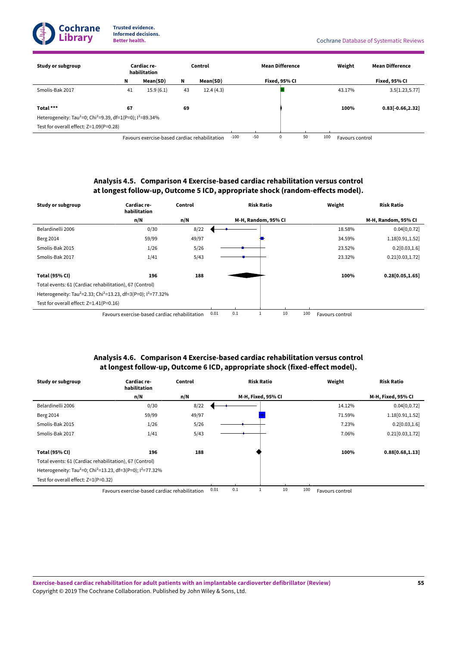

| Study or subgroup                                                                    |    | Cardiac re-<br>habilitation                   | Control |           |        | <b>Mean Difference</b> |               |    |     | Weight          | <b>Mean Difference</b> |
|--------------------------------------------------------------------------------------|----|-----------------------------------------------|---------|-----------|--------|------------------------|---------------|----|-----|-----------------|------------------------|
|                                                                                      | N  | Mean(SD)                                      | N       | Mean(SD)  |        |                        | Fixed, 95% CI |    |     |                 | Fixed, 95% CI          |
| Smolis-Bak 2017                                                                      | 41 | 15.9(6.1)                                     | 43      | 12.4(4.3) |        |                        |               |    |     | 43.17%          | 3.5[1.23, 5.77]        |
|                                                                                      |    |                                               |         |           |        |                        |               |    |     |                 |                        |
| Total ***                                                                            | 67 |                                               | 69      |           |        |                        |               |    |     | 100%            | $0.83[-0.66, 2.32]$    |
| Heterogeneity: Tau <sup>2</sup> =0; Chi <sup>2</sup> =9.39, df=1(P=0); $1^2$ =89.34% |    |                                               |         |           |        |                        |               |    |     |                 |                        |
| Test for overall effect: Z=1.09(P=0.28)                                              |    |                                               |         |           |        |                        |               |    |     |                 |                        |
|                                                                                      |    | Favours exercise-based cardiac rehabilitation |         |           | $-100$ | $-50$                  | 0             | 50 | 100 | Favours control |                        |

## **Analysis 4.5. Comparison 4 Exercise-based cardiac rehabilitation versus control at longest follow-up, Outcome 5 ICD, appropriate shock (random-e;ects model).**

<span id="page-57-0"></span>

| Study or subgroup                                                                                 | Cardiac re-<br>habilitation                   | Control | <b>Risk Ratio</b>        | Weight          | <b>Risk Ratio</b>   |
|---------------------------------------------------------------------------------------------------|-----------------------------------------------|---------|--------------------------|-----------------|---------------------|
|                                                                                                   | n/N                                           | n/N     | M-H, Random, 95% CI      |                 | M-H, Random, 95% CI |
| Belardinelli 2006                                                                                 | 0/30                                          | 8/22    |                          | 18.58%          | 0.04[0,0.72]        |
| <b>Berg 2014</b>                                                                                  | 59/99                                         | 49/97   |                          | 34.59%          | 1.18[0.91,1.52]     |
| Smolis-Bak 2015                                                                                   | 1/26                                          | 5/26    |                          | 23.52%          | 0.2[0.03, 1.6]      |
| Smolis-Bak 2017                                                                                   | 1/41                                          | 5/43    |                          | 23.32%          | 0.21[0.03, 1.72]    |
| <b>Total (95% CI)</b>                                                                             | 196                                           | 188     |                          | 100%            | 0.28[0.05, 1.65]    |
| Total events: 61 (Cardiac rehabilitation), 67 (Control)                                           |                                               |         |                          |                 |                     |
| Heterogeneity: Tau <sup>2</sup> =2.33; Chi <sup>2</sup> =13.23, df=3(P=0); l <sup>2</sup> =77.32% |                                               |         |                          |                 |                     |
| Test for overall effect: Z=1.41(P=0.16)                                                           |                                               |         |                          |                 |                     |
|                                                                                                   | Favours exercise-based cardiac rehabilitation |         | 0.1<br>10<br>0.01<br>100 | Favours control |                     |

## **Analysis 4.6. Comparison 4 Exercise-based cardiac rehabilitation versus control at longest follow-up, Outcome 6 ICD, appropriate shock (fixed-e;ect model).**

<span id="page-57-1"></span>

| Study or subgroup                                                                              | Cardiac re-<br>habilitation                   | Control | <b>Risk Ratio</b> |     |                    |    | Weight | <b>Risk Ratio</b> |                    |
|------------------------------------------------------------------------------------------------|-----------------------------------------------|---------|-------------------|-----|--------------------|----|--------|-------------------|--------------------|
|                                                                                                | n/N                                           | n/N     |                   |     | M-H, Fixed, 95% CI |    |        |                   | M-H, Fixed, 95% CI |
| Belardinelli 2006                                                                              | 0/30                                          | 8/22    |                   |     |                    |    |        | 14.12%            | 0.04[0,0.72]       |
| <b>Berg 2014</b>                                                                               | 59/99                                         | 49/97   |                   |     |                    |    |        | 71.59%            | 1.18[0.91,1.52]    |
| Smolis-Bak 2015                                                                                | 1/26                                          | 5/26    |                   |     |                    |    |        | 7.23%             | 0.2[0.03, 1.6]     |
| Smolis-Bak 2017                                                                                | 1/41                                          | 5/43    |                   |     |                    |    |        | 7.06%             | 0.21[0.03, 1.72]   |
|                                                                                                |                                               |         |                   |     |                    |    |        |                   |                    |
| <b>Total (95% CI)</b>                                                                          | 196                                           | 188     |                   |     |                    |    |        | 100%              | 0.88[0.68, 1.13]   |
| Total events: 61 (Cardiac rehabilitation), 67 (Control)                                        |                                               |         |                   |     |                    |    |        |                   |                    |
| Heterogeneity: Tau <sup>2</sup> =0; Chi <sup>2</sup> =13.23, df=3(P=0); l <sup>2</sup> =77.32% |                                               |         |                   |     |                    |    |        |                   |                    |
| Test for overall effect: Z=1(P=0.32)                                                           |                                               |         |                   |     |                    |    |        |                   |                    |
|                                                                                                | Favours exercise-based cardiac rehabilitation |         | 0.01              | 0.1 |                    | 10 | 100    | Favours control   |                    |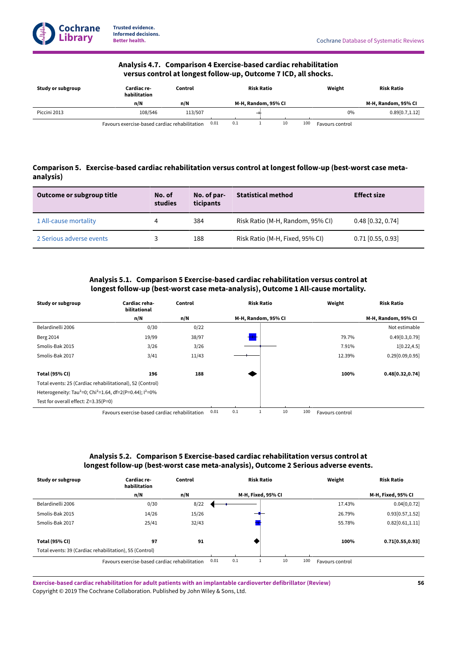## **Analysis 4.7. Comparison 4 Exercise-based cardiac rehabilitation versus control at longest follow-up, Outcome 7 ICD, all shocks.**

<span id="page-58-0"></span>

| Study or subgroup | Cardiac re-<br>habilitation                   | Control |      |     | <b>Risk Ratio</b>   |    |     | Weight          | <b>Risk Ratio</b>   |
|-------------------|-----------------------------------------------|---------|------|-----|---------------------|----|-----|-----------------|---------------------|
|                   | n/N                                           | n/N     |      |     | M-H, Random, 95% CI |    |     |                 | M-H, Random, 95% CI |
| Piccini 2013      | 108/546                                       | 113/507 |      |     |                     |    |     | 0%              | 0.89[0.7, 1.12]     |
|                   | Favours exercise-based cardiac rehabilitation |         | 0.01 | 0.1 |                     | 10 | 100 | Favours control |                     |

## **Comparison 5. Exercise-based cardiac rehabilitation versus control at longest follow-up (best-worst case metaanalysis)**

| Outcome or subgroup title | No. of<br>studies | No. of par-<br>ticipants | <b>Statistical method</b>        | <b>Effect size</b>  |
|---------------------------|-------------------|--------------------------|----------------------------------|---------------------|
| 1 All-cause mortality     |                   | 384                      | Risk Ratio (M-H, Random, 95% CI) | $0.48$ [0.32, 0.74] |
| 2 Serious adverse events  |                   | 188                      | Risk Ratio (M-H, Fixed, 95% CI)  | $0.71$ [0.55, 0.93] |

## **Analysis 5.1. Comparison 5 Exercise-based cardiac rehabilitation versus control at longest follow-up (best-worst case meta-analysis), Outcome 1 All-cause mortality.**

<span id="page-58-1"></span>

| <b>Study or subgroup</b>                                                                     | Cardiac reha-<br>bilitational                 | Control | <b>Risk Ratio</b>   |           | Weight          | <b>Risk Ratio</b>   |
|----------------------------------------------------------------------------------------------|-----------------------------------------------|---------|---------------------|-----------|-----------------|---------------------|
|                                                                                              | n/N                                           | n/N     | M-H, Random, 95% CI |           |                 | M-H, Random, 95% CI |
| Belardinelli 2006                                                                            | 0/30                                          | 0/22    |                     |           |                 | Not estimable       |
| Berg 2014                                                                                    | 19/99                                         | 38/97   |                     |           | 79.7%           | 0.49[0.3, 0.79]     |
| Smolis-Bak 2015                                                                              | 3/26                                          | 3/26    |                     |           | 7.91%           | 1[0.22, 4.5]        |
| Smolis-Bak 2017                                                                              | 3/41                                          | 11/43   |                     |           | 12.39%          | 0.29 [0.09, 0.95]   |
| <b>Total (95% CI)</b>                                                                        | 196                                           | 188     |                     |           | 100%            | 0.48[0.32, 0.74]    |
| Total events: 25 (Cardiac rehabilitational), 52 (Control)                                    |                                               |         |                     |           |                 |                     |
| Heterogeneity: Tau <sup>2</sup> =0; Chi <sup>2</sup> =1.64, df=2(P=0.44); l <sup>2</sup> =0% |                                               |         |                     |           |                 |                     |
| Test for overall effect: Z=3.35(P=0)                                                         |                                               |         |                     |           |                 |                     |
|                                                                                              | Favours exercise-based cardiac rehabilitation |         | 0.1<br>0.01         | 10<br>100 | Favours control |                     |

## **Analysis 5.2. Comparison 5 Exercise-based cardiac rehabilitation versus control at longest follow-up (best-worst case meta-analysis), Outcome 2Serious adverse events.**

<span id="page-58-2"></span>

| Study or subgroup                                       | Cardiac re-<br>habilitation                   | Control | <b>Risk Ratio</b> |     |                    |    | Weight | <b>Risk Ratio</b> |                    |
|---------------------------------------------------------|-----------------------------------------------|---------|-------------------|-----|--------------------|----|--------|-------------------|--------------------|
|                                                         | n/N                                           | n/N     |                   |     | M-H, Fixed, 95% CI |    |        |                   | M-H, Fixed, 95% CI |
| Belardinelli 2006                                       | 0/30                                          | 8/22    |                   |     |                    |    |        | 17.43%            | 0.04[0,0.72]       |
| Smolis-Bak 2015                                         | 14/26                                         | 15/26   |                   |     |                    |    |        | 26.79%            | 0.93[0.57, 1.52]   |
| Smolis-Bak 2017                                         | 25/41                                         | 32/43   |                   |     |                    |    |        | 55.78%            | 0.82[0.61, 1.11]   |
|                                                         |                                               |         |                   |     |                    |    |        |                   |                    |
| <b>Total (95% CI)</b>                                   | 97                                            | 91      |                   |     |                    |    |        | 100%              | 0.71[0.55, 0.93]   |
| Total events: 39 (Cardiac rehabilitation), 55 (Control) |                                               |         |                   |     |                    |    |        |                   |                    |
|                                                         | Favours exercise-based cardiac rehabilitation |         | 0.01              | 0.1 |                    | 10 | 100    | Favours control   |                    |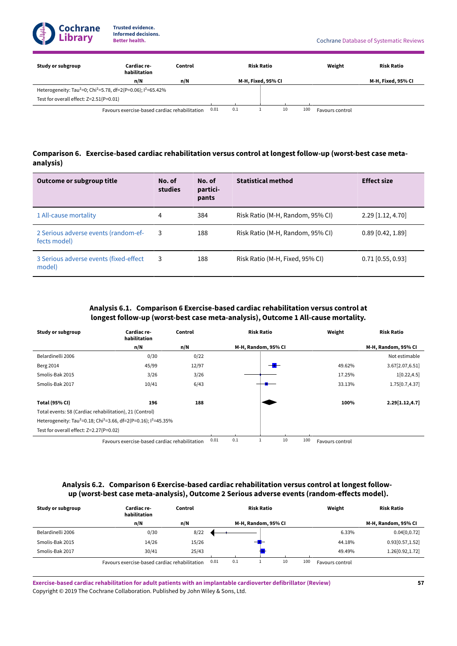

| Study or subgroup                                                                                | Cardiac re-<br>habilitation                   | Control | <b>Risk Ratio</b> |     |                    |    | Weight | <b>Risk Ratio</b> |                    |
|--------------------------------------------------------------------------------------------------|-----------------------------------------------|---------|-------------------|-----|--------------------|----|--------|-------------------|--------------------|
|                                                                                                  | n/N                                           | n/N     |                   |     | M-H, Fixed, 95% CI |    |        |                   | M-H, Fixed, 95% CI |
| Heterogeneity: Tau <sup>2</sup> =0; Chi <sup>2</sup> =5.78, df=2(P=0.06); l <sup>2</sup> =65.42% |                                               |         |                   |     |                    |    |        |                   |                    |
| Test for overall effect: Z=2.51(P=0.01)                                                          |                                               |         |                   |     |                    |    |        |                   |                    |
|                                                                                                  | Favours exercise-based cardiac rehabilitation |         | 0.01              | 0.1 |                    | 10 | 100    | Favours control   |                    |

## **Comparison 6. Exercise-based cardiac rehabilitation versus control at longest follow-up (worst-best case metaanalysis)**

| Outcome or subgroup title                            | No. of<br>studies | No. of<br>partici-<br>pants | <b>Statistical method</b>        | <b>Effect size</b>  |
|------------------------------------------------------|-------------------|-----------------------------|----------------------------------|---------------------|
| 1 All-cause mortality                                | 4                 | 384                         | Risk Ratio (M-H, Random, 95% CI) | $2.29$ [1.12, 4.70] |
| 2 Serious adverse events (random-ef-<br>fects model) | 3                 | 188                         | Risk Ratio (M-H, Random, 95% CI) | $0.89$ [0.42, 1.89] |
| 3 Serious adverse events (fixed-effect<br>model)     | 3                 | 188                         | Risk Ratio (M-H, Fixed, 95% CI)  | $0.71$ [0.55, 0.93] |

## **Analysis 6.1. Comparison 6 Exercise-based cardiac rehabilitation versus control at longest follow-up (worst-best case meta-analysis), Outcome 1 All-cause mortality.**

<span id="page-59-0"></span>

| <b>Study or subgroup</b>                                                                            | Cardiac re-<br>habilitation                   | Control |             | <b>Risk Ratio</b>   |     | Weight          | <b>Risk Ratio</b>   |
|-----------------------------------------------------------------------------------------------------|-----------------------------------------------|---------|-------------|---------------------|-----|-----------------|---------------------|
|                                                                                                     | n/N                                           | n/N     |             | M-H, Random, 95% CI |     |                 | M-H, Random, 95% CI |
| Belardinelli 2006                                                                                   | 0/30                                          | 0/22    |             |                     |     |                 | Not estimable       |
| <b>Berg 2014</b>                                                                                    | 45/99                                         | 12/97   |             | $ -$                |     | 49.62%          | 3.67[2.07,6.51]     |
| Smolis-Bak 2015                                                                                     | 3/26                                          | 3/26    |             |                     |     | 17.25%          | 1[0.22, 4.5]        |
| Smolis-Bak 2017                                                                                     | 10/41                                         | 6/43    |             |                     |     | 33.13%          | 1.75[0.7,4.37]      |
|                                                                                                     |                                               |         |             |                     |     |                 |                     |
| <b>Total (95% CI)</b>                                                                               | 196                                           | 188     |             |                     |     | 100%            | 2.29[1.12, 4.7]     |
| Total events: 58 (Cardiac rehabilitation), 21 (Control)                                             |                                               |         |             |                     |     |                 |                     |
| Heterogeneity: Tau <sup>2</sup> =0.18; Chi <sup>2</sup> =3.66, df=2(P=0.16); l <sup>2</sup> =45.35% |                                               |         |             |                     |     |                 |                     |
| Test for overall effect: Z=2.27(P=0.02)                                                             |                                               |         |             |                     |     |                 |                     |
|                                                                                                     | Favours exercise-based cardiac rehabilitation |         | 0.01<br>0.1 | 10                  | 100 | Favours control |                     |

## **Analysis 6.2. Comparison 6 Exercise-based cardiac rehabilitation versus control at longest followup (worst-best case meta-analysis), Outcome 2Serious adverse events (random-e;ects model).**

<span id="page-59-1"></span>

| Study or subgroup | Cardiac re-<br>habilitation                   | Control | <b>Risk Ratio</b> |     |                     |    | Weight | <b>Risk Ratio</b> |                     |
|-------------------|-----------------------------------------------|---------|-------------------|-----|---------------------|----|--------|-------------------|---------------------|
|                   | n/N                                           | n/N     |                   |     | M-H, Random, 95% CI |    |        |                   | M-H, Random, 95% CI |
| Belardinelli 2006 | 0/30                                          | 8/22    |                   |     |                     |    |        | 6.33%             | 0.04[0,0.72]        |
| Smolis-Bak 2015   | 14/26                                         | 15/26   |                   |     |                     |    |        | 44.18%            | 0.93[0.57, 1.52]    |
| Smolis-Bak 2017   | 30/41                                         | 25/43   |                   |     |                     |    |        | 49.49%            | 1.26[0.92,1.72]     |
|                   | Favours exercise-based cardiac rehabilitation |         | 0.01              | 0.1 |                     | 10 | 100    | Favours control   |                     |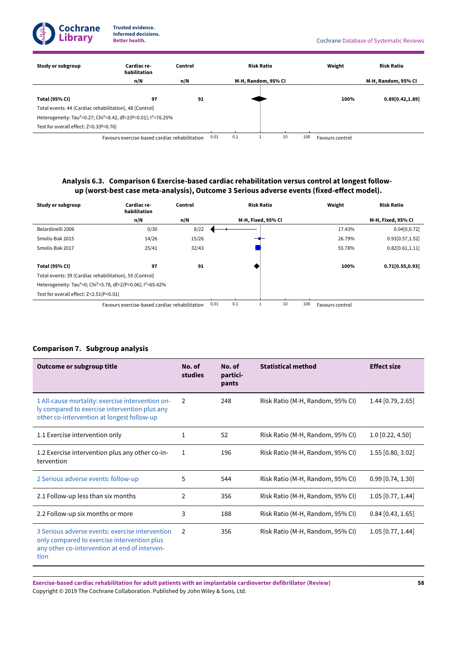

| Study or subgroup                                                                                   | Cardiac re-<br>habilitation                   | Control |      | <b>Risk Ratio</b> |                     |    |     | Weight          | <b>Risk Ratio</b>   |
|-----------------------------------------------------------------------------------------------------|-----------------------------------------------|---------|------|-------------------|---------------------|----|-----|-----------------|---------------------|
|                                                                                                     | n/N                                           | n/N     |      |                   | M-H, Random, 95% CI |    |     |                 | M-H, Random, 95% CI |
|                                                                                                     |                                               |         |      |                   |                     |    |     |                 |                     |
| <b>Total (95% CI)</b>                                                                               | 97                                            | 91      |      |                   |                     |    |     | 100%            | 0.89[0.42, 1.89]    |
| Total events: 44 (Cardiac rehabilitation), 48 (Control)                                             |                                               |         |      |                   |                     |    |     |                 |                     |
| Heterogeneity: Tau <sup>2</sup> =0.27; Chi <sup>2</sup> =8.42, df=2(P=0.01); l <sup>2</sup> =76.25% |                                               |         |      |                   |                     |    |     |                 |                     |
| Test for overall effect: Z=0.3(P=0.76)                                                              |                                               |         |      |                   |                     |    |     |                 |                     |
|                                                                                                     | Favours exercise-based cardiac rehabilitation |         | 0.01 | 0.1               |                     | 10 | 100 | Favours control |                     |

## **Analysis 6.3. Comparison 6 Exercise-based cardiac rehabilitation versus control at longest followup (worst-best case meta-analysis), Outcome 3Serious adverse events (fixed-e;ect model).**

<span id="page-60-0"></span>

| Study or subgroup                                                                                | Cardiac re-<br>habilitation                   | Control |      |     | <b>Risk Ratio</b>  |    |     | Weight          | <b>Risk Ratio</b>  |
|--------------------------------------------------------------------------------------------------|-----------------------------------------------|---------|------|-----|--------------------|----|-----|-----------------|--------------------|
|                                                                                                  | n/N                                           | n/N     |      |     | M-H, Fixed, 95% CI |    |     |                 | M-H, Fixed, 95% CI |
| Belardinelli 2006                                                                                | 0/30                                          | 8/22    |      |     |                    |    |     | 17.43%          | 0.04[0,0.72]       |
| Smolis-Bak 2015                                                                                  | 14/26                                         | 15/26   |      |     |                    |    |     | 26.79%          | 0.93 [0.57, 1.52]  |
| Smolis-Bak 2017                                                                                  | 25/41                                         | 32/43   |      |     |                    |    |     | 55.78%          | 0.82[0.61, 1.11]   |
|                                                                                                  |                                               |         |      |     |                    |    |     |                 |                    |
| <b>Total (95% CI)</b>                                                                            | 97                                            | 91      |      |     |                    |    |     | 100%            | 0.71[0.55, 0.93]   |
| Total events: 39 (Cardiac rehabilitation), 55 (Control)                                          |                                               |         |      |     |                    |    |     |                 |                    |
| Heterogeneity: Tau <sup>2</sup> =0; Chi <sup>2</sup> =5.78, df=2(P=0.06); l <sup>2</sup> =65.42% |                                               |         |      |     |                    |    |     |                 |                    |
| Test for overall effect: Z=2.51(P=0.01)                                                          |                                               |         |      |     |                    |    |     |                 |                    |
|                                                                                                  | Favours exercise-based cardiac rehabilitation |         | 0.01 | 0.1 |                    | 10 | 100 | Favours control |                    |

## **Comparison 7. Subgroup analysis**

| Outcome or subgroup title                                                                                                                               | No. of<br>studies | No. of<br>partici-<br>pants | <b>Statistical method</b>        | <b>Effect size</b>  |
|---------------------------------------------------------------------------------------------------------------------------------------------------------|-------------------|-----------------------------|----------------------------------|---------------------|
| 1 All-cause mortality: exercise intervention on-<br>ly compared to exercise intervention plus any<br>other co-intervention at longest follow-up         | 2                 | 248                         | Risk Ratio (M-H, Random, 95% CI) | $1.44$ [0.79, 2.65] |
| 1.1 Exercise intervention only                                                                                                                          | $\mathbf{1}$      | 52                          | Risk Ratio (M-H, Random, 95% CI) | $1.0$ [0.22, 4.50]  |
| 1.2 Exercise intervention plus any other co-in-<br>tervention                                                                                           | $\mathbf{1}$      | 196                         | Risk Ratio (M-H, Random, 95% CI) | $1.55$ [0.80, 3.02] |
| 2 Serious adverse events: follow-up                                                                                                                     | 5                 | 544                         | Risk Ratio (M-H, Random, 95% CI) | $0.99$ [0.74, 1.30] |
| 2.1 Follow-up less than six months                                                                                                                      | 2                 | 356                         | Risk Ratio (M-H, Random, 95% CI) | $1.05$ [0.77, 1.44] |
| 2.2 Follow-up six months or more                                                                                                                        | 3                 | 188                         | Risk Ratio (M-H, Random, 95% CI) | $0.84$ [0.43, 1.65] |
| 3 Serious adverse events: exercise intervention<br>only compared to exercise intervention plus<br>any other co-intervention at end of interven-<br>tion | 2                 | 356                         | Risk Ratio (M-H, Random, 95% CI) | $1.05$ [0.77, 1.44] |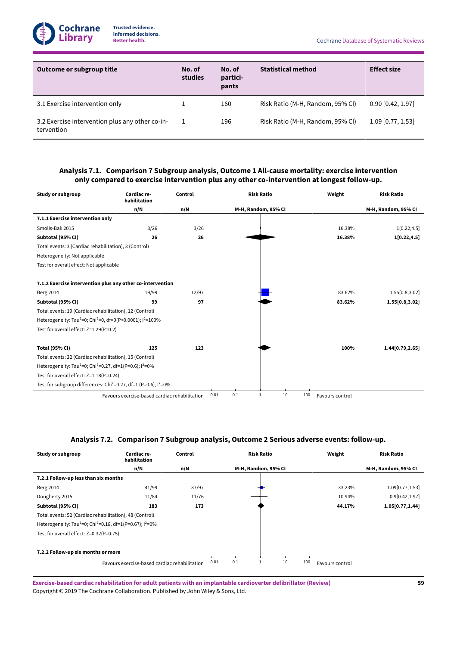

| Outcome or subgroup title                                     | No. of<br>studies | No. of<br>partici-<br>pants | <b>Statistical method</b>        | <b>Effect size</b>  |
|---------------------------------------------------------------|-------------------|-----------------------------|----------------------------------|---------------------|
| 3.1 Exercise intervention only                                |                   | 160                         | Risk Ratio (M-H, Random, 95% CI) | $0.90$ [0.42, 1.97] |
| 3.2 Exercise intervention plus any other co-in-<br>tervention |                   | 196                         | Risk Ratio (M-H, Random, 95% CI) | $1.09$ [0.77, 1.53] |

## **Analysis 7.1. Comparison 7Subgroup analysis, Outcome 1 All-cause mortality: exercise intervention only compared to exercise intervention plus any other co-intervention at longest follow-up.**

<span id="page-61-0"></span>

| <b>Study or subgroup</b>                                                                      | Cardiac re-<br>habilitation                   | Control | <b>Risk Ratio</b>              | Weight                 | <b>Risk Ratio</b>   |
|-----------------------------------------------------------------------------------------------|-----------------------------------------------|---------|--------------------------------|------------------------|---------------------|
|                                                                                               | n/N                                           | n/N     | M-H, Random, 95% CI            |                        | M-H, Random, 95% CI |
| 7.1.1 Exercise intervention only                                                              |                                               |         |                                |                        |                     |
| Smolis-Bak 2015                                                                               | 3/26                                          | 3/26    |                                | 16.38%                 | 1[0.22, 4.5]        |
| Subtotal (95% CI)                                                                             | 26                                            | 26      |                                | 16.38%                 | 1[0.22, 4.5]        |
| Total events: 3 (Cardiac rehabilitation), 3 (Control)                                         |                                               |         |                                |                        |                     |
| Heterogeneity: Not applicable                                                                 |                                               |         |                                |                        |                     |
| Test for overall effect: Not applicable                                                       |                                               |         |                                |                        |                     |
|                                                                                               |                                               |         |                                |                        |                     |
| 7.1.2 Exercise intervention plus any other co-intervention                                    |                                               |         |                                |                        |                     |
| <b>Berg 2014</b>                                                                              | 19/99                                         | 12/97   |                                | 83.62%                 | 1.55[0.8,3.02]      |
| Subtotal (95% CI)                                                                             | 99                                            | 97      |                                | 83.62%                 | 1.55[0.8,3.02]      |
| Total events: 19 (Cardiac rehabilitation), 12 (Control)                                       |                                               |         |                                |                        |                     |
| Heterogeneity: Tau <sup>2</sup> =0; Chi <sup>2</sup> =0, df=0(P<0.0001); l <sup>2</sup> =100% |                                               |         |                                |                        |                     |
| Test for overall effect: Z=1.29(P=0.2)                                                        |                                               |         |                                |                        |                     |
|                                                                                               |                                               |         |                                |                        |                     |
| <b>Total (95% CI)</b>                                                                         | 125                                           | 123     |                                | 100%                   | 1.44 [0.79, 2.65]   |
| Total events: 22 (Cardiac rehabilitation), 15 (Control)                                       |                                               |         |                                |                        |                     |
| Heterogeneity: Tau <sup>2</sup> =0; Chi <sup>2</sup> =0.27, df=1(P=0.6); $1^2$ =0%            |                                               |         |                                |                        |                     |
| Test for overall effect: Z=1.18(P=0.24)                                                       |                                               |         |                                |                        |                     |
| Test for subgroup differences: Chi <sup>2</sup> =0.27, df=1 (P=0.6), $1^2$ =0%                |                                               |         |                                |                        |                     |
|                                                                                               | Favours exercise-based cardiac rehabilitation |         | $0.1\,$<br>10<br>0.01<br>$\,1$ | 100<br>Favours control |                     |

## **Analysis 7.2. Comparison 7Subgroup analysis, Outcome 2Serious adverse events: follow-up.**

<span id="page-61-1"></span>

| Study or subgroup                                                                            | Cardiac re-<br>habilitation                   | Control |      | <b>Risk Ratio</b> |                     |    | Weight | <b>Risk Ratio</b> |                     |
|----------------------------------------------------------------------------------------------|-----------------------------------------------|---------|------|-------------------|---------------------|----|--------|-------------------|---------------------|
|                                                                                              | n/N                                           | n/N     |      |                   | M-H, Random, 95% CI |    |        |                   | M-H, Random, 95% CI |
| 7.2.1 Follow-up less than six months                                                         |                                               |         |      |                   |                     |    |        |                   |                     |
| <b>Berg 2014</b>                                                                             | 41/99                                         | 37/97   |      |                   |                     |    |        | 33.23%            | 1.09[0.77,1.53]     |
| Dougherty 2015                                                                               | 11/84                                         | 11/76   |      |                   |                     |    |        | 10.94%            | 0.9[0.42, 1.97]     |
| Subtotal (95% CI)                                                                            | 183                                           | 173     |      |                   |                     |    |        | 44.17%            | 1.05 [0.77, 1.44]   |
| Total events: 52 (Cardiac rehabilitation), 48 (Control)                                      |                                               |         |      |                   |                     |    |        |                   |                     |
| Heterogeneity: Tau <sup>2</sup> =0; Chi <sup>2</sup> =0.18, df=1(P=0.67); l <sup>2</sup> =0% |                                               |         |      |                   |                     |    |        |                   |                     |
| Test for overall effect: Z=0.32(P=0.75)                                                      |                                               |         |      |                   |                     |    |        |                   |                     |
|                                                                                              |                                               |         |      |                   |                     |    |        |                   |                     |
| 7.2.2 Follow-up six months or more                                                           |                                               |         |      |                   |                     |    |        |                   |                     |
|                                                                                              | Favours exercise-based cardiac rehabilitation |         | 0.01 | 0.1               |                     | 10 | 100    | Favours control   |                     |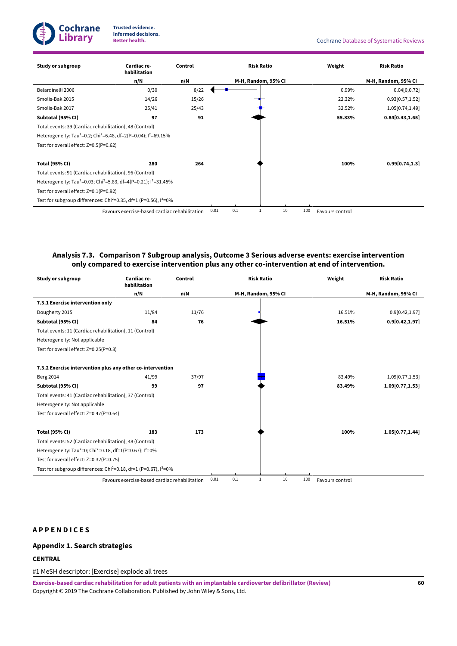

| Study or subgroup                                                                                   | Cardiac re-<br>habilitation | Control | <b>Risk Ratio</b> |     |                     |     | Weight          | <b>Risk Ratio</b>   |
|-----------------------------------------------------------------------------------------------------|-----------------------------|---------|-------------------|-----|---------------------|-----|-----------------|---------------------|
|                                                                                                     | n/N                         | n/N     |                   |     | M-H, Random, 95% CI |     |                 | M-H, Random, 95% CI |
| Belardinelli 2006                                                                                   | 0/30                        | 8/22    |                   |     |                     |     | 0.99%           | 0.04[0,0.72]        |
| Smolis-Bak 2015                                                                                     | 14/26                       | 15/26   |                   |     |                     |     | 22.32%          | 0.93[0.57, 1.52]    |
| Smolis-Bak 2017                                                                                     | 25/41                       | 25/43   |                   |     |                     |     | 32.52%          | 1.05 [0.74, 1.49]   |
| Subtotal (95% CI)                                                                                   | 97                          | 91      |                   |     |                     |     | 55.83%          | 0.84[0.43, 1.65]    |
| Total events: 39 (Cardiac rehabilitation), 48 (Control)                                             |                             |         |                   |     |                     |     |                 |                     |
| Heterogeneity: Tau <sup>2</sup> =0.2; Chi <sup>2</sup> =6.48, df=2(P=0.04); l <sup>2</sup> =69.15%  |                             |         |                   |     |                     |     |                 |                     |
| Test for overall effect: Z=0.5(P=0.62)                                                              |                             |         |                   |     |                     |     |                 |                     |
| Total (95% CI)                                                                                      | 280                         | 264     |                   |     |                     |     | 100%            | 0.99[0.74, 1.3]     |
| Total events: 91 (Cardiac rehabilitation), 96 (Control)                                             |                             |         |                   |     |                     |     |                 |                     |
| Heterogeneity: Tau <sup>2</sup> =0.03; Chi <sup>2</sup> =5.83, df=4(P=0.21); l <sup>2</sup> =31.45% |                             |         |                   |     |                     |     |                 |                     |
| Test for overall effect: Z=0.1(P=0.92)                                                              |                             |         |                   |     |                     |     |                 |                     |
| Test for subgroup differences: Chi <sup>2</sup> =0.35, df=1 (P=0.56), $1^2$ =0%                     |                             |         |                   |     |                     |     |                 |                     |
| Favours exercise-based cardiac rehabilitation                                                       |                             |         | 0.01              | 0.1 | 10                  | 100 | Favours control |                     |

## <span id="page-62-0"></span>**Analysis 7.3. Comparison 7Subgroup analysis, Outcome 3Serious adverse events: exercise intervention only compared to exercise intervention plus any other co-intervention at end of intervention.**

| <b>Study or subgroup</b>                                                            | Cardiac re-<br>habilitation                   | Control |             | <b>Risk Ratio</b>   |     | Weight          | <b>Risk Ratio</b>   |
|-------------------------------------------------------------------------------------|-----------------------------------------------|---------|-------------|---------------------|-----|-----------------|---------------------|
|                                                                                     | n/N                                           | n/N     |             | M-H, Random, 95% Cl |     |                 | M-H, Random, 95% CI |
| 7.3.1 Exercise intervention only                                                    |                                               |         |             |                     |     |                 |                     |
| Dougherty 2015                                                                      | 11/84                                         | 11/76   |             |                     |     | 16.51%          | 0.9[0.42, 1.97]     |
| Subtotal (95% CI)                                                                   | 84                                            | 76      |             |                     |     | 16.51%          | 0.9[0.42, 1.97]     |
| Total events: 11 (Cardiac rehabilitation), 11 (Control)                             |                                               |         |             |                     |     |                 |                     |
| Heterogeneity: Not applicable                                                       |                                               |         |             |                     |     |                 |                     |
| Test for overall effect: Z=0.25(P=0.8)                                              |                                               |         |             |                     |     |                 |                     |
|                                                                                     |                                               |         |             |                     |     |                 |                     |
| 7.3.2 Exercise intervention plus any other co-intervention                          |                                               |         |             |                     |     |                 |                     |
| <b>Berg 2014</b>                                                                    | 41/99                                         | 37/97   |             |                     |     | 83.49%          | 1.09[0.77,1.53]     |
| Subtotal (95% CI)                                                                   | 99                                            | 97      |             |                     |     | 83.49%          | 1.09[0.77, 1.53]    |
| Total events: 41 (Cardiac rehabilitation), 37 (Control)                             |                                               |         |             |                     |     |                 |                     |
| Heterogeneity: Not applicable                                                       |                                               |         |             |                     |     |                 |                     |
| Test for overall effect: Z=0.47(P=0.64)                                             |                                               |         |             |                     |     |                 |                     |
|                                                                                     |                                               |         |             |                     |     |                 |                     |
| <b>Total (95% CI)</b>                                                               | 183                                           | 173     |             |                     |     | 100%            | 1.05 [0.77, 1.44]   |
| Total events: 52 (Cardiac rehabilitation), 48 (Control)                             |                                               |         |             |                     |     |                 |                     |
| Heterogeneity: Tau <sup>2</sup> =0; Chi <sup>2</sup> =0.18, df=1(P=0.67); $1^2$ =0% |                                               |         |             |                     |     |                 |                     |
| Test for overall effect: Z=0.32(P=0.75)                                             |                                               |         |             |                     |     |                 |                     |
| Test for subgroup differences: Chi <sup>2</sup> =0.18, df=1 (P=0.67), $1^2$ =0%     |                                               |         |             |                     |     |                 |                     |
|                                                                                     | Favours exercise-based cardiac rehabilitation |         | 0.1<br>0.01 | 10<br>$\mathbf{1}$  | 100 | Favours control |                     |

#### **A P P E N D I C E S**

### **Appendix 1.Search strategies**

## **CENTRAL**

#1 MeSH descriptor: [Exercise] explode all trees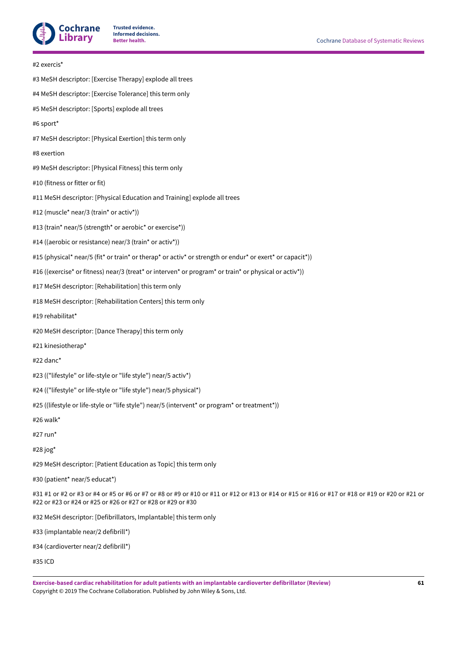

# #2 exercis\* #3 MeSH descriptor: [Exercise Therapy] explode all trees #4 MeSH descriptor: [Exercise Tolerance] this term only #5 MeSH descriptor: [Sports] explode all trees #6 sport\* #7 MeSH descriptor: [Physical Exertion] this term only #8 exertion #9 MeSH descriptor: [Physical Fitness] this term only #10 (fitness or fitter or fit) #11 MeSH descriptor: [Physical Education and Training] explode all trees #12 (muscle\* near/3 (train\* or activ\*)) #13 (train\* near/5 (strength\* or aerobic\* or exercise\*)) #14 ((aerobic or resistance) near/3 (train\* or activ\*)) #15 (physical\* near/5 (fit\* or train\* or therap\* or activ\* or strength or endur\* or exert\* or capacit\*)) #16 ((exercise\* or fitness) near/3 (treat\* or interven\* or program\* or train\* or physical or activ\*)) #17 MeSH descriptor: [Rehabilitation] this term only #18 MeSH descriptor: [Rehabilitation Centers] this term only #19 rehabilitat\* #20 MeSH descriptor: [Dance Therapy] this term only #21 kinesiotherap\* #22 danc\* #23 (("lifestyle" or life-style or "life style") near/5 activ\*) #24 (("lifestyle" or life-style or "life style") near/5 physical\*) #25 ((lifestyle or life-style or "life style") near/5 (intervent\* or program\* or treatment\*)) #26 walk\* #27 run\* #28 jog\* #29 MeSH descriptor: [Patient Education as Topic] this term only #30 (patient\* near/5 educat\*) #31 #1 or #2 or #3 or #4 or #5 or #6 or #7 or #8 or #9 or #10 or #11 or #12 or #13 or #14 or #15 or #16 or #17 or #18 or #19 or #20 or #21 or #22 or #23 or #24 or #25 or #26 or #27 or #28 or #29 or #30 #32 MeSH descriptor: [Defibrillators, Implantable] this term only #33 (implantable near/2 defibrill\*)

#34 (cardioverter near/2 defibrill\*)

#35 ICD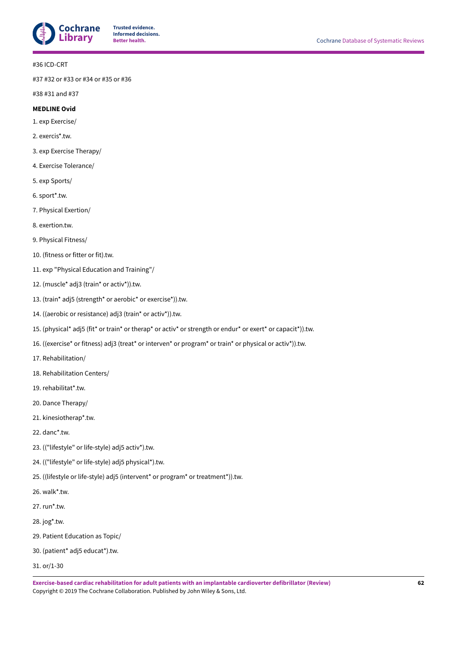

#### #36 ICD-CRT

#37 #32 or #33 or #34 or #35 or #36

#38 #31 and #37

## **MEDLINE Ovid**

1. exp Exercise/

2. exercis\*.tw.

- 3. exp Exercise Therapy/
- 4. Exercise Tolerance/
- 5. exp Sports/
- 6. sport\*.tw.
- 7. Physical Exertion/
- 8. exertion.tw.
- 9. Physical Fitness/
- 10. (fitness or fitter or fit).tw.
- 11. exp "Physical Education and Training"/
- 12. (muscle\* adj3 (train\* or activ\*)).tw.
- 13. (train\* adj5 (strength\* or aerobic\* or exercise\*)).tw.
- 14. ((aerobic or resistance) adj3 (train\* or activ\*)).tw.
- 15. (physical\* adj5 (fit\* or train\* or therap\* or activ\* or strength or endur\* or exert\* or capacit\*)).tw.
- 16. ((exercise\* or fitness) adj3 (treat\* or interven\* or program\* or train\* or physical or activ\*)).tw.
- 17. Rehabilitation/
- 18. Rehabilitation Centers/
- 19. rehabilitat\*.tw.
- 20. Dance Therapy/
- 21. kinesiotherap\*.tw.
- 22. danc\*.tw.
- 23. (("lifestyle" or life-style) adj5 activ\*).tw.
- 24. (("lifestyle" or life-style) adj5 physical\*).tw.
- 25. ((lifestyle or life-style) adj5 (intervent\* or program\* or treatment\*)).tw.
- 26. walk\*.tw.
- 27. run\*.tw.
- 28. jog\*.tw.
- 29. Patient Education as Topic/
- 30. (patient\* adj5 educat\*).tw.
- 31. or/1-30

**Exercise-based cardiac rehabilitation for adult patients with an implantable cardioverter defibrillator (Review)** Copyright © 2019 The Cochrane Collaboration. Published by John Wiley & Sons, Ltd.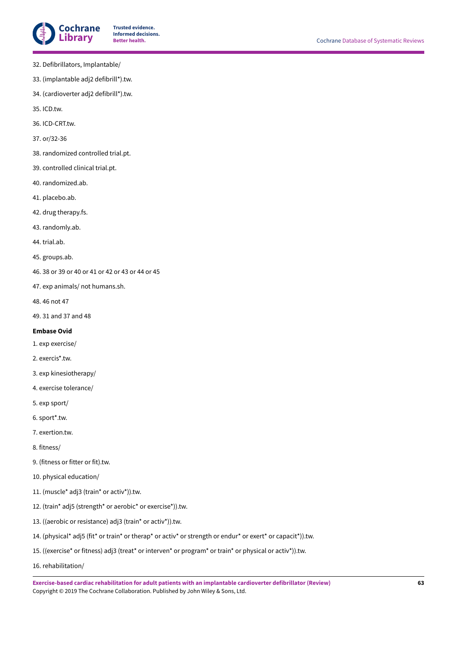

- 32. Defibrillators, Implantable/
- 33. (implantable adj2 defibrill\*).tw.
- 34. (cardioverter adj2 defibrill\*).tw.
- 35. ICD.tw.
- 36. ICD-CRT.tw.

37. or/32-36

- 38. randomized controlled trial.pt.
- 39. controlled clinical trial.pt.
- 40. randomized.ab.
- 41. placebo.ab.
- 42. drug therapy.fs.
- 43. randomly.ab.
- 44. trial.ab.
- 45. groups.ab.
- 46. 38 or 39 or 40 or 41 or 42 or 43 or 44 or 45
- 47. exp animals/ not humans.sh.
- 48. 46 not 47
- 49. 31 and 37 and 48

## **Embase Ovid**

- 1. exp exercise/
- 2. exercis\*.tw.
- 3. exp kinesiotherapy/
- 4. exercise tolerance/
- 5. exp sport/
- 6. sport\*.tw.
- 7. exertion.tw.
- 8. fitness/
- 9. (fitness or fitter or fit).tw.
- 10. physical education/
- 11. (muscle\* adj3 (train\* or activ\*)).tw.
- 12. (train\* adj5 (strength\* or aerobic\* or exercise\*)).tw.
- 13. ((aerobic or resistance) adj3 (train\* or activ\*)).tw.
- 14. (physical\* adj5 (fit\* or train\* or therap\* or activ\* or strength or endur\* or exert\* or capacit\*)).tw.
- 15. ((exercise\* or fitness) adj3 (treat\* or interven\* or program\* or train\* or physical or activ\*)).tw.
- 16. rehabilitation/

**Exercise-based cardiac rehabilitation for adult patients with an implantable cardioverter defibrillator (Review)** Copyright © 2019 The Cochrane Collaboration. Published by John Wiley & Sons, Ltd.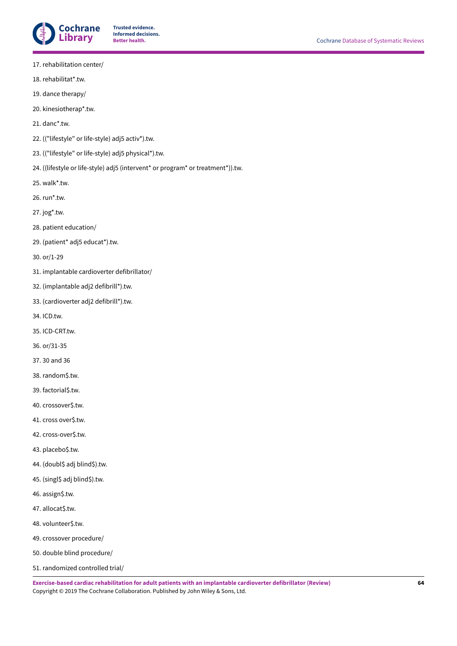

- 17. rehabilitation center/
- 18. rehabilitat\*.tw.
- 19. dance therapy/
- 20. kinesiotherap\*.tw.
- 21. danc\*.tw.
- 22. (("lifestyle" or life-style) adj5 activ\*).tw.
- 23. (("lifestyle" or life-style) adj5 physical\*).tw.
- 24. ((lifestyle or life-style) adj5 (intervent\* or program\* or treatment\*)).tw.
- 25. walk\*.tw.
- 26. run\*.tw.
- 27. jog\*.tw.
- 28. patient education/
- 29. (patient\* adj5 educat\*).tw.
- 30. or/1-29
- 31. implantable cardioverter defibrillator/
- 32. (implantable adj2 defibrill\*).tw.
- 33. (cardioverter adj2 defibrill\*).tw.
- 34. ICD.tw.
- 35. ICD-CRT.tw.
- 36. or/31-35
- 37. 30 and 36
- 38. random\$.tw.
- 39. factorial\$.tw.
- 40. crossover\$.tw.
- 41. cross over\$.tw.
- 42. cross-over\$.tw.
- 43. placebo\$.tw.
- 44. (doubl\$ adj blind\$).tw.
- 45. (singl\$ adj blind\$).tw.
- 46. assign\$.tw.
- 47. allocat\$.tw.
- 48. volunteer\$.tw.
- 49. crossover procedure/
- 50. double blind procedure/
- 51. randomized controlled trial/

**Exercise-based cardiac rehabilitation for adult patients with an implantable cardioverter defibrillator (Review)** Copyright © 2019 The Cochrane Collaboration. Published by John Wiley & Sons, Ltd.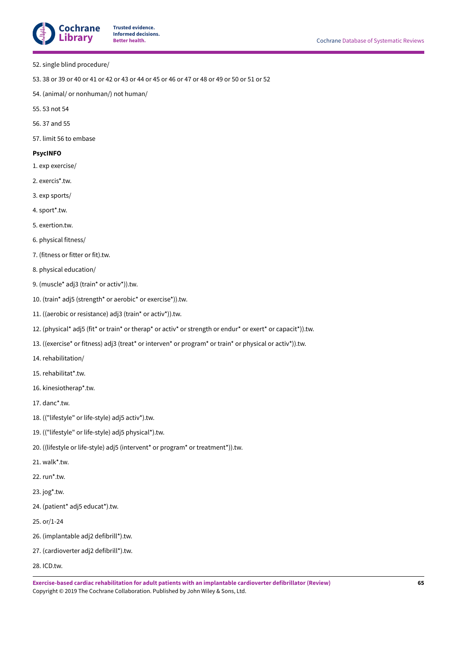

- 52. single blind procedure/
- 53. 38 or 39 or 40 or 41 or 42 or 43 or 44 or 45 or 46 or 47 or 48 or 49 or 50 or 51 or 52
- 54. (animal/ or nonhuman/) not human/
- 55. 53 not 54
- 56. 37 and 55
- 57. limit 56 to embase

#### **PsycINFO**

- 1. exp exercise/
- 2. exercis\*.tw.
- 3. exp sports/
- 4. sport\*.tw.
- 5. exertion.tw.
- 6. physical fitness/
- 7. (fitness or fitter or fit).tw.
- 8. physical education/
- 9. (muscle\* adj3 (train\* or activ\*)).tw.
- 10. (train\* adj5 (strength\* or aerobic\* or exercise\*)).tw.
- 11. ((aerobic or resistance) adj3 (train\* or activ\*)).tw.
- 12. (physical\* adj5 (fit\* or train\* or therap\* or activ\* or strength or endur\* or exert\* or capacit\*)).tw.
- 13. ((exercise\* or fitness) adj3 (treat\* or interven\* or program\* or train\* or physical or activ\*)).tw.
- 14. rehabilitation/
- 15. rehabilitat\*.tw.
- 16. kinesiotherap\*.tw.
- 17. danc\*.tw.
- 18. (("lifestyle" or life-style) adj5 activ\*).tw.
- 19. (("lifestyle" or life-style) adj5 physical\*).tw.
- 20. ((lifestyle or life-style) adj5 (intervent\* or program\* or treatment\*)).tw.
- 21. walk\*.tw.
- 22. run\*.tw.
- 23. jog\*.tw.
- 24. (patient\* adj5 educat\*).tw.
- 25. or/1-24
- 26. (implantable adj2 defibrill\*).tw.
- 27. (cardioverter adj2 defibrill\*).tw.
- 28. ICD.tw.

**Exercise-based cardiac rehabilitation for adult patients with an implantable cardioverter defibrillator (Review)** Copyright © 2019 The Cochrane Collaboration. Published by John Wiley & Sons, Ltd.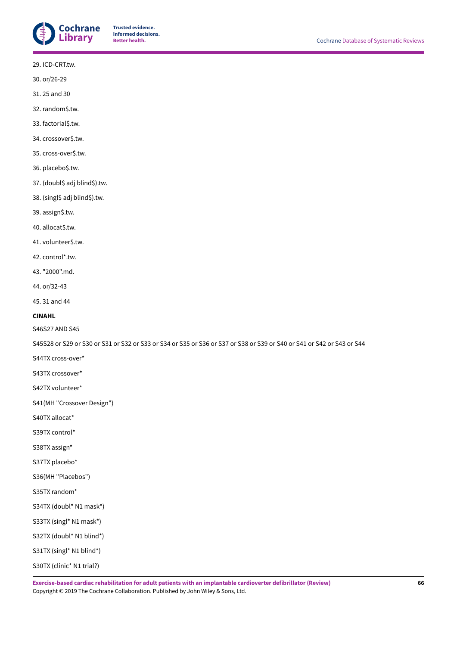

- 29. ICD-CRT.tw.
- 30. or/26-29
- 31. 25 and 30
- 32. random\$.tw.
- 33. factorial\$.tw.
- 34. crossover\$.tw.
- 35. cross-over\$.tw.
- 36. placebo\$.tw.
- 37. (doubl\$ adj blind\$).tw.
- 38. (singl\$ adj blind\$).tw.
- 39. assign\$.tw.
- 40. allocat\$.tw.
- 41. volunteer\$.tw.
- 42. control\*.tw.
- 43. "2000".md.
- 44. or/32-43
- 45. 31 and 44

#### **CINAHL**

S46S27 AND S45

S45S28 or S29 or S30 or S31 or S32 or S33 or S34 or S35 or S36 or S37 or S38 or S39 or S40 or S41 or S42 or S43 or S44

- S44TX cross-over\*
- S43TX crossover\*
- S42TX volunteer\*
- S41(MH "Crossover Design")
- S40TX allocat\*
- S39TX control\*
- S38TX assign\*
- S37TX placebo\*
- S36(MH "Placebos")
- S35TX random\*
- S34TX (doubl\* N1 mask\*)
- S33TX (singl\* N1 mask\*)
- S32TX (doubl\* N1 blind\*)
- S31TX (singl\* N1 blind\*)
- S30TX (clinic\* N1 trial?)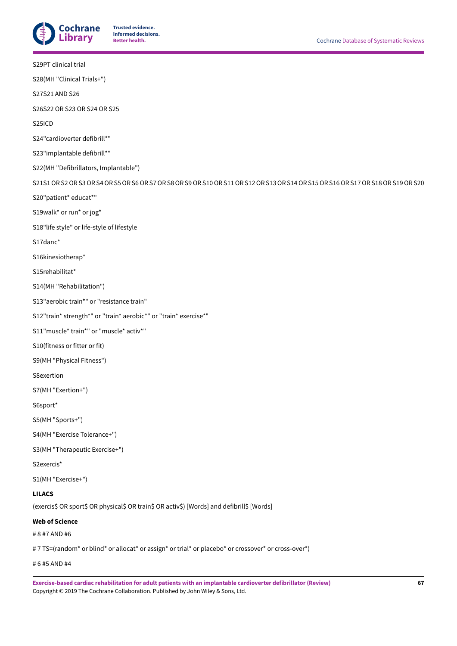

| S29PT clinical trial                                                                                                               |
|------------------------------------------------------------------------------------------------------------------------------------|
| S28(MH "Clinical Trials+")                                                                                                         |
| S27S21 AND S26                                                                                                                     |
| S26S22 OR S23 OR S24 OR S25                                                                                                        |
| S25ICD                                                                                                                             |
| S24"cardioverter defibrill*"                                                                                                       |
| S23"implantable defibrill*"                                                                                                        |
| S22(MH "Defibrillators, Implantable")                                                                                              |
| S21S1 OR S2 OR S3 OR S4 OR S5 OR S6 OR S7 OR S8 OR S9 OR S10 OR S11 OR S12 OR S13 OR S14 OR S15 OR S16 OR S17 OR S18 OR S19 OR S20 |
| S20"patient* educat*"                                                                                                              |
| S19walk* or run* or jog*                                                                                                           |
| S18"life style" or life-style of lifestyle                                                                                         |
| S17danc*                                                                                                                           |
| S16kinesiotherap*                                                                                                                  |
| S15rehabilitat*                                                                                                                    |
| S14(MH "Rehabilitation")                                                                                                           |
| S13"aerobic train*" or "resistance train"                                                                                          |
| S12"train* strength*" or "train* aerobic*" or "train* exercise*"                                                                   |
| S11"muscle* train*" or "muscle* activ*"                                                                                            |
| S10(fitness or fitter or fit)                                                                                                      |
| S9(MH "Physical Fitness")                                                                                                          |
| S8exertion                                                                                                                         |
| S7(MH "Exertion+")                                                                                                                 |
| S6sport*                                                                                                                           |
| S5(MH "Sports+")                                                                                                                   |
| S4(MH "Exercise Tolerance+")                                                                                                       |
| S3(MH "Therapeutic Exercise+")                                                                                                     |
| S2exercis*                                                                                                                         |
| S1(MH "Exercise+")                                                                                                                 |
| <b>LILACS</b>                                                                                                                      |

(exercis\$ OR sport\$ OR physical\$ OR train\$ OR activ\$) [Words] and defibrill\$ [Words]

## **Web of Science**

# 8 #7 AND #6

# 7 TS=(random\* or blind\* or allocat\* or assign\* or trial\* or placebo\* or crossover\* or cross-over\*)

#### # 6 #5 AND #4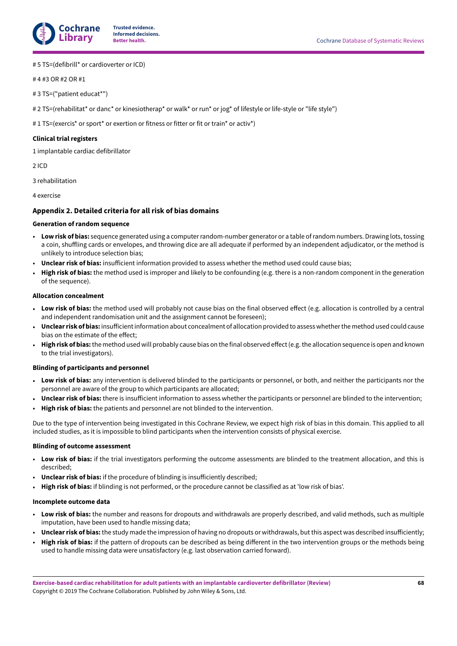

#### # 5 TS=(defibrill\* or cardioverter or ICD)

- # 4 #3 OR #2 OR #1
- # 3 TS=("patient educat\*")
- # 2 TS=(rehabilitat\* or danc\* or kinesiotherap\* or walk\* or run\* or jog\* of lifestyle or life-style or "life style")
- # 1 TS=(exercis\* or sport\* or exertion or fitness or fitter or fit or train\* or activ\*)

#### **Clinical trial registers**

1 implantable cardiac defibrillator

- 2 ICD
- 3 rehabilitation
- 4 exercise

#### **Appendix 2. Detailed criteria for all risk of bias domains**

#### **Generation of random sequence**

- **Low risk of bias:** sequence generated using a computerrandom-number generator or a table ofrandom numbers. Drawing lots,tossing a coin, shuffling cards or envelopes, and throwing dice are all adequate if performed by an independent adjudicator, or the method is unlikely to introduce selection bias;
- **Unclear risk of bias:** insufficient information provided to assess whether the method used could cause bias;
- **High risk of bias:** the method used is improper and likely to be confounding (e.g. there is a non-random component in the generation of the sequence).

#### **Allocation concealment**

- Low risk of bias: the method used will probably not cause bias on the final observed effect (e.g. allocation is controlled by a central and independent randomisation unit and the assignment cannot be foreseen);
- Unclear risk of bias: insufficient information about concealment of allocation provided to assess whether the method used could cause bias on the estimate of the effect;
- High risk of bias: the method used will probably cause bias on the final observed effect (e.g. the allocation sequence is open and known to the trial investigators).

#### **Blinding of participants and personnel**

- **Low risk of bias:** any intervention is delivered blinded to the participants or personnel, or both, and neither the participants nor the personnel are aware of the group to which participants are allocated;
- **Unclear risk of bias:** there is insufficient information to assess whether the participants or personnel are blinded to the intervention;
- **High risk of bias:** the patients and personnel are not blinded to the intervention.

Due to the type of intervention being investigated in this Cochrane Review, we expect high risk of bias in this domain. This applied to all included studies, as it is impossible to blind participants when the intervention consists of physical exercise.

#### **Blinding of outcome assessment**

- **Low risk of bias:** if the trial investigators performing the outcome assessments are blinded to the treatment allocation, and this is described;
- **Unclear risk of bias:** if the procedure of blinding is insufficiently described;
- **High risk of bias:** if blinding is not performed, or the procedure cannot be classified as at 'low risk of bias'.

#### **Incomplete outcome data**

- **Low risk of bias:** the number and reasons for dropouts and withdrawals are properly described, and valid methods, such as multiple imputation, have been used to handle missing data;
- Unclear risk of bias: the study made the impression of having no dropouts or withdrawals, but this aspect was described insufficiently;
- **High risk of bias:** if the pattern of dropouts can be described as being different in the two intervention groups or the methods being used to handle missing data were unsatisfactory (e.g. last observation carried forward).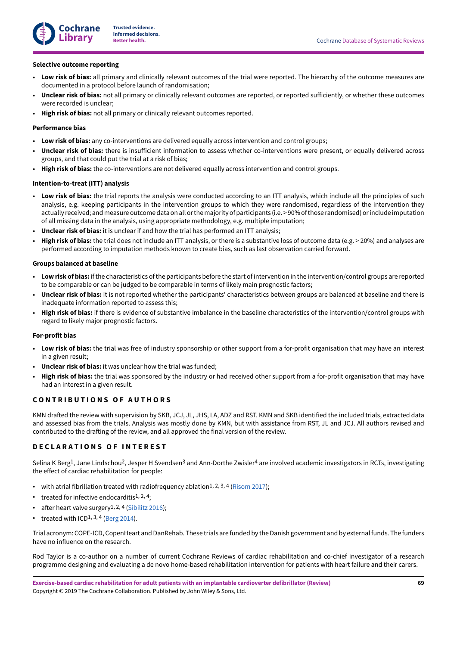

#### **Selective outcome reporting**

- **Low risk of bias:** all primary and clinically relevant outcomes of the trial were reported. The hierarchy of the outcome measures are documented in a protocol before launch of randomisation;
- Unclear risk of bias: not all primary or clinically relevant outcomes are reported, or reported sufficiently, or whether these outcomes were recorded is unclear;
- **High risk of bias:** not all primary or clinically relevant outcomes reported.

#### **Performance bias**

- **Low risk of bias:** any co-interventions are delivered equally across intervention and control groups;
- **Unclear risk of bias:** there is insufficient information to assess whether co-interventions were present, or equally delivered across groups, and that could put the trial at a risk of bias;
- **High risk of bias:** the co-interventions are not delivered equally across intervention and control groups.

#### **Intention-to-treat (ITT) analysis**

- **Low risk of bias:** the trial reports the analysis were conducted according to an ITT analysis, which include all the principles of such analysis, e.g. keeping participants in the intervention groups to which they were randomised, regardless of the intervention they actually received; and measure outcome data on all or the majority of participants (i.e. > 90% of those randomised) or include imputation of all missing data in the analysis, using appropriate methodology, e.g. multiple imputation;
- **Unclear risk of bias:** it is unclear if and how the trial has performed an ITT analysis;
- **High risk of bias:** the trial does not include an ITT analysis, or there is a substantive loss of outcome data (e.g. > 20%) and analyses are performed according to imputation methods known to create bias, such as last observation carried forward.

#### **Groups balanced at baseline**

- **Low risk of bias:** ifthe characteristics ofthe participants before the start of intervention in the intervention/control groups are reported to be comparable or can be judged to be comparable in terms of likely main prognostic factors;
- **Unclear risk of bias:** it is not reported whether the participants' characteristics between groups are balanced at baseline and there is inadequate information reported to assess this;
- **High risk of bias:** if there is evidence of substantive imbalance in the baseline characteristics of the intervention/control groups with regard to likely major prognostic factors.

#### **For-profit bias**

- **Low risk of bias:** the trial was free of industry sponsorship or other support from a for-profit organisation that may have an interest in a given result;
- **Unclear risk of bias:** it was unclear how the trial was funded;
- **High risk of bias:** the trial was sponsored by the industry or had received other support from a for-profit organisation that may have had an interest in a given result.

## **C O N T R I B U T I O N S O F A U T H O R S**

KMN drafted the review with supervision by SKB, JCJ, JL, JHS, LA, ADZ and RST. KMN and SKB identified the included trials, extracted data and assessed bias from the trials. Analysis was mostly done by KMN, but with assistance from RST, JL and JCJ. All authors revised and contributed to the drafting of the review, and all approved the final version of the review.

#### **DECLAPATIONS OF INTERFST**

Selina K Berg<sup>1</sup>, Jane Lindschou<sup>2</sup>, Jesper H Svendsen<sup>3</sup> and Ann-Dorthe Zwisler<sup>4</sup> are involved academic investigators in RCTs, investigating the effect of cardiac rehabilitation for people:

- with atrial fibrillation treated with radiofrequency ablation<sup>1, 2, 3, 4</sup> [\(Risom 2017](#page-32-0));
- treated for infective endocarditis<sup>1, 2, 4</sup>;
- after heart valve surgery<sup>1, 2, 4</sup> ([Sibilitz 2016](#page-32-1));
- treated with  $ICD<sup>1, 3, 4</sup>$  (Berg [2014](#page-28-0)).

Trial acronym: COPE-ICD, CopenHeart and DanRehab. These trials are funded by the Danish government and by external funds. The funders have no influence on the research.

Rod Taylor is a co-author on a number of current Cochrane Reviews of cardiac rehabilitation and co-chief investigator of a research programme designing and evaluating a de novo home-based rehabilitation intervention for patients with heart failure and their carers.